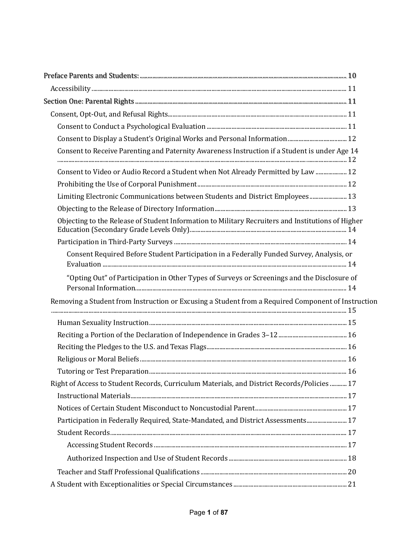| Consent to Receive Parenting and Paternity Awareness Instruction if a Student is under Age 14      |  |
|----------------------------------------------------------------------------------------------------|--|
| Consent to Video or Audio Record a Student when Not Already Permitted by Law  12                   |  |
|                                                                                                    |  |
| Limiting Electronic Communications between Students and District Employees 13                      |  |
|                                                                                                    |  |
| Objecting to the Release of Student Information to Military Recruiters and Institutions of Higher  |  |
|                                                                                                    |  |
| Consent Required Before Student Participation in a Federally Funded Survey, Analysis, or           |  |
| "Opting Out" of Participation in Other Types of Surveys or Screenings and the Disclosure of        |  |
| Removing a Student from Instruction or Excusing a Student from a Required Component of Instruction |  |
|                                                                                                    |  |
|                                                                                                    |  |
|                                                                                                    |  |
|                                                                                                    |  |
|                                                                                                    |  |
| Right of Access to Student Records, Curriculum Materials, and District Records/Policies  17        |  |
|                                                                                                    |  |
|                                                                                                    |  |
| Participation in Federally Required, State-Mandated, and District Assessments 17                   |  |
|                                                                                                    |  |
|                                                                                                    |  |
|                                                                                                    |  |
|                                                                                                    |  |
|                                                                                                    |  |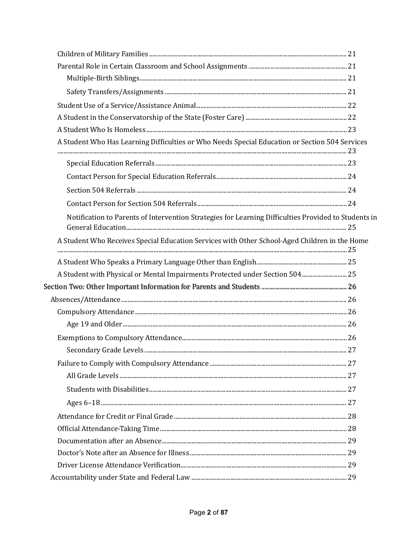| A Student Who Has Learning Difficulties or Who Needs Special Education or Section 504 Services       |  |
|------------------------------------------------------------------------------------------------------|--|
|                                                                                                      |  |
|                                                                                                      |  |
|                                                                                                      |  |
|                                                                                                      |  |
|                                                                                                      |  |
| Notification to Parents of Intervention Strategies for Learning Difficulties Provided to Students in |  |
|                                                                                                      |  |
| A Student Who Receives Special Education Services with Other School-Aged Children in the Home        |  |
|                                                                                                      |  |
| A Student with Physical or Mental Impairments Protected under Section 504 25                         |  |
|                                                                                                      |  |
|                                                                                                      |  |
|                                                                                                      |  |
|                                                                                                      |  |
|                                                                                                      |  |
|                                                                                                      |  |
|                                                                                                      |  |
|                                                                                                      |  |
|                                                                                                      |  |
|                                                                                                      |  |
|                                                                                                      |  |
|                                                                                                      |  |
|                                                                                                      |  |
|                                                                                                      |  |
|                                                                                                      |  |
|                                                                                                      |  |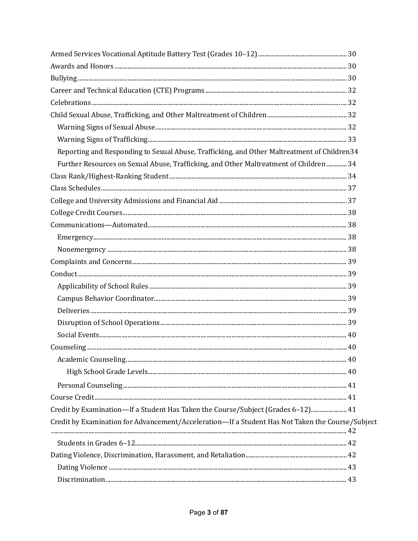| Reporting and Responding to Sexual Abuse, Trafficking, and Other Maltreatment of Children34      |  |
|--------------------------------------------------------------------------------------------------|--|
| Further Resources on Sexual Abuse, Trafficking, and Other Maltreatment of Children  34           |  |
|                                                                                                  |  |
|                                                                                                  |  |
|                                                                                                  |  |
|                                                                                                  |  |
|                                                                                                  |  |
|                                                                                                  |  |
|                                                                                                  |  |
|                                                                                                  |  |
|                                                                                                  |  |
|                                                                                                  |  |
|                                                                                                  |  |
|                                                                                                  |  |
|                                                                                                  |  |
|                                                                                                  |  |
|                                                                                                  |  |
|                                                                                                  |  |
|                                                                                                  |  |
|                                                                                                  |  |
|                                                                                                  |  |
| Credit by Examination-If a Student Has Taken the Course/Subject (Grades 6-12) 41                 |  |
| Credit by Examination for Advancement/Acceleration-If a Student Has Not Taken the Course/Subject |  |
|                                                                                                  |  |
|                                                                                                  |  |
|                                                                                                  |  |
|                                                                                                  |  |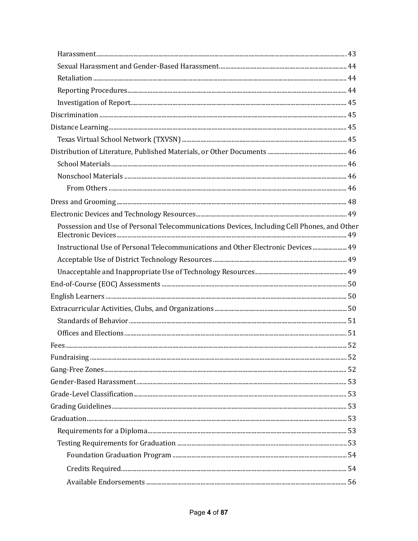| Possession and Use of Personal Telecommunications Devices, Including Cell Phones, and Other |  |
|---------------------------------------------------------------------------------------------|--|
| 19 Instructional Use of Personal Telecommunications and Other Electronic Devices 49         |  |
|                                                                                             |  |
|                                                                                             |  |
|                                                                                             |  |
|                                                                                             |  |
|                                                                                             |  |
|                                                                                             |  |
|                                                                                             |  |
|                                                                                             |  |
|                                                                                             |  |
|                                                                                             |  |
|                                                                                             |  |
|                                                                                             |  |
|                                                                                             |  |
|                                                                                             |  |
|                                                                                             |  |
|                                                                                             |  |
|                                                                                             |  |
|                                                                                             |  |
|                                                                                             |  |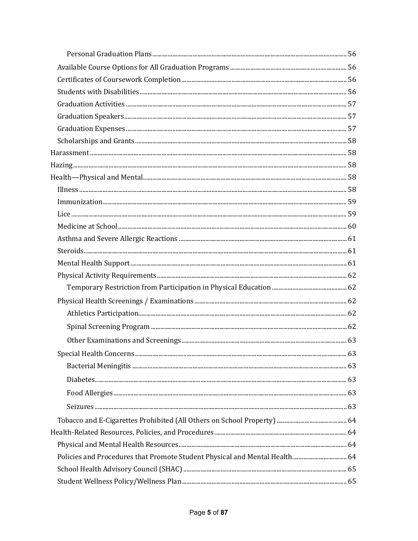| Policies and Procedures that Promote Student Physical and Mental Health 64 |  |
|----------------------------------------------------------------------------|--|
|                                                                            |  |
|                                                                            |  |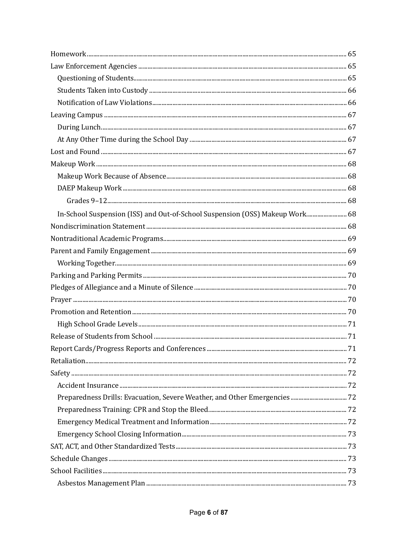| In-School Suspension (ISS) and Out-of-School Suspension (OSS) Makeup Work 68 |  |
|------------------------------------------------------------------------------|--|
|                                                                              |  |
|                                                                              |  |
|                                                                              |  |
|                                                                              |  |
|                                                                              |  |
|                                                                              |  |
|                                                                              |  |
|                                                                              |  |
|                                                                              |  |
|                                                                              |  |
|                                                                              |  |
|                                                                              |  |
|                                                                              |  |
|                                                                              |  |
|                                                                              |  |
|                                                                              |  |
|                                                                              |  |
|                                                                              |  |
|                                                                              |  |
|                                                                              |  |
|                                                                              |  |
|                                                                              |  |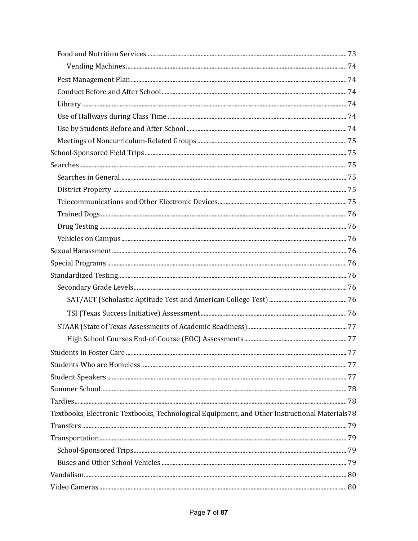| Textbooks, Electronic Textbooks, Technological Equipment, and Other Instructional Materials78 |  |
|-----------------------------------------------------------------------------------------------|--|
|                                                                                               |  |
|                                                                                               |  |
|                                                                                               |  |
|                                                                                               |  |
|                                                                                               |  |
|                                                                                               |  |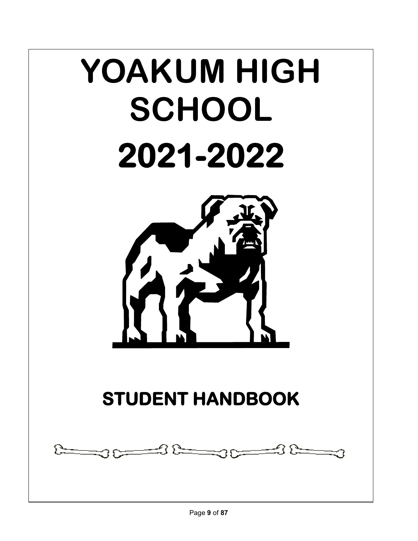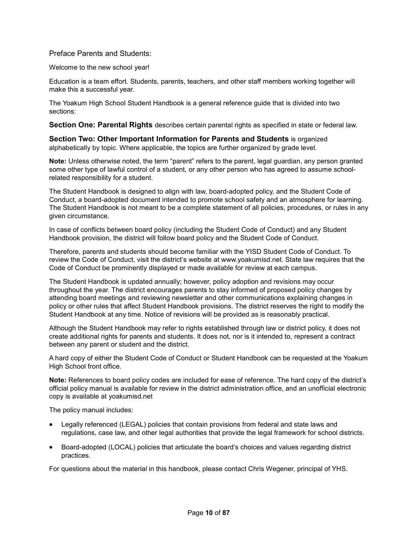Preface Parents and Students:

Welcome to the new school year!

Education is a team effort. Students, parents, teachers, and other staff members working together will make this a successful year.

The Yoakum High School Student Handbook is a general reference guide that is divided into two sections:

**Section One: Parental Rights** describes certain parental rights as specified in state or federal law.

**Section Two: Other Important Information for Parents and Students** is organized alphabetically by topic. Where applicable, the topics are further organized by grade level.

**Note:** Unless otherwise noted, the term "parent" refers to the parent, legal guardian, any person granted some other type of lawful control of a student, or any other person who has agreed to assume schoolrelated responsibility for a student.

The Student Handbook is designed to align with law, board-adopted policy, and the Student Code of Conduct, a board-adopted document intended to promote school safety and an atmosphere for learning. The Student Handbook is not meant to be a complete statement of all policies, procedures, or rules in any given circumstance.

In case of conflicts between board policy (including the Student Code of Conduct) and any Student Handbook provision, the district will follow board policy and the Student Code of Conduct.

Therefore, parents and students should become familiar with the YISD Student Code of Conduct. To review the Code of Conduct, visit the district's website at www.yoakumisd.net. State law requires that the Code of Conduct be prominently displayed or made available for review at each campus.

The Student Handbook is updated annually; however, policy adoption and revisions may occur throughout the year. The district encourages parents to stay informed of proposed policy changes by attending board meetings and reviewing newsletter and other communications explaining changes in policy or other rules that affect Student Handbook provisions. The district reserves the right to modify the Student Handbook at any time. Notice of revisions will be provided as is reasonably practical.

Although the Student Handbook may refer to rights established through law or district policy, it does not create additional rights for parents and students. It does not, nor is it intended to, represent a contract between any parent or student and the district.

A hard copy of either the Student Code of Conduct or Student Handbook can be requested at the Yoakum High School front office.

**Note:** References to board policy codes are included for ease of reference. The hard copy of the district's official policy manual is available for review in the district administration office, and an unofficial electronic copy is available at yoakumisd.net

The policy manual includes:

- Legally referenced (LEGAL) policies that contain provisions from federal and state laws and regulations, case law, and other legal authorities that provide the legal framework for school districts.
- Board-adopted (LOCAL) policies that articulate the board's choices and values regarding district practices.

For questions about the material in this handbook, please contact Chris Wegener, principal of YHS.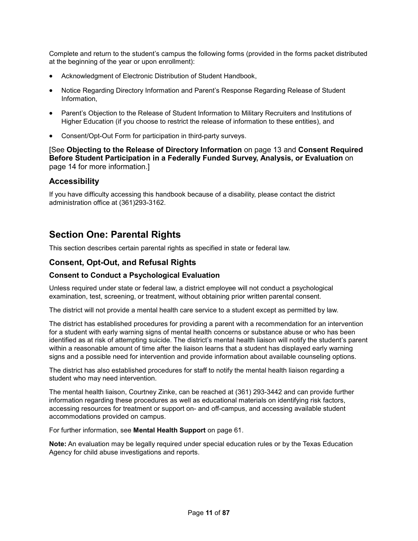Complete and return to the student's campus the following forms (provided in the forms packet distributed at the beginning of the year or upon enrollment):

- Acknowledgment of Electronic Distribution of Student Handbook,
- Notice Regarding Directory Information and Parent's Response Regarding Release of Student Information,
- Parent's Objection to the Release of Student Information to Military Recruiters and Institutions of Higher Education (if you choose to restrict the release of information to these entities), and
- Consent/Opt-Out Form for participation in third-party surveys.

[See **Objecting to the Release of Directory Information** on page 13 and **Consent Required Before Student Participation in a Federally Funded Survey, Analysis, or Evaluation** on page 14 for more information.]

# **Accessibility**

If you have difficulty accessing this handbook because of a disability, please contact the district administration office at (361)293-3162.

# **Section One: Parental Rights**

This section describes certain parental rights as specified in state or federal law.

# **Consent, Opt-Out, and Refusal Rights**

## **Consent to Conduct a Psychological Evaluation**

Unless required under state or federal law, a district employee will not conduct a psychological examination, test, screening, or treatment, without obtaining prior written parental consent.

The district will not provide a mental health care service to a student except as permitted by law.

The district has established procedures for providing a parent with a recommendation for an intervention for a student with early warning signs of mental health concerns or substance abuse or who has been identified as at risk of attempting suicide. The district's mental health liaison will notify the student's parent within a reasonable amount of time after the liaison learns that a student has displayed early warning signs and a possible need for intervention and provide information about available counseling options.

The district has also established procedures for staff to notify the mental health liaison regarding a student who may need intervention.

The mental health liaison, Courtney Zinke, can be reached at (361) 293-3442 and can provide further information regarding these procedures as well as educational materials on identifying risk factors, accessing resources for treatment or support on- and off-campus, and accessing available student accommodations provided on campus.

For further information, see **Mental Health Support** on page 61.

**Note:** An evaluation may be legally required under special education rules or by the Texas Education Agency for child abuse investigations and reports.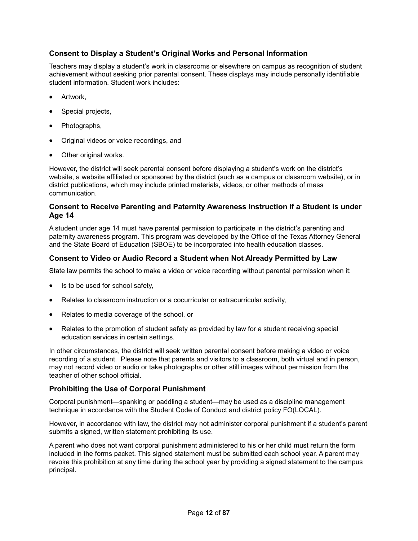# **Consent to Display a Student's Original Works and Personal Information**

Teachers may display a student's work in classrooms or elsewhere on campus as recognition of student achievement without seeking prior parental consent. These displays may include personally identifiable student information. Student work includes:

- Artwork.
- Special projects,
- Photographs,
- Original videos or voice recordings, and
- Other original works.

However, the district will seek parental consent before displaying a student's work on the district's website, a website affiliated or sponsored by the district (such as a campus or classroom website), or in district publications, which may include printed materials, videos, or other methods of mass communication.

# **Consent to Receive Parenting and Paternity Awareness Instruction if a Student is under Age 14**

A student under age 14 must have parental permission to participate in the district's parenting and paternity awareness program. This program was developed by the Office of the Texas Attorney General and the State Board of Education (SBOE) to be incorporated into health education classes.

# **Consent to Video or Audio Record a Student when Not Already Permitted by Law**

State law permits the school to make a video or voice recording without parental permission when it:

- Is to be used for school safety,
- Relates to classroom instruction or a cocurricular or extracurricular activity,
- Relates to media coverage of the school, or
- Relates to the promotion of student safety as provided by law for a student receiving special education services in certain settings.

In other circumstances, the district will seek written parental consent before making a video or voice recording of a student. Please note that parents and visitors to a classroom, both virtual and in person, may not record video or audio or take photographs or other still images without permission from the teacher of other school official.

# **Prohibiting the Use of Corporal Punishment**

Corporal punishment—spanking or paddling a student—may be used as a discipline management technique in accordance with the Student Code of Conduct and district policy FO(LOCAL).

However, in accordance with law, the district may not administer corporal punishment if a student's parent submits a signed, written statement prohibiting its use.

A parent who does not want corporal punishment administered to his or her child must return the form included in the forms packet. This signed statement must be submitted each school year. A parent may revoke this prohibition at any time during the school year by providing a signed statement to the campus principal.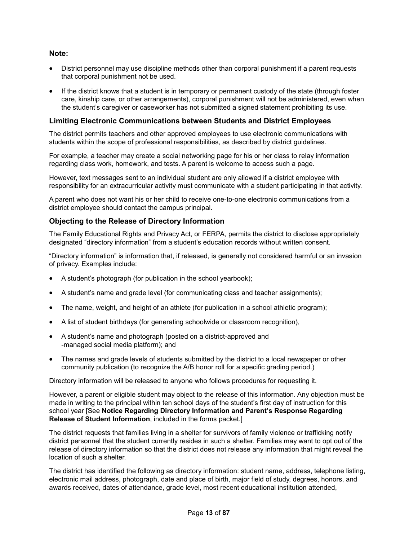# **Note:**

- District personnel may use discipline methods other than corporal punishment if a parent requests that corporal punishment not be used.
- If the district knows that a student is in temporary or permanent custody of the state (through foster care, kinship care, or other arrangements), corporal punishment will not be administered, even when the student's caregiver or caseworker has not submitted a signed statement prohibiting its use.

# **Limiting Electronic Communications between Students and District Employees**

The district permits teachers and other approved employees to use electronic communications with students within the scope of professional responsibilities, as described by district guidelines.

For example, a teacher may create a social networking page for his or her class to relay information regarding class work, homework, and tests. A parent is welcome to access such a page.

However, text messages sent to an individual student are only allowed if a district employee with responsibility for an extracurricular activity must communicate with a student participating in that activity.

A parent who does not want his or her child to receive one-to-one electronic communications from a district employee should contact the campus principal.

# **Objecting to the Release of Directory Information**

The Family Educational Rights and Privacy Act, or FERPA, permits the district to disclose appropriately designated "directory information" from a student's education records without written consent.

"Directory information" is information that, if released, is generally not considered harmful or an invasion of privacy. Examples include:

- A student's photograph (for publication in the school yearbook);
- A student's name and grade level (for communicating class and teacher assignments);
- The name, weight, and height of an athlete (for publication in a school athletic program);
- A list of student birthdays (for generating schoolwide or classroom recognition),
- A student's name and photograph (posted on a district-approved and -managed social media platform); and
- The names and grade levels of students submitted by the district to a local newspaper or other community publication (to recognize the A/B honor roll for a specific grading period.)

Directory information will be released to anyone who follows procedures for requesting it.

However, a parent or eligible student may object to the release of this information. Any objection must be made in writing to the principal within ten school days of the student's first day of instruction for this school year [See **Notice Regarding Directory Information and Parent's Response Regarding Release of Student Information**, included in the forms packet.]

The district requests that families living in a shelter for survivors of family violence or trafficking notify district personnel that the student currently resides in such a shelter. Families may want to opt out of the release of directory information so that the district does not release any information that might reveal the location of such a shelter.

The district has identified the following as directory information: student name, address, telephone listing, electronic mail address, photograph, date and place of birth, major field of study, degrees, honors, and awards received, dates of attendance, grade level, most recent educational institution attended,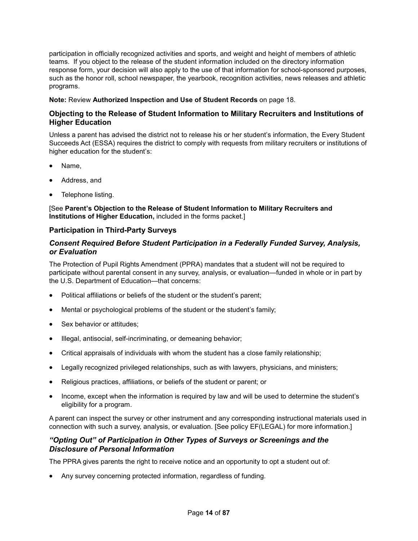participation in officially recognized activities and sports, and weight and height of members of athletic teams. If you object to the release of the student information included on the directory information response form, your decision will also apply to the use of that information for school-sponsored purposes, such as the honor roll, school newspaper, the yearbook, recognition activities, news releases and athletic programs.

## **Note:** Review **Authorized Inspection and Use of Student Records** on page 18.

# **Objecting to the Release of Student Information to Military Recruiters and Institutions of Higher Education**

Unless a parent has advised the district not to release his or her student's information, the Every Student Succeeds Act (ESSA) requires the district to comply with requests from military recruiters or institutions of higher education for the student's:

- Name.
- Address, and
- Telephone listing.

[See **Parent's Objection to the Release of Student Information to Military Recruiters and Institutions of Higher Education,** included in the forms packet.]

# **Participation in Third-Party Surveys**

# *Consent Required Before Student Participation in a Federally Funded Survey, Analysis, or Evaluation*

The Protection of Pupil Rights Amendment (PPRA) mandates that a student will not be required to participate without parental consent in any survey, analysis, or evaluation—funded in whole or in part by the U.S. Department of Education—that concerns:

- Political affiliations or beliefs of the student or the student's parent;
- Mental or psychological problems of the student or the student's family;
- Sex behavior or attitudes:
- Illegal, antisocial, self-incriminating, or demeaning behavior;
- Critical appraisals of individuals with whom the student has a close family relationship;
- Legally recognized privileged relationships, such as with lawyers, physicians, and ministers;
- Religious practices, affiliations, or beliefs of the student or parent; or
- Income, except when the information is required by law and will be used to determine the student's eligibility for a program.

A parent can inspect the survey or other instrument and any corresponding instructional materials used in connection with such a survey, analysis, or evaluation. [See policy EF(LEGAL) for more information.]

# *"Opting Out" of Participation in Other Types of Surveys or Screenings and the Disclosure of Personal Information*

The PPRA gives parents the right to receive notice and an opportunity to opt a student out of:

• Any survey concerning protected information, regardless of funding.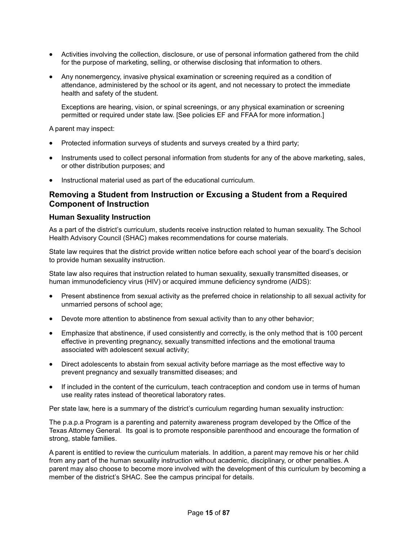- Activities involving the collection, disclosure, or use of personal information gathered from the child for the purpose of marketing, selling, or otherwise disclosing that information to others.
- Any nonemergency, invasive physical examination or screening required as a condition of attendance, administered by the school or its agent, and not necessary to protect the immediate health and safety of the student.

Exceptions are hearing, vision, or spinal screenings, or any physical examination or screening permitted or required under state law. [See policies EF and FFAA for more information.]

A parent may inspect:

- Protected information surveys of students and surveys created by a third party;
- Instruments used to collect personal information from students for any of the above marketing, sales, or other distribution purposes; and
- Instructional material used as part of the educational curriculum.

# **Removing a Student from Instruction or Excusing a Student from a Required Component of Instruction**

#### **Human Sexuality Instruction**

As a part of the district's curriculum, students receive instruction related to human sexuality. The School Health Advisory Council (SHAC) makes recommendations for course materials.

State law requires that the district provide written notice before each school year of the board's decision to provide human sexuality instruction.

State law also requires that instruction related to human sexuality, sexually transmitted diseases, or human immunodeficiency virus (HIV) or acquired immune deficiency syndrome (AIDS):

- Present abstinence from sexual activity as the preferred choice in relationship to all sexual activity for unmarried persons of school age;
- Devote more attention to abstinence from sexual activity than to any other behavior;
- Emphasize that abstinence, if used consistently and correctly, is the only method that is 100 percent effective in preventing pregnancy, sexually transmitted infections and the emotional trauma associated with adolescent sexual activity;
- Direct adolescents to abstain from sexual activity before marriage as the most effective way to prevent pregnancy and sexually transmitted diseases; and
- If included in the content of the curriculum, teach contraception and condom use in terms of human use reality rates instead of theoretical laboratory rates.

Per state law, here is a summary of the district's curriculum regarding human sexuality instruction:

The p.a.p.a Program is a parenting and paternity awareness program developed by the Office of the Texas Attorney General. Its goal is to promote responsible parenthood and encourage the formation of strong, stable families.

A parent is entitled to review the curriculum materials. In addition, a parent may remove his or her child from any part of the human sexuality instruction without academic, disciplinary, or other penalties. A parent may also choose to become more involved with the development of this curriculum by becoming a member of the district's SHAC. See the campus principal for details.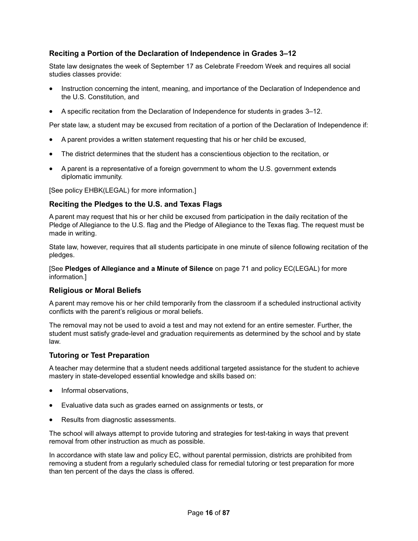# **Reciting a Portion of the Declaration of Independence in Grades 3–12**

State law designates the week of September 17 as Celebrate Freedom Week and requires all social studies classes provide:

- Instruction concerning the intent, meaning, and importance of the Declaration of Independence and the U.S. Constitution, and
- A specific recitation from the Declaration of Independence for students in grades 3–12.

Per state law, a student may be excused from recitation of a portion of the Declaration of Independence if:

- A parent provides a written statement requesting that his or her child be excused,
- The district determines that the student has a conscientious objection to the recitation, or
- A parent is a representative of a foreign government to whom the U.S. government extends diplomatic immunity.

[See policy EHBK(LEGAL) for more information.]

# **Reciting the Pledges to the U.S. and Texas Flags**

A parent may request that his or her child be excused from participation in the daily recitation of the Pledge of Allegiance to the U.S. flag and the Pledge of Allegiance to the Texas flag. The request must be made in writing.

State law, however, requires that all students participate in one minute of silence following recitation of the pledges.

[See **Pledges of Allegiance and a Minute of Silence** on page 71 and policy EC(LEGAL) for more information.]

## **Religious or Moral Beliefs**

A parent may remove his or her child temporarily from the classroom if a scheduled instructional activity conflicts with the parent's religious or moral beliefs.

The removal may not be used to avoid a test and may not extend for an entire semester. Further, the student must satisfy grade-level and graduation requirements as determined by the school and by state law.

## **Tutoring or Test Preparation**

A teacher may determine that a student needs additional targeted assistance for the student to achieve mastery in state-developed essential knowledge and skills based on:

- Informal observations,
- Evaluative data such as grades earned on assignments or tests, or
- Results from diagnostic assessments.

The school will always attempt to provide tutoring and strategies for test-taking in ways that prevent removal from other instruction as much as possible.

In accordance with state law and policy EC, without parental permission, districts are prohibited from removing a student from a regularly scheduled class for remedial tutoring or test preparation for more than ten percent of the days the class is offered.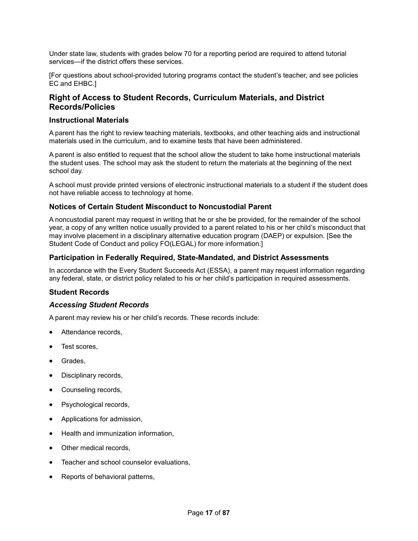Under state law, students with grades below 70 for a reporting period are required to attend tutorial services—if the district offers these services.

[For questions about school-provided tutoring programs contact the student's teacher, and see policies EC and EHBC.]

# **Right of Access to Student Records, Curriculum Materials, and District Records/Policies**

## **Instructional Materials**

A parent has the right to review teaching materials, textbooks, and other teaching aids and instructional materials used in the curriculum, and to examine tests that have been administered.

A parent is also entitled to request that the school allow the student to take home instructional materials the student uses. The school may ask the student to return the materials at the beginning of the next school day.

A school must provide printed versions of electronic instructional materials to a student if the student does not have reliable access to technology at home.

# **Notices of Certain Student Misconduct to Noncustodial Parent**

A noncustodial parent may request in writing that he or she be provided, for the remainder of the school year, a copy of any written notice usually provided to a parent related to his or her child's misconduct that may involve placement in a disciplinary alternative education program (DAEP) or expulsion. [See the Student Code of Conduct and policy FO(LEGAL) for more information.]

# **Participation in Federally Required, State-Mandated, and District Assessments**

In accordance with the Every Student Succeeds Act (ESSA), a parent may request information regarding any federal, state, or district policy related to his or her child's participation in required assessments.

## **Student Records**

## *Accessing Student Records*

A parent may review his or her child's records. These records include:

- Attendance records.
- Test scores.
- Grades.
- Disciplinary records,
- Counseling records,
- Psychological records,
- Applications for admission,
- Health and immunization information,
- Other medical records,
- Teacher and school counselor evaluations,
- Reports of behavioral patterns,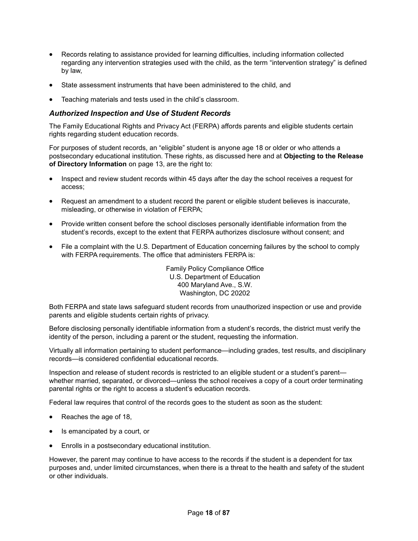- Records relating to assistance provided for learning difficulties, including information collected regarding any intervention strategies used with the child, as the term "intervention strategy" is defined by law,
- State assessment instruments that have been administered to the child, and
- Teaching materials and tests used in the child's classroom.

## *Authorized Inspection and Use of Student Records*

The Family Educational Rights and Privacy Act (FERPA) affords parents and eligible students certain rights regarding student education records.

For purposes of student records, an "eligible" student is anyone age 18 or older or who attends a postsecondary educational institution. These rights, as discussed here and at **Objecting to the Release of Directory Information** on page 13, are the right to:

- Inspect and review student records within 45 days after the day the school receives a request for access;
- Request an amendment to a student record the parent or eligible student believes is inaccurate, misleading, or otherwise in violation of FERPA;
- Provide written consent before the school discloses personally identifiable information from the student's records, except to the extent that FERPA authorizes disclosure without consent; and
- File a complaint with the U.S. Department of Education concerning failures by the school to comply with FERPA requirements. The office that administers FERPA is:

Family Policy Compliance Office U.S. Department of Education 400 Maryland Ave., S.W. Washington, DC 20202

Both FERPA and state laws safeguard student records from unauthorized inspection or use and provide parents and eligible students certain rights of privacy.

Before disclosing personally identifiable information from a student's records, the district must verify the identity of the person, including a parent or the student, requesting the information.

Virtually all information pertaining to student performance—including grades, test results, and disciplinary records—is considered confidential educational records.

Inspection and release of student records is restricted to an eligible student or a student's parent whether married, separated, or divorced—unless the school receives a copy of a court order terminating parental rights or the right to access a student's education records.

Federal law requires that control of the records goes to the student as soon as the student:

- Reaches the age of 18,
- Is emancipated by a court, or
- Enrolls in a postsecondary educational institution.

However, the parent may continue to have access to the records if the student is a dependent for tax purposes and, under limited circumstances, when there is a threat to the health and safety of the student or other individuals.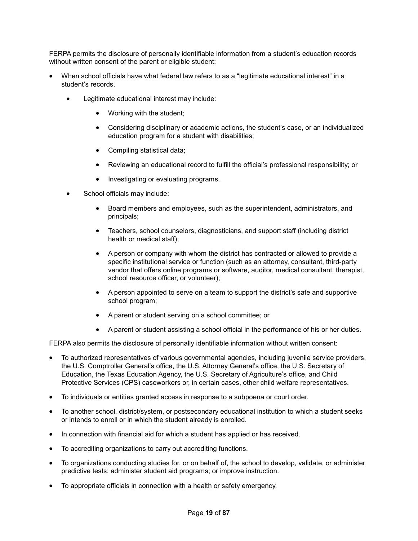FERPA permits the disclosure of personally identifiable information from a student's education records without written consent of the parent or eligible student:

- When school officials have what federal law refers to as a "legitimate educational interest" in a student's records.
	- Legitimate educational interest may include:
		- Working with the student;
		- Considering disciplinary or academic actions, the student's case, or an individualized education program for a student with disabilities;
		- Compiling statistical data;
		- Reviewing an educational record to fulfill the official's professional responsibility; or
		- Investigating or evaluating programs.
	- School officials may include:
		- Board members and employees, such as the superintendent, administrators, and principals;
		- Teachers, school counselors, diagnosticians, and support staff (including district health or medical staff);
		- A person or company with whom the district has contracted or allowed to provide a specific institutional service or function (such as an attorney, consultant, third-party vendor that offers online programs or software, auditor, medical consultant, therapist, school resource officer, or volunteer);
		- A person appointed to serve on a team to support the district's safe and supportive school program;
		- A parent or student serving on a school committee; or
		- A parent or student assisting a school official in the performance of his or her duties.

FERPA also permits the disclosure of personally identifiable information without written consent:

- To authorized representatives of various governmental agencies, including juvenile service providers, the U.S. Comptroller General's office, the U.S. Attorney General's office, the U.S. Secretary of Education, the Texas Education Agency, the U.S. Secretary of Agriculture's office, and Child Protective Services (CPS) caseworkers or, in certain cases, other child welfare representatives.
- To individuals or entities granted access in response to a subpoena or court order.
- To another school, district/system, or postsecondary educational institution to which a student seeks or intends to enroll or in which the student already is enrolled.
- In connection with financial aid for which a student has applied or has received.
- To accrediting organizations to carry out accrediting functions.
- To organizations conducting studies for, or on behalf of, the school to develop, validate, or administer predictive tests; administer student aid programs; or improve instruction.
- To appropriate officials in connection with a health or safety emergency.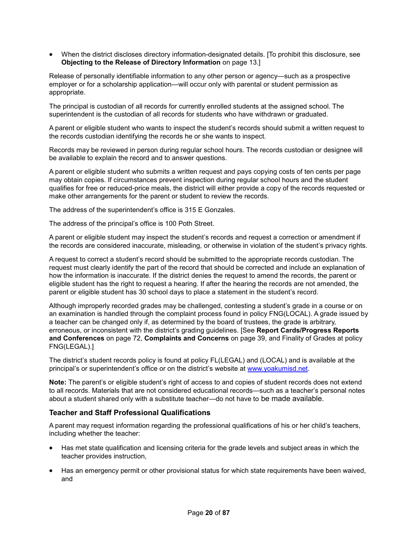• When the district discloses directory information-designated details. [To prohibit this disclosure, see **Objecting to the Release of Directory Information** on page 13.]

Release of personally identifiable information to any other person or agency—such as a prospective employer or for a scholarship application—will occur only with parental or student permission as appropriate.

The principal is custodian of all records for currently enrolled students at the assigned school. The superintendent is the custodian of all records for students who have withdrawn or graduated.

A parent or eligible student who wants to inspect the student's records should submit a written request to the records custodian identifying the records he or she wants to inspect.

Records may be reviewed in person during regular school hours. The records custodian or designee will be available to explain the record and to answer questions.

A parent or eligible student who submits a written request and pays copying costs of ten cents per page may obtain copies. If circumstances prevent inspection during regular school hours and the student qualifies for free or reduced-price meals, the district will either provide a copy of the records requested or make other arrangements for the parent or student to review the records.

The address of the superintendent's office is 315 E Gonzales.

The address of the principal's office is 100 Poth Street.

A parent or eligible student may inspect the student's records and request a correction or amendment if the records are considered inaccurate, misleading, or otherwise in violation of the student's privacy rights.

A request to correct a student's record should be submitted to the appropriate records custodian. The request must clearly identify the part of the record that should be corrected and include an explanation of how the information is inaccurate. If the district denies the request to amend the records, the parent or eligible student has the right to request a hearing. If after the hearing the records are not amended, the parent or eligible student has 30 school days to place a statement in the student's record.

Although improperly recorded grades may be challenged, contesting a student's grade in a course or on an examination is handled through the complaint process found in policy FNG(LOCAL). A grade issued by a teacher can be changed only if, as determined by the board of trustees, the grade is arbitrary, erroneous, or inconsistent with the district's grading guidelines. [See **Report Cards/Progress Reports and Conferences** on page 72, **Complaints and Concerns** on page 39, and Finality of Grades at policy FNG(LEGAL).]

The district's student records policy is found at policy FL(LEGAL) and (LOCAL) and is available at the principal's or superintendent's office or on the district's website at www.yoakumisd.net.

**Note:** The parent's or eligible student's right of access to and copies of student records does not extend to all records. Materials that are not considered educational records—such as a teacher's personal notes about a student shared only with a substitute teacher—do not have to be made available.

## **Teacher and Staff Professional Qualifications**

A parent may request information regarding the professional qualifications of his or her child's teachers, including whether the teacher:

- Has met state qualification and licensing criteria for the grade levels and subject areas in which the teacher provides instruction,
- Has an emergency permit or other provisional status for which state requirements have been waived, and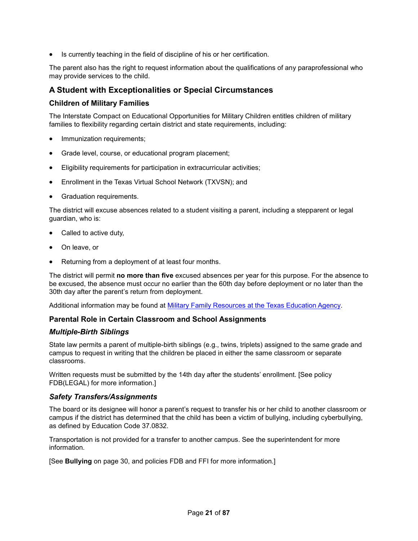• Is currently teaching in the field of discipline of his or her certification.

The parent also has the right to request information about the qualifications of any paraprofessional who may provide services to the child.

# **A Student with Exceptionalities or Special Circumstances**

## **Children of Military Families**

The Interstate Compact on Educational Opportunities for Military Children entitles children of military families to flexibility regarding certain district and state requirements, including:

- Immunization requirements;
- Grade level, course, or educational program placement;
- Eligibility requirements for participation in extracurricular activities;
- Enrollment in the Texas Virtual School Network (TXVSN); and
- Graduation requirements.

The district will excuse absences related to a student visiting a parent, including a stepparent or legal guardian, who is:

- Called to active duty,
- On leave, or
- Returning from a deployment of at least four months.

The district will permit **no more than five** excused absences per year for this purpose. For the absence to be excused, the absence must occur no earlier than the 60th day before deployment or no later than the 30th day after the parent's return from deployment.

Additional information may be found at Military Family Resources at the Texas Education Agency.

## **Parental Role in Certain Classroom and School Assignments**

## *Multiple-Birth Siblings*

State law permits a parent of multiple-birth siblings (e.g., twins, triplets) assigned to the same grade and campus to request in writing that the children be placed in either the same classroom or separate classrooms.

Written requests must be submitted by the 14th day after the students' enrollment. [See policy FDB(LEGAL) for more information.]

## *Safety Transfers/Assignments*

The board or its designee will honor a parent's request to transfer his or her child to another classroom or campus if the district has determined that the child has been a victim of bullying, including cyberbullying, as defined by Education Code 37.0832.

Transportation is not provided for a transfer to another campus. See the superintendent for more information.

[See **Bullying** on page 30, and policies FDB and FFI for more information.]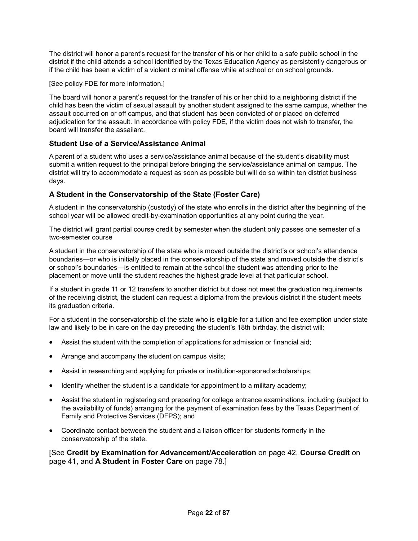The district will honor a parent's request for the transfer of his or her child to a safe public school in the district if the child attends a school identified by the Texas Education Agency as persistently dangerous or if the child has been a victim of a violent criminal offense while at school or on school grounds.

[See policy FDE for more information.]

The board will honor a parent's request for the transfer of his or her child to a neighboring district if the child has been the victim of sexual assault by another student assigned to the same campus, whether the assault occurred on or off campus, and that student has been convicted of or placed on deferred adjudication for the assault. In accordance with policy FDE, if the victim does not wish to transfer, the board will transfer the assailant.

# **Student Use of a Service/Assistance Animal**

A parent of a student who uses a service/assistance animal because of the student's disability must submit a written request to the principal before bringing the service/assistance animal on campus. The district will try to accommodate a request as soon as possible but will do so within ten district business days.

# **A Student in the Conservatorship of the State (Foster Care)**

A student in the conservatorship (custody) of the state who enrolls in the district after the beginning of the school year will be allowed credit-by-examination opportunities at any point during the year.

The district will grant partial course credit by semester when the student only passes one semester of a two-semester course

A student in the conservatorship of the state who is moved outside the district's or school's attendance boundaries—or who is initially placed in the conservatorship of the state and moved outside the district's or school's boundaries—is entitled to remain at the school the student was attending prior to the placement or move until the student reaches the highest grade level at that particular school.

If a student in grade 11 or 12 transfers to another district but does not meet the graduation requirements of the receiving district, the student can request a diploma from the previous district if the student meets its graduation criteria.

For a student in the conservatorship of the state who is eligible for a tuition and fee exemption under state law and likely to be in care on the day preceding the student's 18th birthday, the district will:

- Assist the student with the completion of applications for admission or financial aid;
- Arrange and accompany the student on campus visits;
- Assist in researching and applying for private or institution-sponsored scholarships;
- Identify whether the student is a candidate for appointment to a military academy;
- Assist the student in registering and preparing for college entrance examinations, including (subject to the availability of funds) arranging for the payment of examination fees by the Texas Department of Family and Protective Services (DFPS); and
- Coordinate contact between the student and a liaison officer for students formerly in the conservatorship of the state.

[See **Credit by Examination for Advancement/Acceleration** on page 42, **Course Credit** on page 41, and **A Student in Foster Care** on page 78.]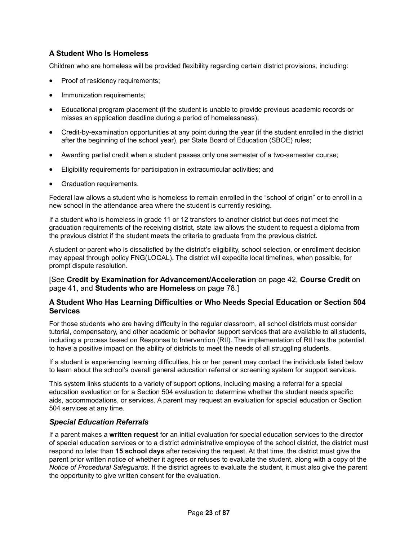# **A Student Who Is Homeless**

Children who are homeless will be provided flexibility regarding certain district provisions, including:

- Proof of residency requirements;
- Immunization requirements;
- Educational program placement (if the student is unable to provide previous academic records or misses an application deadline during a period of homelessness);
- Credit-by-examination opportunities at any point during the year (if the student enrolled in the district after the beginning of the school year), per State Board of Education (SBOE) rules;
- Awarding partial credit when a student passes only one semester of a two-semester course;
- Eligibility requirements for participation in extracurricular activities; and
- Graduation requirements.

Federal law allows a student who is homeless to remain enrolled in the "school of origin" or to enroll in a new school in the attendance area where the student is currently residing.

If a student who is homeless in grade 11 or 12 transfers to another district but does not meet the graduation requirements of the receiving district, state law allows the student to request a diploma from the previous district if the student meets the criteria to graduate from the previous district.

A student or parent who is dissatisfied by the district's eligibility, school selection, or enrollment decision may appeal through policy FNG(LOCAL). The district will expedite local timelines, when possible, for prompt dispute resolution.

[See **Credit by Examination for Advancement/Acceleration** on page 42, **Course Credit** on page 41, and **Students who are Homeless** on page 78.]

## **A Student Who Has Learning Difficulties or Who Needs Special Education or Section 504 Services**

For those students who are having difficulty in the regular classroom, all school districts must consider tutorial, compensatory, and other academic or behavior support services that are available to all students, including a process based on Response to Intervention (RtI). The implementation of RtI has the potential to have a positive impact on the ability of districts to meet the needs of all struggling students.

If a student is experiencing learning difficulties, his or her parent may contact the individuals listed below to learn about the school's overall general education referral or screening system for support services.

This system links students to a variety of support options, including making a referral for a special education evaluation or for a Section 504 evaluation to determine whether the student needs specific aids, accommodations, or services. A parent may request an evaluation for special education or Section 504 services at any time.

## *Special Education Referrals*

If a parent makes a **written request** for an initial evaluation for special education services to the director of special education services or to a district administrative employee of the school district, the district must respond no later than **15 school days** after receiving the request. At that time, the district must give the parent prior written notice of whether it agrees or refuses to evaluate the student, along with a copy of the *Notice of Procedural Safeguards*. If the district agrees to evaluate the student, it must also give the parent the opportunity to give written consent for the evaluation.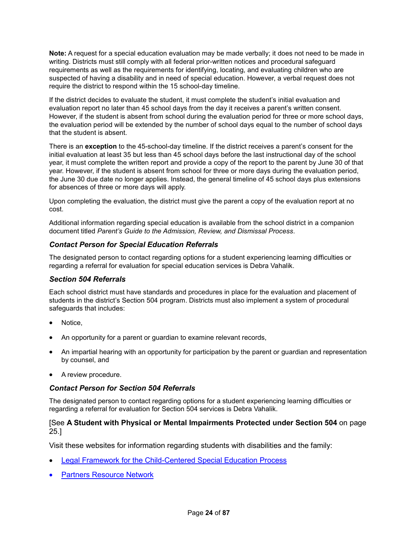**Note:** A request for a special education evaluation may be made verbally; it does not need to be made in writing. Districts must still comply with all federal prior-written notices and procedural safeguard requirements as well as the requirements for identifying, locating, and evaluating children who are suspected of having a disability and in need of special education. However, a verbal request does not require the district to respond within the 15 school-day timeline.

If the district decides to evaluate the student, it must complete the student's initial evaluation and evaluation report no later than 45 school days from the day it receives a parent's written consent. However, if the student is absent from school during the evaluation period for three or more school days, the evaluation period will be extended by the number of school days equal to the number of school days that the student is absent.

There is an **exception** to the 45-school-day timeline. If the district receives a parent's consent for the initial evaluation at least 35 but less than 45 school days before the last instructional day of the school year, it must complete the written report and provide a copy of the report to the parent by June 30 of that year. However, if the student is absent from school for three or more days during the evaluation period, the June 30 due date no longer applies. Instead, the general timeline of 45 school days plus extensions for absences of three or more days will apply.

Upon completing the evaluation, the district must give the parent a copy of the evaluation report at no cost.

Additional information regarding special education is available from the school district in a companion document titled *Parent's Guide to the Admission, Review, and Dismissal Process*.

# *Contact Person for Special Education Referrals*

The designated person to contact regarding options for a student experiencing learning difficulties or regarding a referral for evaluation for special education services is Debra Vahalik.

## *Section 504 Referrals*

Each school district must have standards and procedures in place for the evaluation and placement of students in the district's Section 504 program. Districts must also implement a system of procedural safeguards that includes:

- Notice.
- An opportunity for a parent or guardian to examine relevant records,
- An impartial hearing with an opportunity for participation by the parent or guardian and representation by counsel, and
- A review procedure.

## *Contact Person for Section 504 Referrals*

The designated person to contact regarding options for a student experiencing learning difficulties or regarding a referral for evaluation for Section 504 services is Debra Vahalik.

## [See **A Student with Physical or Mental Impairments Protected under Section 504** on page 25.]

Visit these websites for information regarding students with disabilities and the family:

- Legal Framework for the Child-Centered Special Education Process
- **Partners Resource Network**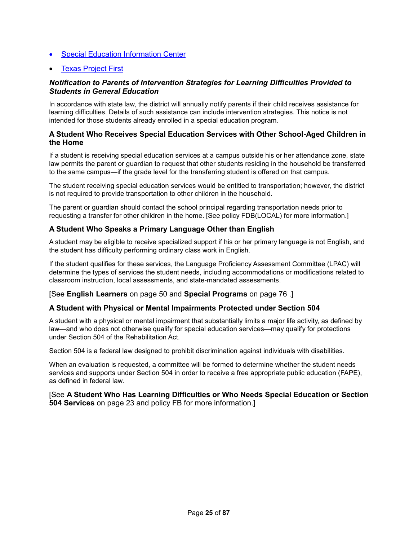- Special Education Information Center
- **Texas Project First**

# *Notification to Parents of Intervention Strategies for Learning Difficulties Provided to Students in General Education*

In accordance with state law, the district will annually notify parents if their child receives assistance for learning difficulties. Details of such assistance can include intervention strategies. This notice is not intended for those students already enrolled in a special education program.

# **A Student Who Receives Special Education Services with Other School-Aged Children in the Home**

If a student is receiving special education services at a campus outside his or her attendance zone, state law permits the parent or guardian to request that other students residing in the household be transferred to the same campus—if the grade level for the transferring student is offered on that campus.

The student receiving special education services would be entitled to transportation; however, the district is not required to provide transportation to other children in the household.

The parent or guardian should contact the school principal regarding transportation needs prior to requesting a transfer for other children in the home. [See policy FDB(LOCAL) for more information.]

# **A Student Who Speaks a Primary Language Other than English**

A student may be eligible to receive specialized support if his or her primary language is not English, and the student has difficulty performing ordinary class work in English.

If the student qualifies for these services, the Language Proficiency Assessment Committee (LPAC) will determine the types of services the student needs, including accommodations or modifications related to classroom instruction, local assessments, and state-mandated assessments.

#### [See **English Learners** on page 50 and **Special Programs** on page 76 .]

#### **A Student with Physical or Mental Impairments Protected under Section 504**

A student with a physical or mental impairment that substantially limits a major life activity, as defined by law—and who does not otherwise qualify for special education services—may qualify for protections under Section 504 of the Rehabilitation Act.

Section 504 is a federal law designed to prohibit discrimination against individuals with disabilities.

When an evaluation is requested, a committee will be formed to determine whether the student needs services and supports under Section 504 in order to receive a free appropriate public education (FAPE), as defined in federal law.

#### [See **A Student Who Has Learning Difficulties or Who Needs Special Education or Section 504 Services** on page 23 and policy FB for more information.]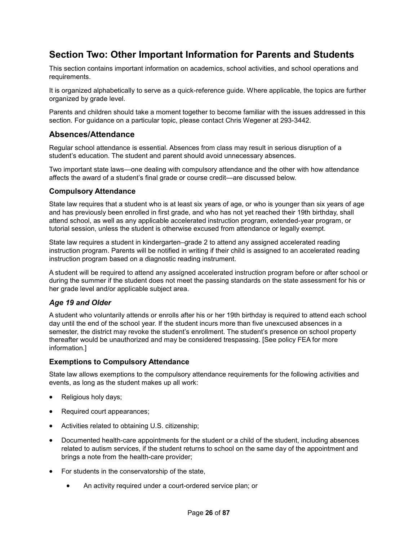# **Section Two: Other Important Information for Parents and Students**

This section contains important information on academics, school activities, and school operations and requirements.

It is organized alphabetically to serve as a quick-reference guide. Where applicable, the topics are further organized by grade level.

Parents and children should take a moment together to become familiar with the issues addressed in this section. For guidance on a particular topic, please contact Chris Wegener at 293-3442.

# **Absences/Attendance**

Regular school attendance is essential. Absences from class may result in serious disruption of a student's education. The student and parent should avoid unnecessary absences.

Two important state laws—one dealing with compulsory attendance and the other with how attendance affects the award of a student's final grade or course credit—are discussed below.

#### **Compulsory Attendance**

State law requires that a student who is at least six years of age, or who is younger than six years of age and has previously been enrolled in first grade, and who has not yet reached their 19th birthday, shall attend school, as well as any applicable accelerated instruction program, extended-year program, or tutorial session, unless the student is otherwise excused from attendance or legally exempt.

State law requires a student in kindergarten–grade 2 to attend any assigned accelerated reading instruction program. Parents will be notified in writing if their child is assigned to an accelerated reading instruction program based on a diagnostic reading instrument.

A student will be required to attend any assigned accelerated instruction program before or after school or during the summer if the student does not meet the passing standards on the state assessment for his or her grade level and/or applicable subject area.

## *Age 19 and Older*

A student who voluntarily attends or enrolls after his or her 19th birthday is required to attend each school day until the end of the school year. If the student incurs more than five unexcused absences in a semester, the district may revoke the student's enrollment. The student's presence on school property thereafter would be unauthorized and may be considered trespassing. [See policy FEA for more information.]

#### **Exemptions to Compulsory Attendance**

State law allows exemptions to the compulsory attendance requirements for the following activities and events, as long as the student makes up all work:

- Religious holy days;
- Required court appearances;
- Activities related to obtaining U.S. citizenship;
- Documented health-care appointments for the student or a child of the student, including absences related to autism services, if the student returns to school on the same day of the appointment and brings a note from the health-care provider;
- For students in the conservatorship of the state,
	- An activity required under a court-ordered service plan; or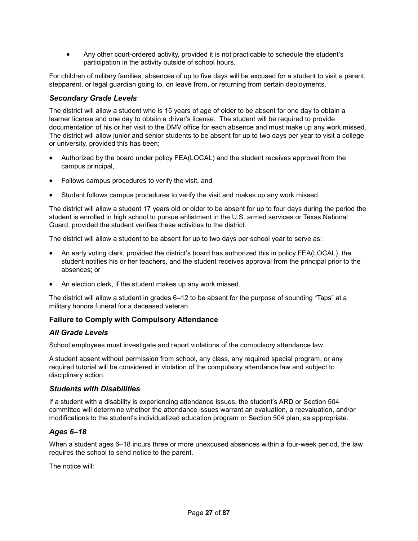• Any other court-ordered activity, provided it is not practicable to schedule the student's participation in the activity outside of school hours.

For children of military families, absences of up to five days will be excused for a student to visit a parent, stepparent, or legal guardian going to, on leave from, or returning from certain deployments.

# *Secondary Grade Levels*

The district will allow a student who is 15 years of age of older to be absent for one day to obtain a learner license and one day to obtain a driver's license. The student will be required to provide documentation of his or her visit to the DMV office for each absence and must make up any work missed. The district will allow junior and senior students to be absent for up to two days per year to visit a college or university, provided this has been;

- Authorized by the board under policy FEA(LOCAL) and the student receives approval from the campus principal,
- Follows campus procedures to verify the visit, and
- Student follows campus procedures to verify the visit and makes up any work missed.

The district will allow a student 17 years old or older to be absent for up to four days during the period the student is enrolled in high school to pursue enlistment in the U.S. armed services or Texas National Guard, provided the student verifies these activities to the district.

The district will allow a student to be absent for up to two days per school year to serve as:

- An early voting clerk, provided the district's board has authorized this in policy FEA(LOCAL), the student notifies his or her teachers, and the student receives approval from the principal prior to the absences; or
- An election clerk, if the student makes up any work missed.

The district will allow a student in grades 6–12 to be absent for the purpose of sounding "Taps" at a military honors funeral for a deceased veteran.

# **Failure to Comply with Compulsory Attendance**

## *All Grade Levels*

School employees must investigate and report violations of the compulsory attendance law.

A student absent without permission from school, any class, any required special program, or any required tutorial will be considered in violation of the compulsory attendance law and subject to disciplinary action.

## *Students with Disabilities*

If a student with a disability is experiencing attendance issues, the student's ARD or Section 504 committee will determine whether the attendance issues warrant an evaluation, a reevaluation, and/or modifications to the student's individualized education program or Section 504 plan, as appropriate.

# *Ages 6–18*

When a student ages 6–18 incurs three or more unexcused absences within a four-week period, the law requires the school to send notice to the parent.

The notice will: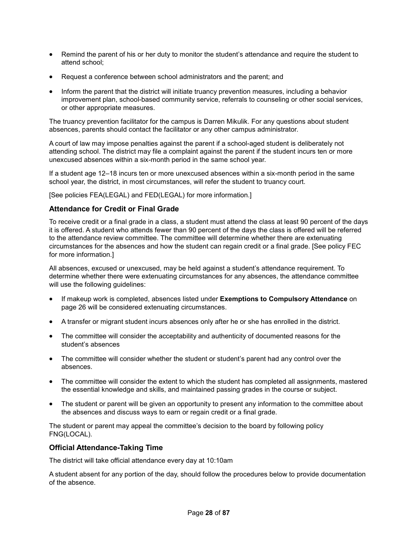- Remind the parent of his or her duty to monitor the student's attendance and require the student to attend school;
- Request a conference between school administrators and the parent; and
- Inform the parent that the district will initiate truancy prevention measures, including a behavior improvement plan, school-based community service, referrals to counseling or other social services, or other appropriate measures.

The truancy prevention facilitator for the campus is Darren Mikulik. For any questions about student absences, parents should contact the facilitator or any other campus administrator.

A court of law may impose penalties against the parent if a school-aged student is deliberately not attending school. The district may file a complaint against the parent if the student incurs ten or more unexcused absences within a six-month period in the same school year.

If a student age 12–18 incurs ten or more unexcused absences within a six-month period in the same school year, the district, in most circumstances, will refer the student to truancy court.

[See policies FEA(LEGAL) and FED(LEGAL) for more information.]

## **Attendance for Credit or Final Grade**

To receive credit or a final grade in a class, a student must attend the class at least 90 percent of the days it is offered. A student who attends fewer than 90 percent of the days the class is offered will be referred to the attendance review committee. The committee will determine whether there are extenuating circumstances for the absences and how the student can regain credit or a final grade. [See policy FEC for more information.]

All absences, excused or unexcused, may be held against a student's attendance requirement. To determine whether there were extenuating circumstances for any absences, the attendance committee will use the following guidelines:

- If makeup work is completed, absences listed under **Exemptions to Compulsory Attendance** on page 26 will be considered extenuating circumstances.
- A transfer or migrant student incurs absences only after he or she has enrolled in the district.
- The committee will consider the acceptability and authenticity of documented reasons for the student's absences
- The committee will consider whether the student or student's parent had any control over the absences.
- The committee will consider the extent to which the student has completed all assignments, mastered the essential knowledge and skills, and maintained passing grades in the course or subject.
- The student or parent will be given an opportunity to present any information to the committee about the absences and discuss ways to earn or regain credit or a final grade.

The student or parent may appeal the committee's decision to the board by following policy FNG(LOCAL).

## **Official Attendance-Taking Time**

The district will take official attendance every day at 10:10am

A student absent for any portion of the day, should follow the procedures below to provide documentation of the absence.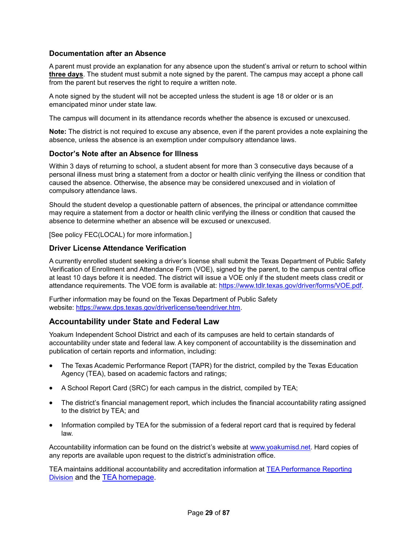# **Documentation after an Absence**

A parent must provide an explanation for any absence upon the student's arrival or return to school within **three days**. The student must submit a note signed by the parent. The campus may accept a phone call from the parent but reserves the right to require a written note.

A note signed by the student will not be accepted unless the student is age 18 or older or is an emancipated minor under state law.

The campus will document in its attendance records whether the absence is excused or unexcused.

**Note:** The district is not required to excuse any absence, even if the parent provides a note explaining the absence, unless the absence is an exemption under compulsory attendance laws.

#### **Doctor's Note after an Absence for Illness**

Within 3 days of returning to school, a student absent for more than 3 consecutive days because of a personal illness must bring a statement from a doctor or health clinic verifying the illness or condition that caused the absence. Otherwise, the absence may be considered unexcused and in violation of compulsory attendance laws.

Should the student develop a questionable pattern of absences, the principal or attendance committee may require a statement from a doctor or health clinic verifying the illness or condition that caused the absence to determine whether an absence will be excused or unexcused.

[See policy FEC(LOCAL) for more information.]

#### **Driver License Attendance Verification**

A currently enrolled student seeking a driver's license shall submit the Texas Department of Public Safety Verification of Enrollment and Attendance Form (VOE), signed by the parent, to the campus central office at least 10 days before it is needed. The district will issue a VOE only if the student meets class credit or attendance requirements. The VOE form is available at: https://www.tdlr.texas.gov/driver/forms/VOE.pdf.

Further information may be found on the Texas Department of Public Safety website: https://www.dps.texas.gov/driverlicense/teendriver.htm.

# **Accountability under State and Federal Law**

Yoakum Independent School District and each of its campuses are held to certain standards of accountability under state and federal law. A key component of accountability is the dissemination and publication of certain reports and information, including:

- The Texas Academic Performance Report (TAPR) for the district, compiled by the Texas Education Agency (TEA), based on academic factors and ratings;
- A School Report Card (SRC) for each campus in the district, compiled by TEA;
- The district's financial management report, which includes the financial accountability rating assigned to the district by TEA; and
- Information compiled by TEA for the submission of a federal report card that is required by federal law.

Accountability information can be found on the district's website at www.yoakumisd.net. Hard copies of any reports are available upon request to the district's administration office.

TEA maintains additional accountability and accreditation information at TEA Performance Reporting Division and the TEA homepage.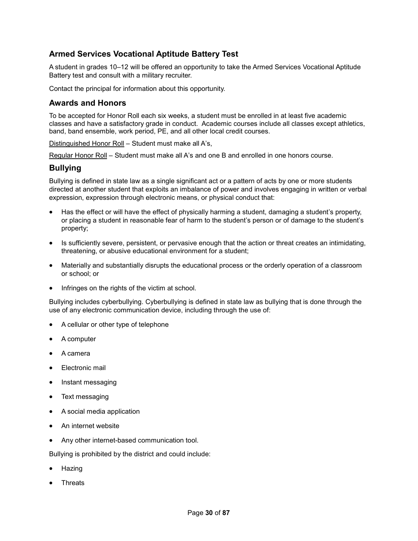# **Armed Services Vocational Aptitude Battery Test**

A student in grades 10–12 will be offered an opportunity to take the Armed Services Vocational Aptitude Battery test and consult with a military recruiter.

Contact the principal for information about this opportunity.

# **Awards and Honors**

To be accepted for Honor Roll each six weeks, a student must be enrolled in at least five academic classes and have a satisfactory grade in conduct. Academic courses include all classes except athletics, band, band ensemble, work period, PE, and all other local credit courses.

Distinguished Honor Roll – Student must make all A's,

Regular Honor Roll - Student must make all A's and one B and enrolled in one honors course.

## **Bullying**

Bullying is defined in state law as a single significant act or a pattern of acts by one or more students directed at another student that exploits an imbalance of power and involves engaging in written or verbal expression, expression through electronic means, or physical conduct that:

- Has the effect or will have the effect of physically harming a student, damaging a student's property, or placing a student in reasonable fear of harm to the student's person or of damage to the student's property;
- Is sufficiently severe, persistent, or pervasive enough that the action or threat creates an intimidating, threatening, or abusive educational environment for a student;
- Materially and substantially disrupts the educational process or the orderly operation of a classroom or school; or
- Infringes on the rights of the victim at school.

Bullying includes cyberbullying. Cyberbullying is defined in state law as bullying that is done through the use of any electronic communication device, including through the use of:

- A cellular or other type of telephone
- A computer
- A camera
- Electronic mail
- Instant messaging
- Text messaging
- A social media application
- An internet website
- Any other internet-based communication tool.

Bullying is prohibited by the district and could include:

- Hazing
- **Threats**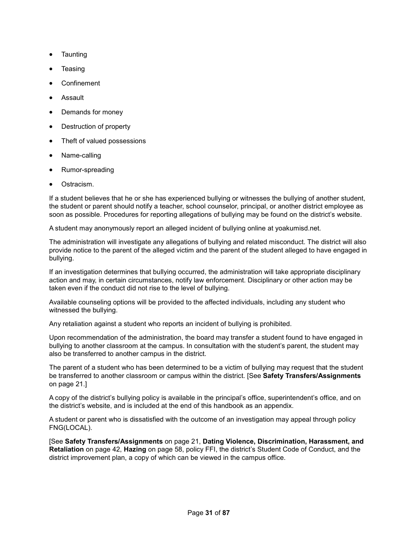- Taunting
- **Teasing**
- **Confinement**
- Assault
- Demands for money
- Destruction of property
- Theft of valued possessions
- Name-calling
- Rumor-spreading
- Ostracism.

If a student believes that he or she has experienced bullying or witnesses the bullying of another student, the student or parent should notify a teacher, school counselor, principal, or another district employee as soon as possible. Procedures for reporting allegations of bullying may be found on the district's website.

A student may anonymously report an alleged incident of bullying online at yoakumisd.net.

The administration will investigate any allegations of bullying and related misconduct. The district will also provide notice to the parent of the alleged victim and the parent of the student alleged to have engaged in bullying.

If an investigation determines that bullying occurred, the administration will take appropriate disciplinary action and may, in certain circumstances, notify law enforcement. Disciplinary or other action may be taken even if the conduct did not rise to the level of bullying.

Available counseling options will be provided to the affected individuals, including any student who witnessed the bullying.

Any retaliation against a student who reports an incident of bullying is prohibited.

Upon recommendation of the administration, the board may transfer a student found to have engaged in bullying to another classroom at the campus. In consultation with the student's parent, the student may also be transferred to another campus in the district.

The parent of a student who has been determined to be a victim of bullying may request that the student be transferred to another classroom or campus within the district. [See **Safety Transfers/Assignments**  on page 21.]

A copy of the district's bullying policy is available in the principal's office, superintendent's office, and on the district's website, and is included at the end of this handbook as an appendix.

A student or parent who is dissatisfied with the outcome of an investigation may appeal through policy FNG(LOCAL).

[See **Safety Transfers/Assignments** on page 21, **Dating Violence, Discrimination, Harassment, and Retaliation** on page 42, **Hazing** on page 58, policy FFI, the district's Student Code of Conduct, and the district improvement plan, a copy of which can be viewed in the campus office.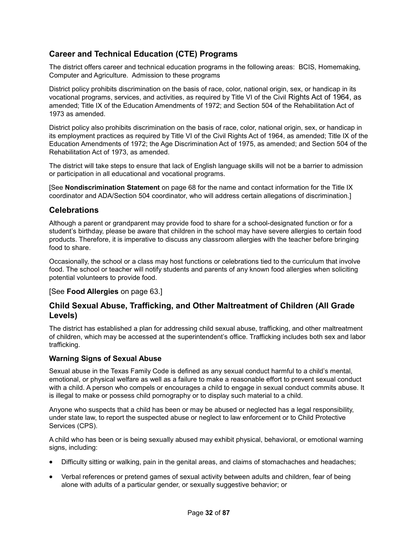# **Career and Technical Education (CTE) Programs**

The district offers career and technical education programs in the following areas: BCIS, Homemaking, Computer and Agriculture. Admission to these programs

District policy prohibits discrimination on the basis of race, color, national origin, sex, or handicap in its vocational programs, services, and activities, as required by Title VI of the Civil Rights Act of 1964, as amended; Title IX of the Education Amendments of 1972; and Section 504 of the Rehabilitation Act of 1973 as amended.

District policy also prohibits discrimination on the basis of race, color, national origin, sex, or handicap in its employment practices as required by Title VI of the Civil Rights Act of 1964, as amended; Title IX of the Education Amendments of 1972; the Age Discrimination Act of 1975, as amended; and Section 504 of the Rehabilitation Act of 1973, as amended.

The district will take steps to ensure that lack of English language skills will not be a barrier to admission or participation in all educational and vocational programs.

[See **Nondiscrimination Statement** on page 68 for the name and contact information for the Title IX coordinator and ADA/Section 504 coordinator, who will address certain allegations of discrimination.]

# **Celebrations**

Although a parent or grandparent may provide food to share for a school-designated function or for a student's birthday, please be aware that children in the school may have severe allergies to certain food products. Therefore, it is imperative to discuss any classroom allergies with the teacher before bringing food to share.

Occasionally, the school or a class may host functions or celebrations tied to the curriculum that involve food. The school or teacher will notify students and parents of any known food allergies when soliciting potential volunteers to provide food.

## [See **Food Allergies** on page 63.]

# **Child Sexual Abuse, Trafficking, and Other Maltreatment of Children (All Grade Levels)**

The district has established a plan for addressing child sexual abuse, trafficking, and other maltreatment of children, which may be accessed at the superintendent's office. Trafficking includes both sex and labor trafficking.

## **Warning Signs of Sexual Abuse**

Sexual abuse in the Texas Family Code is defined as any sexual conduct harmful to a child's mental, emotional, or physical welfare as well as a failure to make a reasonable effort to prevent sexual conduct with a child. A person who compels or encourages a child to engage in sexual conduct commits abuse. It is illegal to make or possess child pornography or to display such material to a child.

Anyone who suspects that a child has been or may be abused or neglected has a legal responsibility, under state law, to report the suspected abuse or neglect to law enforcement or to Child Protective Services (CPS).

A child who has been or is being sexually abused may exhibit physical, behavioral, or emotional warning signs, including:

- Difficulty sitting or walking, pain in the genital areas, and claims of stomachaches and headaches;
- Verbal references or pretend games of sexual activity between adults and children, fear of being alone with adults of a particular gender, or sexually suggestive behavior; or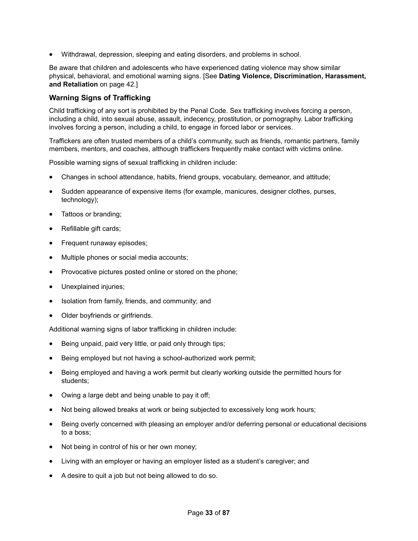• Withdrawal, depression, sleeping and eating disorders, and problems in school.

Be aware that children and adolescents who have experienced dating violence may show similar physical, behavioral, and emotional warning signs. [See **Dating Violence, Discrimination, Harassment, and Retaliation** on page 42.]

# **Warning Signs of Trafficking**

Child trafficking of any sort is prohibited by the Penal Code. Sex trafficking involves forcing a person, including a child, into sexual abuse, assault, indecency, prostitution, or pornography. Labor trafficking involves forcing a person, including a child, to engage in forced labor or services.

Traffickers are often trusted members of a child's community, such as friends, romantic partners, family members, mentors, and coaches, although traffickers frequently make contact with victims online.

Possible warning signs of sexual trafficking in children include:

- Changes in school attendance, habits, friend groups, vocabulary, demeanor, and attitude;
- Sudden appearance of expensive items (for example, manicures, designer clothes, purses, technology);
- Tattoos or branding;
- Refillable gift cards;
- Frequent runaway episodes;
- Multiple phones or social media accounts;
- Provocative pictures posted online or stored on the phone;
- Unexplained injuries:
- Isolation from family, friends, and community; and
- Older boyfriends or girlfriends.

Additional warning signs of labor trafficking in children include:

- Being unpaid, paid very little, or paid only through tips;
- Being employed but not having a school-authorized work permit;
- Being employed and having a work permit but clearly working outside the permitted hours for students;
- Owing a large debt and being unable to pay it off;
- Not being allowed breaks at work or being subjected to excessively long work hours;
- Being overly concerned with pleasing an employer and/or deferring personal or educational decisions to a boss;
- Not being in control of his or her own money;
- Living with an employer or having an employer listed as a student's caregiver; and
- A desire to quit a job but not being allowed to do so.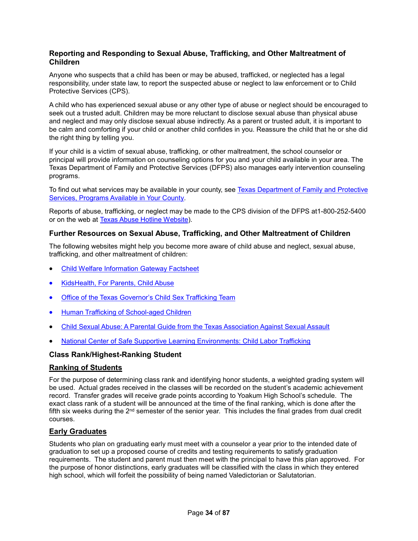# **Reporting and Responding to Sexual Abuse, Trafficking, and Other Maltreatment of Children**

Anyone who suspects that a child has been or may be abused, trafficked, or neglected has a legal responsibility, under state law, to report the suspected abuse or neglect to law enforcement or to Child Protective Services (CPS).

A child who has experienced sexual abuse or any other type of abuse or neglect should be encouraged to seek out a trusted adult. Children may be more reluctant to disclose sexual abuse than physical abuse and neglect and may only disclose sexual abuse indirectly. As a parent or trusted adult, it is important to be calm and comforting if your child or another child confides in you. Reassure the child that he or she did the right thing by telling you.

If your child is a victim of sexual abuse, trafficking, or other maltreatment, the school counselor or principal will provide information on counseling options for you and your child available in your area. The Texas Department of Family and Protective Services (DFPS) also manages early intervention counseling programs.

To find out what services may be available in your county, see Texas Department of Family and Protective Services, Programs Available in Your County.

Reports of abuse, trafficking, or neglect may be made to the CPS division of the DFPS at1-800-252-5400 or on the web at Texas Abuse Hotline Website).

# **Further Resources on Sexual Abuse, Trafficking, and Other Maltreatment of Children**

The following websites might help you become more aware of child abuse and neglect, sexual abuse, trafficking, and other maltreatment of children:

- Child Welfare Information Gateway Factsheet
- KidsHealth, For Parents, Child Abuse
- Office of the Texas Governor's Child Sex Trafficking Team
- Human Trafficking of School-aged Children
- Child Sexual Abuse: A Parental Guide from the Texas Association Against Sexual Assault
- National Center of Safe Supportive Learning Environments: Child Labor Trafficking

# **Class Rank/Highest-Ranking Student**

## **Ranking of Students**

For the purpose of determining class rank and identifying honor students, a weighted grading system will be used. Actual grades received in the classes will be recorded on the student's academic achievement record. Transfer grades will receive grade points according to Yoakum High School's schedule. The exact class rank of a student will be announced at the time of the final ranking, which is done after the fifth six weeks during the  $2<sup>nd</sup>$  semester of the senior year. This includes the final grades from dual credit courses.

## **Early Graduates**

Students who plan on graduating early must meet with a counselor a year prior to the intended date of graduation to set up a proposed course of credits and testing requirements to satisfy graduation requirements. The student and parent must then meet with the principal to have this plan approved. For the purpose of honor distinctions, early graduates will be classified with the class in which they entered high school, which will forfeit the possibility of being named Valedictorian or Salutatorian.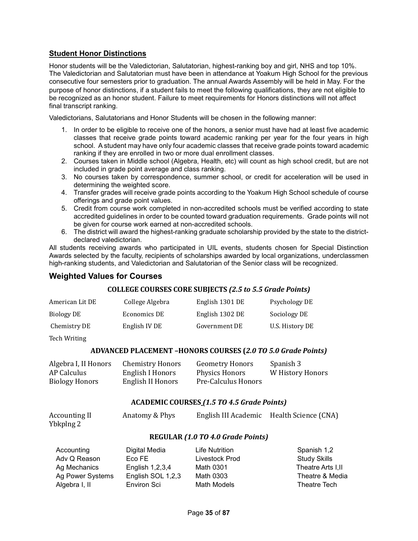# **Student Honor Distinctions**

Honor students will be the Valedictorian, Salutatorian, highest-ranking boy and girl, NHS and top 10%. The Valedictorian and Salutatorian must have been in attendance at Yoakum High School for the previous consecutive four semesters prior to graduation. The annual Awards Assembly will be held in May. For the purpose of honor distinctions, if a student fails to meet the following qualifications, they are not eligible to be recognized as an honor student. Failure to meet requirements for Honors distinctions will not affect final transcript ranking.

Valedictorians, Salutatorians and Honor Students will be chosen in the following manner:

- 1. In order to be eligible to receive one of the honors, a senior must have had at least five academic classes that receive grade points toward academic ranking per year for the four years in high school. A student may have only four academic classes that receive grade points toward academic ranking if they are enrolled in two or more dual enrollment classes.
- 2. Courses taken in Middle school (Algebra, Health, etc) will count as high school credit, but are not included in grade point average and class ranking.
- 3. No courses taken by correspondence, summer school, or credit for acceleration will be used in determining the weighted score.
- 4. Transfer grades will receive grade points according to the Yoakum High School schedule of course offerings and grade point values.
- 5. Credit from course work completed in non-accredited schools must be verified according to state accredited guidelines in order to be counted toward graduation requirements. Grade points will not be given for course work earned at non-accredited schools.
- 6. The district will award the highest-ranking graduate scholarship provided by the state to the districtdeclared valedictorian.

All students receiving awards who participated in UIL events, students chosen for Special Distinction Awards selected by the faculty, recipients of scholarships awarded by local organizations, underclassmen high-ranking students, and Valedictorian and Salutatorian of the Senior class will be recognized.

# **Weighted Values for Courses**

# **COLLEGE COURSES CORE SUBJECTS** *(2.5 to 5.5 Grade Points)*

| American Lit DE | College Algebra | English 1301 DE | Psychology DE   |
|-----------------|-----------------|-----------------|-----------------|
| Biology DE      | Economics DE    | English 1302 DE | Sociology DE    |
| Chemistry DE    | English IV DE   | Government DE   | U.S. History DE |

Tech Writing

## **ADVANCED PLACEMENT –HONORS COURSES (***2.0 TO 5.0 Grade Points)*

| Algebra I, II Honors  | <b>Chemistry Honors</b> | <b>Geometry Honors</b> | Spanish 3        |
|-----------------------|-------------------------|------------------------|------------------|
| AP Calculus           | English I Honors        | Physics Honors         | W History Honors |
| <b>Biology Honors</b> | English II Honors       | Pre-Calculus Honors    |                  |

## **ACADEMIC COURSES** *(1.5 TO 4.5 Grade Points)*

| Accounting II<br>Ybkplng 2 | Anatomy & Phys     |                                   | English III Academic Health Science (CNA) |
|----------------------------|--------------------|-----------------------------------|-------------------------------------------|
|                            |                    | REGULAR (1.0 TO 4.0 Grade Points) |                                           |
| Accounting                 | Digital Media      | <b>Life Nutrition</b>             | Spanish 1,2                               |
| Adv Q Reason               | Eco FE             | Livestock Prod                    | <b>Study Skills</b>                       |
| Ag Mechanics               | English 1,2,3,4    | Math 0301                         | Theatre Arts I, II                        |
| Ag Power Systems           | English SOL 1,2,3  | Math 0303                         | Theatre & Media                           |
| Algebra I, II              | <b>Environ Sci</b> | <b>Math Models</b>                | Theatre Tech                              |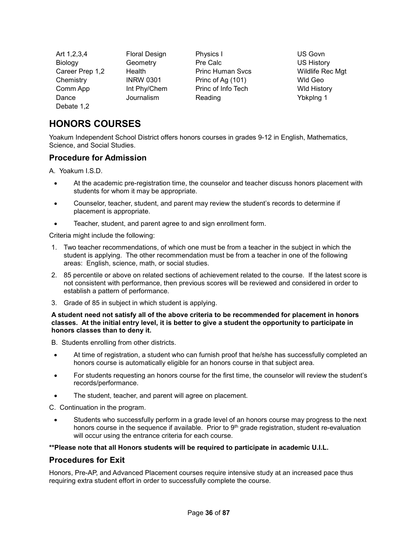| Art 1,2,3,4     | <b>Floral Design</b> | Physics I               | US Govn            |
|-----------------|----------------------|-------------------------|--------------------|
| Biology         | Geometry             | Pre Calc                | <b>US History</b>  |
| Career Prep 1,2 | Health               | <b>Princ Human Svcs</b> | Wildlife Rec Mgt   |
| Chemistry       | <b>INRW 0301</b>     | Princ of Ag (101)       | Wld Geo            |
| Comm App        | Int Phy/Chem         | Princ of Info Tech      | <b>WId History</b> |
| Dance           | Journalism           | Reading                 | Ybkplng 1          |
| Debate 1,2      |                      |                         |                    |

# **HONORS COURSES**

Yoakum Independent School District offers honors courses in grades 9-12 in English, Mathematics, Science, and Social Studies.

# **Procedure for Admission**

A. Yoakum I.S.D.

- At the academic pre-registration time, the counselor and teacher discuss honors placement with students for whom it may be appropriate.
- Counselor, teacher, student, and parent may review the student's records to determine if placement is appropriate.
- Teacher, student, and parent agree to and sign enrollment form.

Criteria might include the following:

- 1. Two teacher recommendations, of which one must be from a teacher in the subject in which the student is applying. The other recommendation must be from a teacher in one of the following areas: English, science, math, or social studies.
- 2. 85 percentile or above on related sections of achievement related to the course. If the latest score is not consistent with performance, then previous scores will be reviewed and considered in order to establish a pattern of performance.
- 3. Grade of 85 in subject in which student is applying.

**A student need not satisfy all of the above criteria to be recommended for placement in honors classes. At the initial entry level, it is better to give a student the opportunity to participate in honors classes than to deny it.** 

B. Students enrolling from other districts.

- At time of registration, a student who can furnish proof that he/she has successfully completed an honors course is automatically eligible for an honors course in that subject area.
- For students requesting an honors course for the first time, the counselor will review the student's records/performance.
- The student, teacher, and parent will agree on placement.

C. Continuation in the program.

• Students who successfully perform in a grade level of an honors course may progress to the next honors course in the sequence if available. Prior to  $9<sup>th</sup>$  grade registration, student re-evaluation will occur using the entrance criteria for each course.

**\*\*Please note that all Honors students will be required to participate in academic U.I.L.**

## **Procedures for Exit**

Honors, Pre-AP, and Advanced Placement courses require intensive study at an increased pace thus requiring extra student effort in order to successfully complete the course.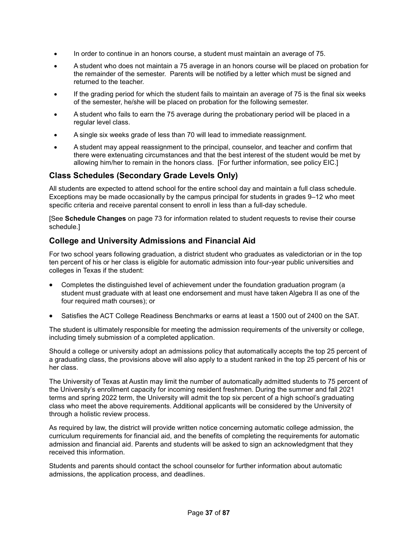- In order to continue in an honors course, a student must maintain an average of 75.
- A student who does not maintain a 75 average in an honors course will be placed on probation for the remainder of the semester. Parents will be notified by a letter which must be signed and returned to the teacher.
- If the grading period for which the student fails to maintain an average of 75 is the final six weeks of the semester, he/she will be placed on probation for the following semester.
- A student who fails to earn the 75 average during the probationary period will be placed in a regular level class.
- A single six weeks grade of less than 70 will lead to immediate reassignment.
- A student may appeal reassignment to the principal, counselor, and teacher and confirm that there were extenuating circumstances and that the best interest of the student would be met by allowing him/her to remain in the honors class. [For further information, see policy EIC.]

# **Class Schedules (Secondary Grade Levels Only)**

All students are expected to attend school for the entire school day and maintain a full class schedule. Exceptions may be made occasionally by the campus principal for students in grades 9–12 who meet specific criteria and receive parental consent to enroll in less than a full-day schedule.

[See **Schedule Changes** on page 73 for information related to student requests to revise their course schedule.]

# **College and University Admissions and Financial Aid**

For two school years following graduation, a district student who graduates as valedictorian or in the top ten percent of his or her class is eligible for automatic admission into four-year public universities and colleges in Texas if the student:

- Completes the distinguished level of achievement under the foundation graduation program (a student must graduate with at least one endorsement and must have taken Algebra II as one of the four required math courses); or
- Satisfies the ACT College Readiness Benchmarks or earns at least a 1500 out of 2400 on the SAT.

The student is ultimately responsible for meeting the admission requirements of the university or college, including timely submission of a completed application.

Should a college or university adopt an admissions policy that automatically accepts the top 25 percent of a graduating class, the provisions above will also apply to a student ranked in the top 25 percent of his or her class.

The University of Texas at Austin may limit the number of automatically admitted students to 75 percent of the University's enrollment capacity for incoming resident freshmen. During the summer and fall 2021 terms and spring 2022 term, the University will admit the top six percent of a high school's graduating class who meet the above requirements. Additional applicants will be considered by the University of through a holistic review process.

As required by law, the district will provide written notice concerning automatic college admission, the curriculum requirements for financial aid, and the benefits of completing the requirements for automatic admission and financial aid. Parents and students will be asked to sign an acknowledgment that they received this information.

Students and parents should contact the school counselor for further information about automatic admissions, the application process, and deadlines.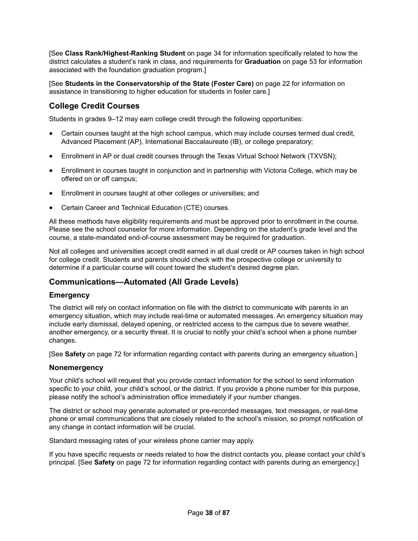[See **Class Rank/Highest-Ranking Student** on page 34 for information specifically related to how the district calculates a student's rank in class, and requirements for **Graduation** on page 53 for information associated with the foundation graduation program.]

[See **Students in the Conservatorship of the State (Foster Care)** on page 22 for information on assistance in transitioning to higher education for students in foster care.]

# **College Credit Courses**

Students in grades 9–12 may earn college credit through the following opportunities:

- Certain courses taught at the high school campus, which may include courses termed dual credit, Advanced Placement (AP), International Baccalaureate (IB), or college preparatory;
- Enrollment in AP or dual credit courses through the Texas Virtual School Network (TXVSN);
- Enrollment in courses taught in conjunction and in partnership with Victoria College, which may be offered on or off campus;
- Enrollment in courses taught at other colleges or universities; and
- Certain Career and Technical Education (CTE) courses.

All these methods have eligibility requirements and must be approved prior to enrollment in the course. Please see the school counselor for more information. Depending on the student's grade level and the course, a state-mandated end-of-course assessment may be required for graduation.

Not all colleges and universities accept credit earned in all dual credit or AP courses taken in high school for college credit. Students and parents should check with the prospective college or university to determine if a particular course will count toward the student's desired degree plan.

# **Communications—Automated (All Grade Levels)**

### **Emergency**

The district will rely on contact information on file with the district to communicate with parents in an emergency situation, which may include real-time or automated messages. An emergency situation may include early dismissal, delayed opening, or restricted access to the campus due to severe weather, another emergency, or a security threat. It is crucial to notify your child's school when a phone number changes.

[See **Safety** on page 72 for information regarding contact with parents during an emergency situation.]

### **Nonemergency**

Your child's school will request that you provide contact information for the school to send information specific to your child, your child's school, or the district. If you provide a phone number for this purpose, please notify the school's administration office immediately if your number changes.

The district or school may generate automated or pre-recorded messages, text messages, or real-time phone or email communications that are closely related to the school's mission, so prompt notification of any change in contact information will be crucial.

Standard messaging rates of your wireless phone carrier may apply.

If you have specific requests or needs related to how the district contacts you, please contact your child's principal. [See **Safety** on page 72 for information regarding contact with parents during an emergency.]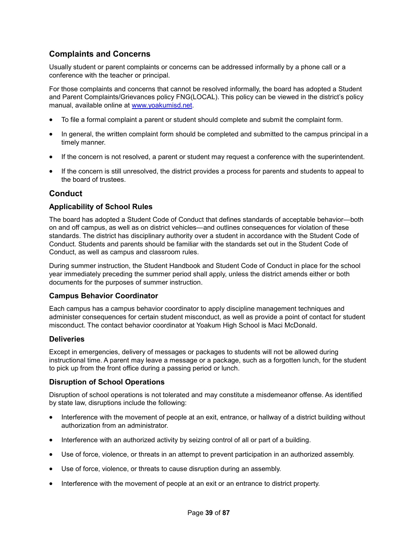# **Complaints and Concerns**

Usually student or parent complaints or concerns can be addressed informally by a phone call or a conference with the teacher or principal.

For those complaints and concerns that cannot be resolved informally, the board has adopted a Student and Parent Complaints/Grievances policy FNG(LOCAL). This policy can be viewed in the district's policy manual, available online at www.yoakumisd.net.

- To file a formal complaint a parent or student should complete and submit the complaint form.
- In general, the written complaint form should be completed and submitted to the campus principal in a timely manner.
- If the concern is not resolved, a parent or student may request a conference with the superintendent.
- If the concern is still unresolved, the district provides a process for parents and students to appeal to the board of trustees.

# **Conduct**

## **Applicability of School Rules**

The board has adopted a Student Code of Conduct that defines standards of acceptable behavior—both on and off campus, as well as on district vehicles—and outlines consequences for violation of these standards. The district has disciplinary authority over a student in accordance with the Student Code of Conduct. Students and parents should be familiar with the standards set out in the Student Code of Conduct, as well as campus and classroom rules.

During summer instruction, the Student Handbook and Student Code of Conduct in place for the school year immediately preceding the summer period shall apply, unless the district amends either or both documents for the purposes of summer instruction.

### **Campus Behavior Coordinator**

Each campus has a campus behavior coordinator to apply discipline management techniques and administer consequences for certain student misconduct, as well as provide a point of contact for student misconduct. The contact behavior coordinator at Yoakum High School is Maci McDonald.

### **Deliveries**

Except in emergencies, delivery of messages or packages to students will not be allowed during instructional time. A parent may leave a message or a package, such as a forgotten lunch, for the student to pick up from the front office during a passing period or lunch.

### **Disruption of School Operations**

Disruption of school operations is not tolerated and may constitute a misdemeanor offense. As identified by state law, disruptions include the following:

- Interference with the movement of people at an exit, entrance, or hallway of a district building without authorization from an administrator.
- Interference with an authorized activity by seizing control of all or part of a building.
- Use of force, violence, or threats in an attempt to prevent participation in an authorized assembly.
- Use of force, violence, or threats to cause disruption during an assembly.
- Interference with the movement of people at an exit or an entrance to district property.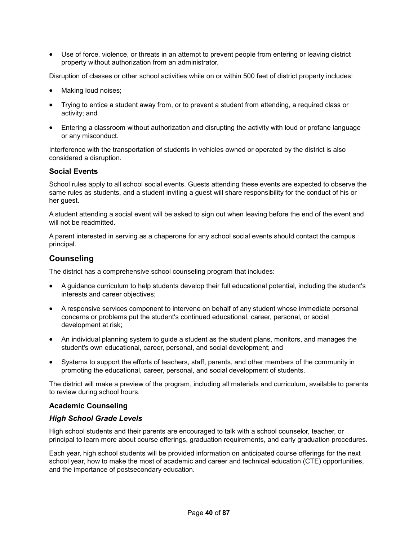• Use of force, violence, or threats in an attempt to prevent people from entering or leaving district property without authorization from an administrator.

Disruption of classes or other school activities while on or within 500 feet of district property includes:

- Making loud noises;
- Trying to entice a student away from, or to prevent a student from attending, a required class or activity; and
- Entering a classroom without authorization and disrupting the activity with loud or profane language or any misconduct.

Interference with the transportation of students in vehicles owned or operated by the district is also considered a disruption.

## **Social Events**

School rules apply to all school social events. Guests attending these events are expected to observe the same rules as students, and a student inviting a guest will share responsibility for the conduct of his or her guest.

A student attending a social event will be asked to sign out when leaving before the end of the event and will not be readmitted.

A parent interested in serving as a chaperone for any school social events should contact the campus principal.

# **Counseling**

The district has a comprehensive school counseling program that includes:

- A guidance curriculum to help students develop their full educational potential, including the student's interests and career objectives;
- A responsive services component to intervene on behalf of any student whose immediate personal concerns or problems put the student's continued educational, career, personal, or social development at risk;
- An individual planning system to guide a student as the student plans, monitors, and manages the student's own educational, career, personal, and social development; and
- Systems to support the efforts of teachers, staff, parents, and other members of the community in promoting the educational, career, personal, and social development of students.

The district will make a preview of the program, including all materials and curriculum, available to parents to review during school hours.

### **Academic Counseling**

### *High School Grade Levels*

High school students and their parents are encouraged to talk with a school counselor, teacher, or principal to learn more about course offerings, graduation requirements, and early graduation procedures.

Each year, high school students will be provided information on anticipated course offerings for the next school year, how to make the most of academic and career and technical education (CTE) opportunities, and the importance of postsecondary education.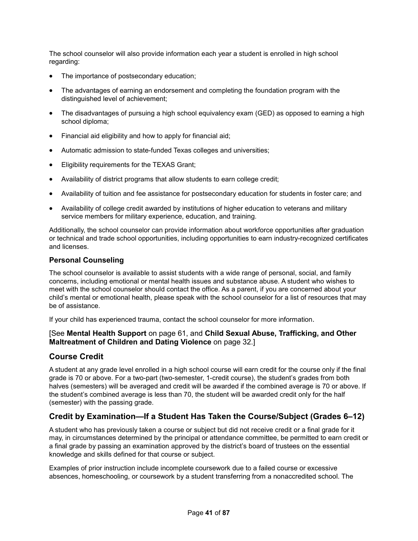The school counselor will also provide information each year a student is enrolled in high school regarding:

- The importance of postsecondary education;
- The advantages of earning an endorsement and completing the foundation program with the distinguished level of achievement;
- The disadvantages of pursuing a high school equivalency exam (GED) as opposed to earning a high school diploma;
- Financial aid eligibility and how to apply for financial aid;
- Automatic admission to state-funded Texas colleges and universities;
- Eligibility requirements for the TEXAS Grant;
- Availability of district programs that allow students to earn college credit;
- Availability of tuition and fee assistance for postsecondary education for students in foster care; and
- Availability of college credit awarded by institutions of higher education to veterans and military service members for military experience, education, and training.

Additionally, the school counselor can provide information about workforce opportunities after graduation or technical and trade school opportunities, including opportunities to earn industry-recognized certificates and licenses.

#### **Personal Counseling**

The school counselor is available to assist students with a wide range of personal, social, and family concerns, including emotional or mental health issues and substance abuse. A student who wishes to meet with the school counselor should contact the office. As a parent, if you are concerned about your child's mental or emotional health, please speak with the school counselor for a list of resources that may be of assistance.

If your child has experienced trauma, contact the school counselor for more information.

## [See **Mental Health Support** on page 61, and **Child Sexual Abuse, Trafficking, and Other Maltreatment of Children and Dating Violence** on page 32.]

# **Course Credit**

A student at any grade level enrolled in a high school course will earn credit for the course only if the final grade is 70 or above. For a two-part (two-semester, 1-credit course), the student's grades from both halves (semesters) will be averaged and credit will be awarded if the combined average is 70 or above. If the student's combined average is less than 70, the student will be awarded credit only for the half (semester) with the passing grade.

# **Credit by Examination—If a Student Has Taken the Course/Subject (Grades 6–12)**

A student who has previously taken a course or subject but did not receive credit or a final grade for it may, in circumstances determined by the principal or attendance committee, be permitted to earn credit or a final grade by passing an examination approved by the district's board of trustees on the essential knowledge and skills defined for that course or subject.

Examples of prior instruction include incomplete coursework due to a failed course or excessive absences, homeschooling, or coursework by a student transferring from a nonaccredited school. The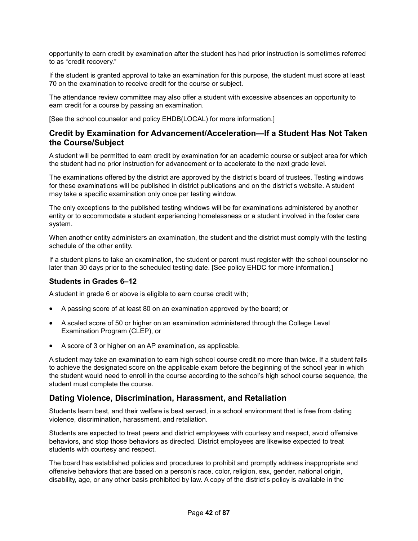opportunity to earn credit by examination after the student has had prior instruction is sometimes referred to as "credit recovery."

If the student is granted approval to take an examination for this purpose, the student must score at least 70 on the examination to receive credit for the course or subject.

The attendance review committee may also offer a student with excessive absences an opportunity to earn credit for a course by passing an examination.

[See the school counselor and policy EHDB(LOCAL) for more information.]

# **Credit by Examination for Advancement/Acceleration—If a Student Has Not Taken the Course/Subject**

A student will be permitted to earn credit by examination for an academic course or subject area for which the student had no prior instruction for advancement or to accelerate to the next grade level.

The examinations offered by the district are approved by the district's board of trustees. Testing windows for these examinations will be published in district publications and on the district's website. A student may take a specific examination only once per testing window.

The only exceptions to the published testing windows will be for examinations administered by another entity or to accommodate a student experiencing homelessness or a student involved in the foster care system.

When another entity administers an examination, the student and the district must comply with the testing schedule of the other entity.

If a student plans to take an examination, the student or parent must register with the school counselor no later than 30 days prior to the scheduled testing date. [See policy EHDC for more information.]

### **Students in Grades 6–12**

A student in grade 6 or above is eligible to earn course credit with;

- A passing score of at least 80 on an examination approved by the board; or
- A scaled score of 50 or higher on an examination administered through the College Level Examination Program (CLEP), or
- A score of 3 or higher on an AP examination, as applicable.

A student may take an examination to earn high school course credit no more than twice. If a student fails to achieve the designated score on the applicable exam before the beginning of the school year in which the student would need to enroll in the course according to the school's high school course sequence, the student must complete the course.

# **Dating Violence, Discrimination, Harassment, and Retaliation**

Students learn best, and their welfare is best served, in a school environment that is free from dating violence, discrimination, harassment, and retaliation.

Students are expected to treat peers and district employees with courtesy and respect, avoid offensive behaviors, and stop those behaviors as directed. District employees are likewise expected to treat students with courtesy and respect.

The board has established policies and procedures to prohibit and promptly address inappropriate and offensive behaviors that are based on a person's race, color, religion, sex, gender, national origin, disability, age, or any other basis prohibited by law. A copy of the district's policy is available in the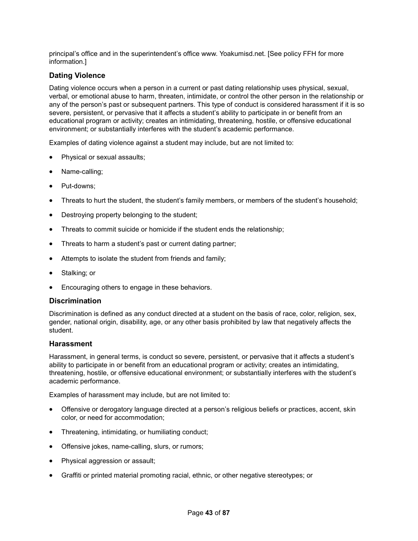principal's office and in the superintendent's office www. Yoakumisd.net. [See policy FFH for more information.]

## **Dating Violence**

Dating violence occurs when a person in a current or past dating relationship uses physical, sexual, verbal, or emotional abuse to harm, threaten, intimidate, or control the other person in the relationship or any of the person's past or subsequent partners. This type of conduct is considered harassment if it is so severe, persistent, or pervasive that it affects a student's ability to participate in or benefit from an educational program or activity; creates an intimidating, threatening, hostile, or offensive educational environment; or substantially interferes with the student's academic performance.

Examples of dating violence against a student may include, but are not limited to:

- Physical or sexual assaults;
- Name-calling;
- Put-downs:
- Threats to hurt the student, the student's family members, or members of the student's household;
- Destroying property belonging to the student;
- Threats to commit suicide or homicide if the student ends the relationship;
- Threats to harm a student's past or current dating partner;
- Attempts to isolate the student from friends and family;
- Stalking; or
- Encouraging others to engage in these behaviors.

#### **Discrimination**

Discrimination is defined as any conduct directed at a student on the basis of race, color, religion, sex, gender, national origin, disability, age, or any other basis prohibited by law that negatively affects the student.

#### **Harassment**

Harassment, in general terms, is conduct so severe, persistent, or pervasive that it affects a student's ability to participate in or benefit from an educational program or activity; creates an intimidating, threatening, hostile, or offensive educational environment; or substantially interferes with the student's academic performance.

Examples of harassment may include, but are not limited to:

- Offensive or derogatory language directed at a person's religious beliefs or practices, accent, skin color, or need for accommodation;
- Threatening, intimidating, or humiliating conduct;
- Offensive jokes, name-calling, slurs, or rumors;
- Physical aggression or assault;
- Graffiti or printed material promoting racial, ethnic, or other negative stereotypes; or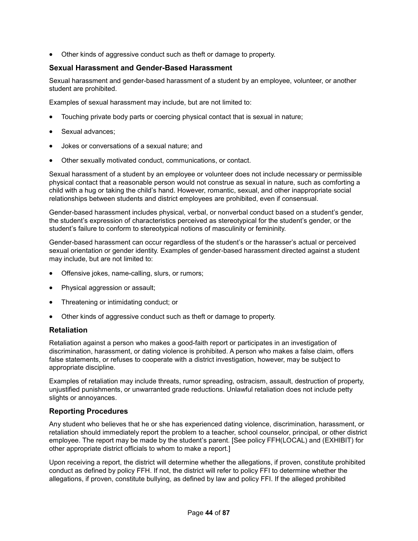• Other kinds of aggressive conduct such as theft or damage to property.

#### **Sexual Harassment and Gender-Based Harassment**

Sexual harassment and gender-based harassment of a student by an employee, volunteer, or another student are prohibited.

Examples of sexual harassment may include, but are not limited to:

- Touching private body parts or coercing physical contact that is sexual in nature;
- Sexual advances;
- Jokes or conversations of a sexual nature; and
- Other sexually motivated conduct, communications, or contact.

Sexual harassment of a student by an employee or volunteer does not include necessary or permissible physical contact that a reasonable person would not construe as sexual in nature, such as comforting a child with a hug or taking the child's hand. However, romantic, sexual, and other inappropriate social relationships between students and district employees are prohibited, even if consensual.

Gender-based harassment includes physical, verbal, or nonverbal conduct based on a student's gender, the student's expression of characteristics perceived as stereotypical for the student's gender, or the student's failure to conform to stereotypical notions of masculinity or femininity.

Gender-based harassment can occur regardless of the student's or the harasser's actual or perceived sexual orientation or gender identity. Examples of gender-based harassment directed against a student may include, but are not limited to:

- Offensive jokes, name-calling, slurs, or rumors;
- Physical aggression or assault;
- Threatening or intimidating conduct; or
- Other kinds of aggressive conduct such as theft or damage to property.

### **Retaliation**

Retaliation against a person who makes a good-faith report or participates in an investigation of discrimination, harassment, or dating violence is prohibited. A person who makes a false claim, offers false statements, or refuses to cooperate with a district investigation, however, may be subject to appropriate discipline.

Examples of retaliation may include threats, rumor spreading, ostracism, assault, destruction of property, unjustified punishments, or unwarranted grade reductions. Unlawful retaliation does not include petty slights or annoyances.

### **Reporting Procedures**

Any student who believes that he or she has experienced dating violence, discrimination, harassment, or retaliation should immediately report the problem to a teacher, school counselor, principal, or other district employee. The report may be made by the student's parent. [See policy FFH(LOCAL) and (EXHIBIT) for other appropriate district officials to whom to make a report.]

Upon receiving a report, the district will determine whether the allegations, if proven, constitute prohibited conduct as defined by policy FFH. If not, the district will refer to policy FFI to determine whether the allegations, if proven, constitute bullying, as defined by law and policy FFI. If the alleged prohibited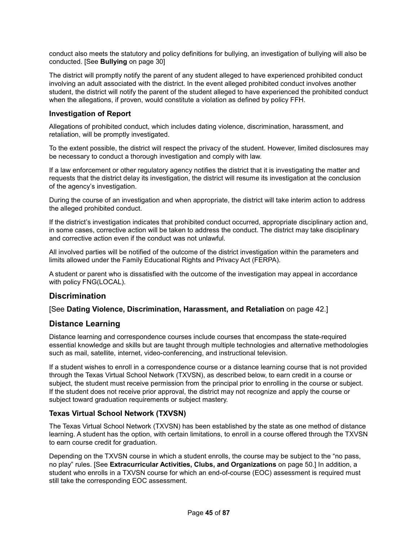conduct also meets the statutory and policy definitions for bullying, an investigation of bullying will also be conducted. [See **Bullying** on page 30]

The district will promptly notify the parent of any student alleged to have experienced prohibited conduct involving an adult associated with the district. In the event alleged prohibited conduct involves another student, the district will notify the parent of the student alleged to have experienced the prohibited conduct when the allegations, if proven, would constitute a violation as defined by policy FFH.

### **Investigation of Report**

Allegations of prohibited conduct, which includes dating violence, discrimination, harassment, and retaliation, will be promptly investigated.

To the extent possible, the district will respect the privacy of the student. However, limited disclosures may be necessary to conduct a thorough investigation and comply with law.

If a law enforcement or other regulatory agency notifies the district that it is investigating the matter and requests that the district delay its investigation, the district will resume its investigation at the conclusion of the agency's investigation.

During the course of an investigation and when appropriate, the district will take interim action to address the alleged prohibited conduct.

If the district's investigation indicates that prohibited conduct occurred, appropriate disciplinary action and, in some cases, corrective action will be taken to address the conduct. The district may take disciplinary and corrective action even if the conduct was not unlawful.

All involved parties will be notified of the outcome of the district investigation within the parameters and limits allowed under the Family Educational Rights and Privacy Act (FERPA).

A student or parent who is dissatisfied with the outcome of the investigation may appeal in accordance with policy FNG(LOCAL).

# **Discrimination**

### [See **Dating Violence, Discrimination, Harassment, and Retaliation** on page 42.]

# **Distance Learning**

Distance learning and correspondence courses include courses that encompass the state-required essential knowledge and skills but are taught through multiple technologies and alternative methodologies such as mail, satellite, internet, video-conferencing, and instructional television.

If a student wishes to enroll in a correspondence course or a distance learning course that is not provided through the Texas Virtual School Network (TXVSN), as described below, to earn credit in a course or subject, the student must receive permission from the principal prior to enrolling in the course or subject. If the student does not receive prior approval, the district may not recognize and apply the course or subject toward graduation requirements or subject mastery.

### **Texas Virtual School Network (TXVSN)**

The Texas Virtual School Network (TXVSN) has been established by the state as one method of distance learning. A student has the option, with certain limitations, to enroll in a course offered through the TXVSN to earn course credit for graduation.

Depending on the TXVSN course in which a student enrolls, the course may be subject to the "no pass, no play" rules. [See **Extracurricular Activities, Clubs, and Organizations** on page 50.] In addition, a student who enrolls in a TXVSN course for which an end-of-course (EOC) assessment is required must still take the corresponding EOC assessment.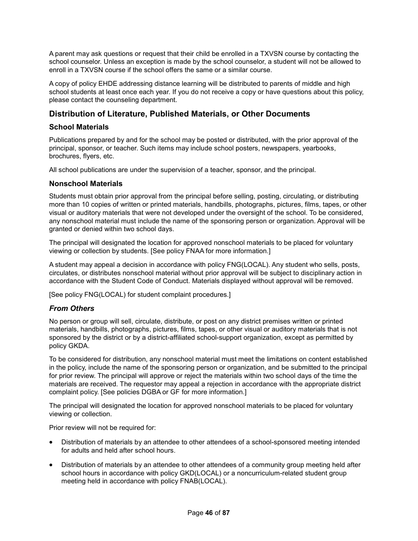A parent may ask questions or request that their child be enrolled in a TXVSN course by contacting the school counselor. Unless an exception is made by the school counselor, a student will not be allowed to enroll in a TXVSN course if the school offers the same or a similar course.

A copy of policy EHDE addressing distance learning will be distributed to parents of middle and high school students at least once each year. If you do not receive a copy or have questions about this policy, please contact the counseling department.

# **Distribution of Literature, Published Materials, or Other Documents**

## **School Materials**

Publications prepared by and for the school may be posted or distributed, with the prior approval of the principal, sponsor, or teacher. Such items may include school posters, newspapers, yearbooks, brochures, flyers, etc.

All school publications are under the supervision of a teacher, sponsor, and the principal.

### **Nonschool Materials**

Students must obtain prior approval from the principal before selling, posting, circulating, or distributing more than 10 copies of written or printed materials, handbills, photographs, pictures, films, tapes, or other visual or auditory materials that were not developed under the oversight of the school. To be considered, any nonschool material must include the name of the sponsoring person or organization. Approval will be granted or denied within two school days.

The principal will designated the location for approved nonschool materials to be placed for voluntary viewing or collection by students. [See policy FNAA for more information.]

A student may appeal a decision in accordance with policy FNG(LOCAL). Any student who sells, posts, circulates, or distributes nonschool material without prior approval will be subject to disciplinary action in accordance with the Student Code of Conduct. Materials displayed without approval will be removed.

[See policy FNG(LOCAL) for student complaint procedures.]

# *From Others*

No person or group will sell, circulate, distribute, or post on any district premises written or printed materials, handbills, photographs, pictures, films, tapes, or other visual or auditory materials that is not sponsored by the district or by a district-affiliated school-support organization, except as permitted by policy GKDA.

To be considered for distribution, any nonschool material must meet the limitations on content established in the policy, include the name of the sponsoring person or organization, and be submitted to the principal for prior review. The principal will approve or reject the materials within two school days of the time the materials are received. The requestor may appeal a rejection in accordance with the appropriate district complaint policy. [See policies DGBA or GF for more information.]

The principal will designated the location for approved nonschool materials to be placed for voluntary viewing or collection.

Prior review will not be required for:

- Distribution of materials by an attendee to other attendees of a school-sponsored meeting intended for adults and held after school hours.
- Distribution of materials by an attendee to other attendees of a community group meeting held after school hours in accordance with policy GKD(LOCAL) or a noncurriculum-related student group meeting held in accordance with policy FNAB(LOCAL).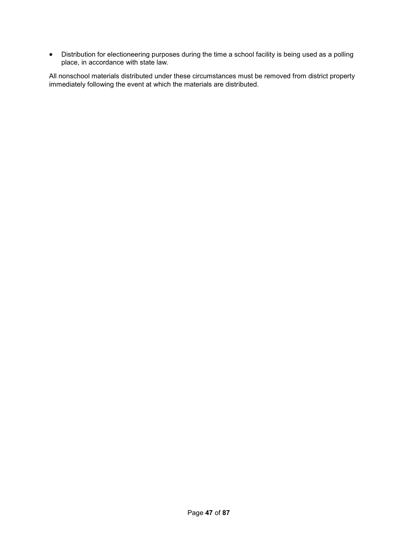• Distribution for electioneering purposes during the time a school facility is being used as a polling place, in accordance with state law.

All nonschool materials distributed under these circumstances must be removed from district property immediately following the event at which the materials are distributed.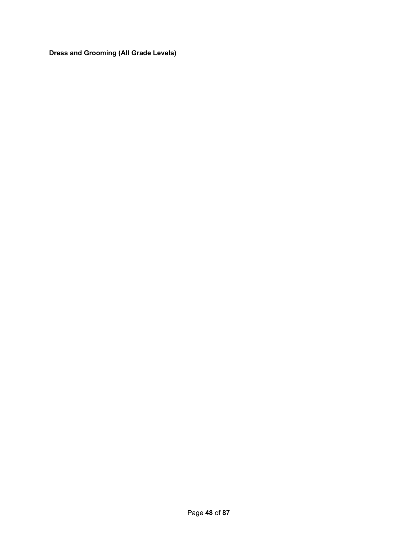**Dress and Grooming (All Grade Levels)**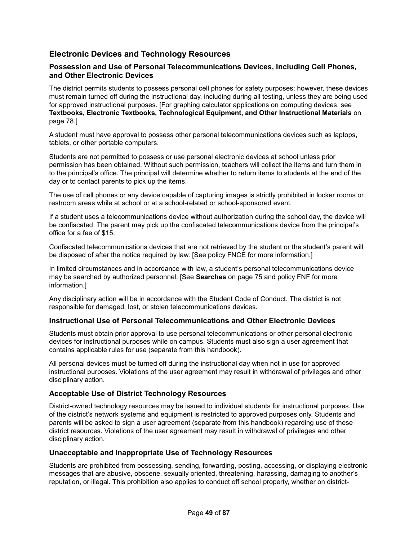# **Electronic Devices and Technology Resources**

## **Possession and Use of Personal Telecommunications Devices, Including Cell Phones, and Other Electronic Devices**

The district permits students to possess personal cell phones for safety purposes; however, these devices must remain turned off during the instructional day, including during all testing, unless they are being used for approved instructional purposes. [For graphing calculator applications on computing devices, see **Textbooks, Electronic Textbooks, Technological Equipment, and Other Instructional Materials** on page 78.]

A student must have approval to possess other personal telecommunications devices such as laptops, tablets, or other portable computers.

Students are not permitted to possess or use personal electronic devices at school unless prior permission has been obtained. Without such permission, teachers will collect the items and turn them in to the principal's office. The principal will determine whether to return items to students at the end of the day or to contact parents to pick up the items.

The use of cell phones or any device capable of capturing images is strictly prohibited in locker rooms or restroom areas while at school or at a school-related or school-sponsored event.

If a student uses a telecommunications device without authorization during the school day, the device will be confiscated. The parent may pick up the confiscated telecommunications device from the principal's office for a fee of \$15.

Confiscated telecommunications devices that are not retrieved by the student or the student's parent will be disposed of after the notice required by law. [See policy FNCE for more information.]

In limited circumstances and in accordance with law, a student's personal telecommunications device may be searched by authorized personnel. [See **Searches** on page 75 and policy FNF for more information.]

Any disciplinary action will be in accordance with the Student Code of Conduct. The district is not responsible for damaged, lost, or stolen telecommunications devices.

# **Instructional Use of Personal Telecommunications and Other Electronic Devices**

Students must obtain prior approval to use personal telecommunications or other personal electronic devices for instructional purposes while on campus. Students must also sign a user agreement that contains applicable rules for use (separate from this handbook).

All personal devices must be turned off during the instructional day when not in use for approved instructional purposes. Violations of the user agreement may result in withdrawal of privileges and other disciplinary action.

### **Acceptable Use of District Technology Resources**

District-owned technology resources may be issued to individual students for instructional purposes. Use of the district's network systems and equipment is restricted to approved purposes only. Students and parents will be asked to sign a user agreement (separate from this handbook) regarding use of these district resources. Violations of the user agreement may result in withdrawal of privileges and other disciplinary action.

### **Unacceptable and Inappropriate Use of Technology Resources**

Students are prohibited from possessing, sending, forwarding, posting, accessing, or displaying electronic messages that are abusive, obscene, sexually oriented, threatening, harassing, damaging to another's reputation, or illegal. This prohibition also applies to conduct off school property, whether on district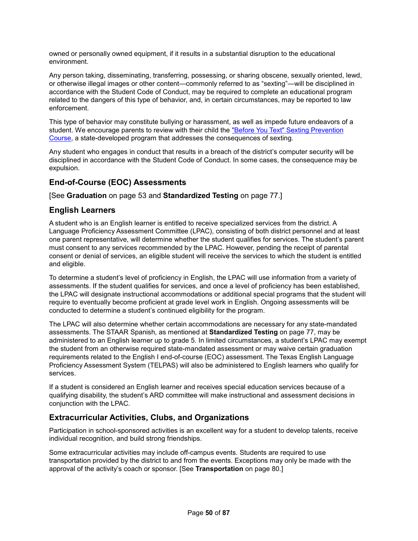owned or personally owned equipment, if it results in a substantial disruption to the educational environment.

Any person taking, disseminating, transferring, possessing, or sharing obscene, sexually oriented, lewd, or otherwise illegal images or other content—commonly referred to as "sexting"—will be disciplined in accordance with the Student Code of Conduct, may be required to complete an educational program related to the dangers of this type of behavior, and, in certain circumstances, may be reported to law enforcement.

This type of behavior may constitute bullying or harassment, as well as impede future endeavors of a student. We encourage parents to review with their child the "Before You Text" Sexting Prevention Course, a state-developed program that addresses the consequences of sexting.

Any student who engages in conduct that results in a breach of the district's computer security will be disciplined in accordance with the Student Code of Conduct. In some cases, the consequence may be expulsion.

# **End-of-Course (EOC) Assessments**

[See **Graduation** on page 53 and **Standardized Testing** on page 77.]

# **English Learners**

A student who is an English learner is entitled to receive specialized services from the district. A Language Proficiency Assessment Committee (LPAC), consisting of both district personnel and at least one parent representative, will determine whether the student qualifies for services. The student's parent must consent to any services recommended by the LPAC. However, pending the receipt of parental consent or denial of services, an eligible student will receive the services to which the student is entitled and eligible.

To determine a student's level of proficiency in English, the LPAC will use information from a variety of assessments. If the student qualifies for services, and once a level of proficiency has been established, the LPAC will designate instructional accommodations or additional special programs that the student will require to eventually become proficient at grade level work in English. Ongoing assessments will be conducted to determine a student's continued eligibility for the program.

The LPAC will also determine whether certain accommodations are necessary for any state-mandated assessments. The STAAR Spanish, as mentioned at **Standardized Testing** on page 77, may be administered to an English learner up to grade 5. In limited circumstances, a student's LPAC may exempt the student from an otherwise required state-mandated assessment or may waive certain graduation requirements related to the English I end-of-course (EOC) assessment. The Texas English Language Proficiency Assessment System (TELPAS) will also be administered to English learners who qualify for services.

If a student is considered an English learner and receives special education services because of a qualifying disability, the student's ARD committee will make instructional and assessment decisions in conjunction with the LPAC.

# **Extracurricular Activities, Clubs, and Organizations**

Participation in school-sponsored activities is an excellent way for a student to develop talents, receive individual recognition, and build strong friendships.

Some extracurricular activities may include off-campus events. Students are required to use transportation provided by the district to and from the events. Exceptions may only be made with the approval of the activity's coach or sponsor. [See **Transportation** on page 80.]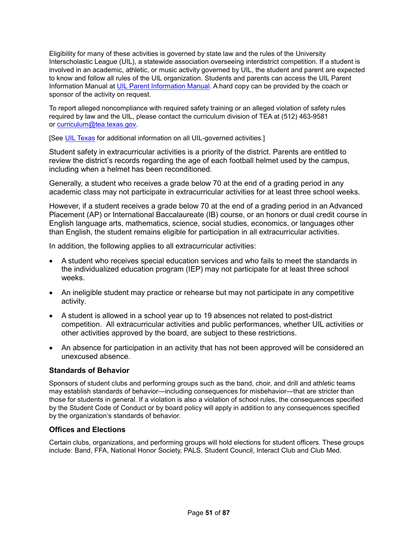Eligibility for many of these activities is governed by state law and the rules of the University Interscholastic League (UIL), a statewide association overseeing interdistrict competition. If a student is involved in an academic, athletic, or music activity governed by UIL, the student and parent are expected to know and follow all rules of the UIL organization. Students and parents can access the UIL Parent Information Manual at UIL Parent Information Manual. A hard copy can be provided by the coach or sponsor of the activity on request.

To report alleged noncompliance with required safety training or an alleged violation of safety rules required by law and the UIL, please contact the curriculum division of TEA at (512) 463-9581 or curriculum@tea.texas.gov.

[See **UIL Texas** for additional information on all UIL-governed activities.]

Student safety in extracurricular activities is a priority of the district. Parents are entitled to review the district's records regarding the age of each football helmet used by the campus, including when a helmet has been reconditioned.

Generally, a student who receives a grade below 70 at the end of a grading period in any academic class may not participate in extracurricular activities for at least three school weeks.

However, if a student receives a grade below 70 at the end of a grading period in an Advanced Placement (AP) or International Baccalaureate (IB) course, or an honors or dual credit course in English language arts, mathematics, science, social studies, economics, or languages other than English, the student remains eligible for participation in all extracurricular activities.

In addition, the following applies to all extracurricular activities:

- A student who receives special education services and who fails to meet the standards in the individualized education program (IEP) may not participate for at least three school weeks.
- An ineligible student may practice or rehearse but may not participate in any competitive activity.
- A student is allowed in a school year up to 19 absences not related to post-district competition. All extracurricular activities and public performances, whether UIL activities or other activities approved by the board, are subject to these restrictions.
- An absence for participation in an activity that has not been approved will be considered an unexcused absence.

# **Standards of Behavior**

Sponsors of student clubs and performing groups such as the band, choir, and drill and athletic teams may establish standards of behavior—including consequences for misbehavior—that are stricter than those for students in general. If a violation is also a violation of school rules, the consequences specified by the Student Code of Conduct or by board policy will apply in addition to any consequences specified by the organization's standards of behavior.

# **Offices and Elections**

Certain clubs, organizations, and performing groups will hold elections for student officers. These groups include: Band, FFA, National Honor Society, PALS, Student Council, Interact Club and Club Med.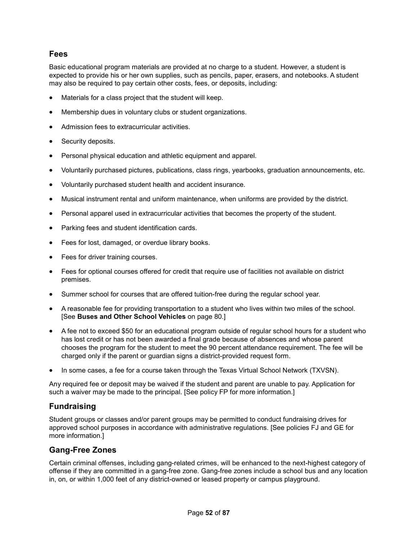# **Fees**

Basic educational program materials are provided at no charge to a student. However, a student is expected to provide his or her own supplies, such as pencils, paper, erasers, and notebooks. A student may also be required to pay certain other costs, fees, or deposits, including:

- Materials for a class project that the student will keep.
- Membership dues in voluntary clubs or student organizations.
- Admission fees to extracurricular activities.
- Security deposits.
- Personal physical education and athletic equipment and apparel.
- Voluntarily purchased pictures, publications, class rings, yearbooks, graduation announcements, etc.
- Voluntarily purchased student health and accident insurance.
- Musical instrument rental and uniform maintenance, when uniforms are provided by the district.
- Personal apparel used in extracurricular activities that becomes the property of the student.
- Parking fees and student identification cards.
- Fees for lost, damaged, or overdue library books.
- Fees for driver training courses.
- Fees for optional courses offered for credit that require use of facilities not available on district premises.
- Summer school for courses that are offered tuition-free during the regular school year.
- A reasonable fee for providing transportation to a student who lives within two miles of the school. [See **Buses and Other School Vehicles** on page 80.]
- A fee not to exceed \$50 for an educational program outside of regular school hours for a student who has lost credit or has not been awarded a final grade because of absences and whose parent chooses the program for the student to meet the 90 percent attendance requirement. The fee will be charged only if the parent or guardian signs a district-provided request form.
- In some cases, a fee for a course taken through the Texas Virtual School Network (TXVSN).

Any required fee or deposit may be waived if the student and parent are unable to pay. Application for such a waiver may be made to the principal. [See policy FP for more information.]

# **Fundraising**

Student groups or classes and/or parent groups may be permitted to conduct fundraising drives for approved school purposes in accordance with administrative regulations. [See policies FJ and GE for more information.]

# **Gang-Free Zones**

Certain criminal offenses, including gang-related crimes, will be enhanced to the next-highest category of offense if they are committed in a gang-free zone. Gang-free zones include a school bus and any location in, on, or within 1,000 feet of any district-owned or leased property or campus playground.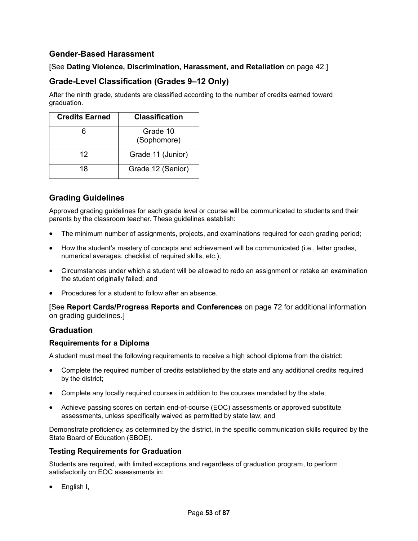# **Gender-Based Harassment**

# [See **Dating Violence, Discrimination, Harassment, and Retaliation** on page 42.]

# **Grade-Level Classification (Grades 9–12 Only)**

After the ninth grade, students are classified according to the number of credits earned toward graduation.

| <b>Credits Earned</b> | <b>Classification</b>   |
|-----------------------|-------------------------|
|                       | Grade 10<br>(Sophomore) |
| 12                    | Grade 11 (Junior)       |
| 18                    | Grade 12 (Senior)       |

# **Grading Guidelines**

Approved grading guidelines for each grade level or course will be communicated to students and their parents by the classroom teacher. These guidelines establish:

- The minimum number of assignments, projects, and examinations required for each grading period;
- How the student's mastery of concepts and achievement will be communicated (i.e., letter grades, numerical averages, checklist of required skills, etc.);
- Circumstances under which a student will be allowed to redo an assignment or retake an examination the student originally failed; and
- Procedures for a student to follow after an absence.

[See **Report Cards/Progress Reports and Conferences** on page 72 for additional information on grading guidelines.]

# **Graduation**

# **Requirements for a Diploma**

A student must meet the following requirements to receive a high school diploma from the district:

- Complete the required number of credits established by the state and any additional credits required by the district;
- Complete any locally required courses in addition to the courses mandated by the state;
- Achieve passing scores on certain end-of-course (EOC) assessments or approved substitute assessments, unless specifically waived as permitted by state law; and

Demonstrate proficiency, as determined by the district, in the specific communication skills required by the State Board of Education (SBOE).

### **Testing Requirements for Graduation**

Students are required, with limited exceptions and regardless of graduation program, to perform satisfactorily on EOC assessments in:

• English I,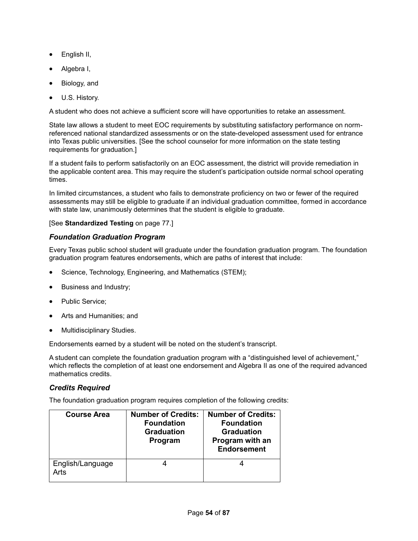- English II,
- Algebra I,
- Biology, and
- U.S. History.

A student who does not achieve a sufficient score will have opportunities to retake an assessment.

State law allows a student to meet EOC requirements by substituting satisfactory performance on normreferenced national standardized assessments or on the state-developed assessment used for entrance into Texas public universities. [See the school counselor for more information on the state testing requirements for graduation.]

If a student fails to perform satisfactorily on an EOC assessment, the district will provide remediation in the applicable content area. This may require the student's participation outside normal school operating times.

In limited circumstances, a student who fails to demonstrate proficiency on two or fewer of the required assessments may still be eligible to graduate if an individual graduation committee, formed in accordance with state law, unanimously determines that the student is eligible to graduate.

## [See **Standardized Testing** on page 77.]

# *Foundation Graduation Program*

Every Texas public school student will graduate under the foundation graduation program. The foundation graduation program features endorsements, which are paths of interest that include:

- Science, Technology, Engineering, and Mathematics (STEM);
- Business and Industry;
- Public Service:
- Arts and Humanities; and
- Multidisciplinary Studies.

Endorsements earned by a student will be noted on the student's transcript.

A student can complete the foundation graduation program with a "distinguished level of achievement," which reflects the completion of at least one endorsement and Algebra II as one of the required advanced mathematics credits.

# *Credits Required*

The foundation graduation program requires completion of the following credits:

| <b>Course Area</b>       | <b>Number of Credits:</b><br><b>Foundation</b><br><b>Graduation</b><br>Program | <b>Number of Credits:</b><br><b>Foundation</b><br><b>Graduation</b><br>Program with an<br><b>Endorsement</b> |
|--------------------------|--------------------------------------------------------------------------------|--------------------------------------------------------------------------------------------------------------|
| English/Language<br>Arts |                                                                                |                                                                                                              |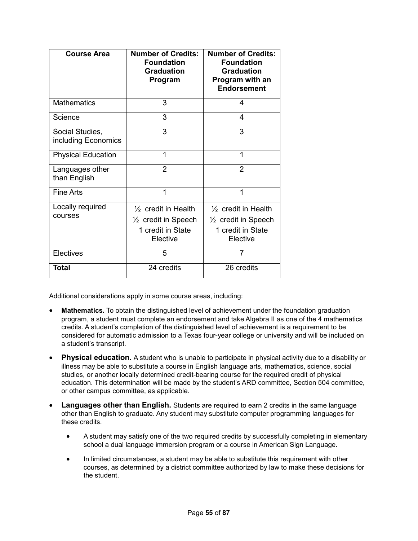| <b>Course Area</b>                     | <b>Number of Credits:</b><br><b>Foundation</b><br><b>Graduation</b><br>Program                    | <b>Number of Credits:</b><br><b>Foundation</b><br><b>Graduation</b><br>Program with an<br><b>Endorsement</b> |
|----------------------------------------|---------------------------------------------------------------------------------------------------|--------------------------------------------------------------------------------------------------------------|
| <b>Mathematics</b>                     | 3                                                                                                 | 4                                                                                                            |
| Science                                | 3                                                                                                 | 4                                                                                                            |
| Social Studies,<br>including Economics | 3                                                                                                 | 3                                                                                                            |
| <b>Physical Education</b>              | 1                                                                                                 | 1                                                                                                            |
| Languages other<br>than English        | $\overline{2}$                                                                                    | $\mathfrak{p}$                                                                                               |
| <b>Fine Arts</b>                       | 1                                                                                                 | 1                                                                                                            |
| Locally required<br>courses            | $\frac{1}{2}$ credit in Health<br>$\frac{1}{2}$ credit in Speech<br>1 credit in State<br>Elective | $\frac{1}{2}$ credit in Health<br>$\frac{1}{2}$ credit in Speech<br>1 credit in State<br>Elective            |
| Electives                              | 5                                                                                                 | 7                                                                                                            |
| Total                                  | 24 credits                                                                                        | 26 credits                                                                                                   |

Additional considerations apply in some course areas, including:

- **Mathematics.** To obtain the distinguished level of achievement under the foundation graduation program, a student must complete an endorsement and take Algebra II as one of the 4 mathematics credits. A student's completion of the distinguished level of achievement is a requirement to be considered for automatic admission to a Texas four-year college or university and will be included on a student's transcript.
- **Physical education.** A student who is unable to participate in physical activity due to a disability or illness may be able to substitute a course in English language arts, mathematics, science, social studies, or another locally determined credit-bearing course for the required credit of physical education. This determination will be made by the student's ARD committee, Section 504 committee, or other campus committee, as applicable.
- **Languages other than English.** Students are required to earn 2 credits in the same language other than English to graduate. Any student may substitute computer programming languages for these credits.
	- A student may satisfy one of the two required credits by successfully completing in elementary school a dual language immersion program or a course in American Sign Language.
	- In limited circumstances, a student may be able to substitute this requirement with other courses, as determined by a district committee authorized by law to make these decisions for the student.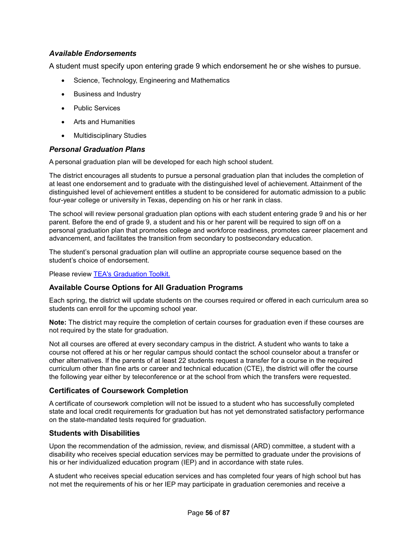# *Available Endorsements*

A student must specify upon entering grade 9 which endorsement he or she wishes to pursue.

- Science, Technology, Engineering and Mathematics
- Business and Industry
- Public Services
- Arts and Humanities
- Multidisciplinary Studies

## *Personal Graduation Plans*

A personal graduation plan will be developed for each high school student.

The district encourages all students to pursue a personal graduation plan that includes the completion of at least one endorsement and to graduate with the distinguished level of achievement. Attainment of the distinguished level of achievement entitles a student to be considered for automatic admission to a public four-year college or university in Texas, depending on his or her rank in class.

The school will review personal graduation plan options with each student entering grade 9 and his or her parent. Before the end of grade 9, a student and his or her parent will be required to sign off on a personal graduation plan that promotes college and workforce readiness, promotes career placement and advancement, and facilitates the transition from secondary to postsecondary education.

The student's personal graduation plan will outline an appropriate course sequence based on the student's choice of endorsement.

Please review TEA's Graduation Toolkit.

# **Available Course Options for All Graduation Programs**

Each spring, the district will update students on the courses required or offered in each curriculum area so students can enroll for the upcoming school year.

**Note:** The district may require the completion of certain courses for graduation even if these courses are not required by the state for graduation.

Not all courses are offered at every secondary campus in the district. A student who wants to take a course not offered at his or her regular campus should contact the school counselor about a transfer or other alternatives. If the parents of at least 22 students request a transfer for a course in the required curriculum other than fine arts or career and technical education (CTE), the district will offer the course the following year either by teleconference or at the school from which the transfers were requested.

### **Certificates of Coursework Completion**

A certificate of coursework completion will not be issued to a student who has successfully completed state and local credit requirements for graduation but has not yet demonstrated satisfactory performance on the state-mandated tests required for graduation.

### **Students with Disabilities**

Upon the recommendation of the admission, review, and dismissal (ARD) committee, a student with a disability who receives special education services may be permitted to graduate under the provisions of his or her individualized education program (IEP) and in accordance with state rules.

A student who receives special education services and has completed four years of high school but has not met the requirements of his or her IEP may participate in graduation ceremonies and receive a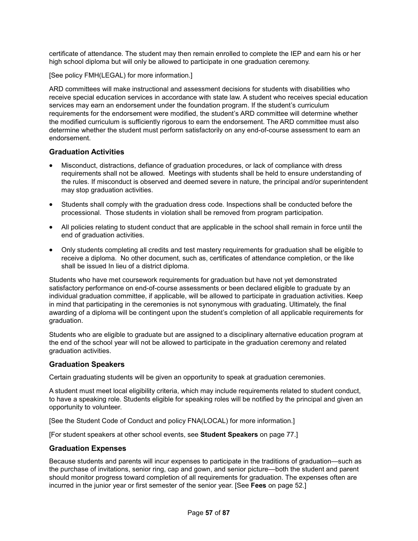certificate of attendance. The student may then remain enrolled to complete the IEP and earn his or her high school diploma but will only be allowed to participate in one graduation ceremony.

[See policy FMH(LEGAL) for more information.]

ARD committees will make instructional and assessment decisions for students with disabilities who receive special education services in accordance with state law. A student who receives special education services may earn an endorsement under the foundation program. If the student's curriculum requirements for the endorsement were modified, the student's ARD committee will determine whether the modified curriculum is sufficiently rigorous to earn the endorsement. The ARD committee must also determine whether the student must perform satisfactorily on any end-of-course assessment to earn an endorsement.

## **Graduation Activities**

- Misconduct, distractions, defiance of graduation procedures, or lack of compliance with dress requirements shall not be allowed. Meetings with students shall be held to ensure understanding of the rules. If misconduct is observed and deemed severe in nature, the principal and/or superintendent may stop graduation activities.
- Students shall comply with the graduation dress code. Inspections shall be conducted before the processional. Those students in violation shall be removed from program participation.
- All policies relating to student conduct that are applicable in the school shall remain in force until the end of graduation activities.
- Only students completing all credits and test mastery requirements for graduation shall be eligible to receive a diploma. No other document, such as, certificates of attendance completion, or the like shall be issued In lieu of a district diploma.

Students who have met coursework requirements for graduation but have not yet demonstrated satisfactory performance on end-of-course assessments or been declared eligible to graduate by an individual graduation committee, if applicable, will be allowed to participate in graduation activities. Keep in mind that participating in the ceremonies is not synonymous with graduating. Ultimately, the final awarding of a diploma will be contingent upon the student's completion of all applicable requirements for graduation.

Students who are eligible to graduate but are assigned to a disciplinary alternative education program at the end of the school year will not be allowed to participate in the graduation ceremony and related graduation activities.

### **Graduation Speakers**

Certain graduating students will be given an opportunity to speak at graduation ceremonies.

A student must meet local eligibility criteria, which may include requirements related to student conduct, to have a speaking role. Students eligible for speaking roles will be notified by the principal and given an opportunity to volunteer.

[See the Student Code of Conduct and policy FNA(LOCAL) for more information.]

[For student speakers at other school events, see **Student Speakers** on page 77.]

#### **Graduation Expenses**

Because students and parents will incur expenses to participate in the traditions of graduation—such as the purchase of invitations, senior ring, cap and gown, and senior picture—both the student and parent should monitor progress toward completion of all requirements for graduation. The expenses often are incurred in the junior year or first semester of the senior year. [See **Fees** on page 52.]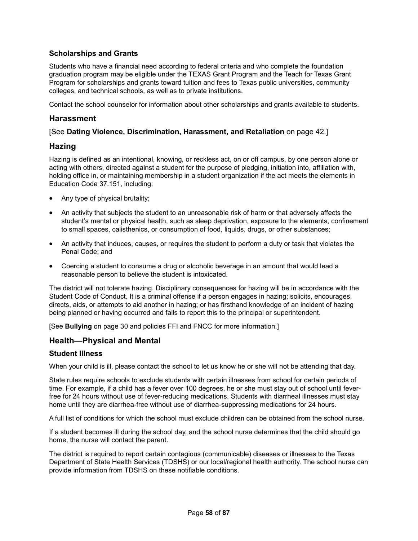# **Scholarships and Grants**

Students who have a financial need according to federal criteria and who complete the foundation graduation program may be eligible under the TEXAS Grant Program and the Teach for Texas Grant Program for scholarships and grants toward tuition and fees to Texas public universities, community colleges, and technical schools, as well as to private institutions.

Contact the school counselor for information about other scholarships and grants available to students.

## **Harassment**

## [See **Dating Violence, Discrimination, Harassment, and Retaliation** on page 42.]

## **Hazing**

Hazing is defined as an intentional, knowing, or reckless act, on or off campus, by one person alone or acting with others, directed against a student for the purpose of pledging, initiation into, affiliation with, holding office in, or maintaining membership in a student organization if the act meets the elements in Education Code 37.151, including:

- Any type of physical brutality;
- An activity that subjects the student to an unreasonable risk of harm or that adversely affects the student's mental or physical health, such as sleep deprivation, exposure to the elements, confinement to small spaces, calisthenics, or consumption of food, liquids, drugs, or other substances;
- An activity that induces, causes, or requires the student to perform a duty or task that violates the Penal Code; and
- Coercing a student to consume a drug or alcoholic beverage in an amount that would lead a reasonable person to believe the student is intoxicated.

The district will not tolerate hazing. Disciplinary consequences for hazing will be in accordance with the Student Code of Conduct. It is a criminal offense if a person engages in hazing; solicits, encourages, directs, aids, or attempts to aid another in hazing; or has firsthand knowledge of an incident of hazing being planned or having occurred and fails to report this to the principal or superintendent.

[See **Bullying** on page 30 and policies FFI and FNCC for more information.]

# **Health—Physical and Mental**

### **Student Illness**

When your child is ill, please contact the school to let us know he or she will not be attending that day.

State rules require schools to exclude students with certain illnesses from school for certain periods of time. For example, if a child has a fever over 100 degrees, he or she must stay out of school until feverfree for 24 hours without use of fever-reducing medications. Students with diarrheal illnesses must stay home until they are diarrhea-free without use of diarrhea-suppressing medications for 24 hours.

A full list of conditions for which the school must exclude children can be obtained from the school nurse.

If a student becomes ill during the school day, and the school nurse determines that the child should go home, the nurse will contact the parent.

The district is required to report certain contagious (communicable) diseases or illnesses to the Texas Department of State Health Services (TDSHS) or our local/regional health authority. The school nurse can provide information from TDSHS on these notifiable conditions.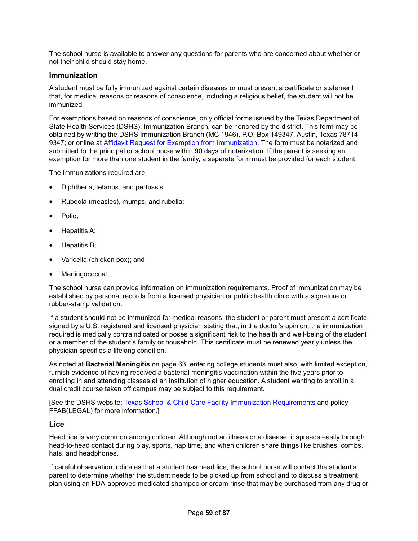The school nurse is available to answer any questions for parents who are concerned about whether or not their child should stay home.

#### **Immunization**

A student must be fully immunized against certain diseases or must present a certificate or statement that, for medical reasons or reasons of conscience, including a religious belief, the student will not be immunized.

For exemptions based on reasons of conscience, only official forms issued by the Texas Department of State Health Services (DSHS), Immunization Branch, can be honored by the district. This form may be obtained by writing the DSHS Immunization Branch (MC 1946), P.O. Box 149347, Austin, Texas 78714- 9347; or online at Affidavit Request for Exemption from Immunization. The form must be notarized and submitted to the principal or school nurse within 90 days of notarization. If the parent is seeking an exemption for more than one student in the family, a separate form must be provided for each student.

The immunizations required are:

- Diphtheria, tetanus, and pertussis;
- Rubeola (measles), mumps, and rubella;
- Polio;
- Hepatitis A;
- Hepatitis B;
- Varicella (chicken pox); and
- Meningococcal.

The school nurse can provide information on immunization requirements. Proof of immunization may be established by personal records from a licensed physician or public health clinic with a signature or rubber-stamp validation.

If a student should not be immunized for medical reasons, the student or parent must present a certificate signed by a U.S. registered and licensed physician stating that, in the doctor's opinion, the immunization required is medically contraindicated or poses a significant risk to the health and well-being of the student or a member of the student's family or household. This certificate must be renewed yearly unless the physician specifies a lifelong condition.

As noted at **Bacterial Meningitis** on page 63, entering college students must also, with limited exception, furnish evidence of having received a bacterial meningitis vaccination within the five years prior to enrolling in and attending classes at an institution of higher education. A student wanting to enroll in a dual credit course taken off campus may be subject to this requirement.

[See the DSHS website: Texas School & Child Care Facility Immunization Requirements and policy FFAB(LEGAL) for more information.]

### **Lice**

Head lice is very common among children. Although not an illness or a disease, it spreads easily through head-to-head contact during play, sports, nap time, and when children share things like brushes, combs, hats, and headphones.

If careful observation indicates that a student has head lice, the school nurse will contact the student's parent to determine whether the student needs to be picked up from school and to discuss a treatment plan using an FDA-approved medicated shampoo or cream rinse that may be purchased from any drug or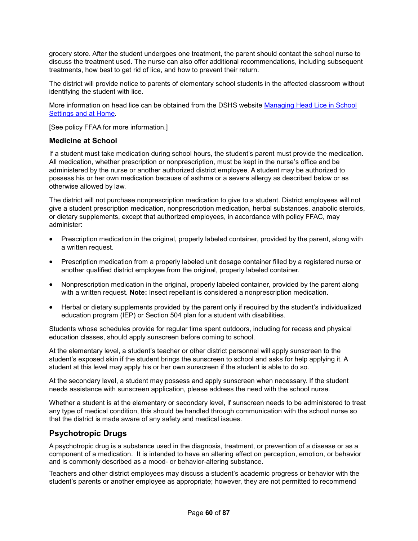grocery store. After the student undergoes one treatment, the parent should contact the school nurse to discuss the treatment used. The nurse can also offer additional recommendations, including subsequent treatments, how best to get rid of lice, and how to prevent their return.

The district will provide notice to parents of elementary school students in the affected classroom without identifying the student with lice.

More information on head lice can be obtained from the DSHS website Managing Head Lice in School Settings and at Home.

[See policy FFAA for more information.]

### **Medicine at School**

If a student must take medication during school hours, the student's parent must provide the medication. All medication, whether prescription or nonprescription, must be kept in the nurse's office and be administered by the nurse or another authorized district employee. A student may be authorized to possess his or her own medication because of asthma or a severe allergy as described below or as otherwise allowed by law.

The district will not purchase nonprescription medication to give to a student. District employees will not give a student prescription medication, nonprescription medication, herbal substances, anabolic steroids, or dietary supplements, except that authorized employees, in accordance with policy FFAC, may administer:

- Prescription medication in the original, properly labeled container, provided by the parent, along with a written request.
- Prescription medication from a properly labeled unit dosage container filled by a registered nurse or another qualified district employee from the original, properly labeled container.
- Nonprescription medication in the original, properly labeled container, provided by the parent along with a written request. **Note:** Insect repellant is considered a nonprescription medication.
- Herbal or dietary supplements provided by the parent only if required by the student's individualized education program (IEP) or Section 504 plan for a student with disabilities.

Students whose schedules provide for regular time spent outdoors, including for recess and physical education classes, should apply sunscreen before coming to school.

At the elementary level, a student's teacher or other district personnel will apply sunscreen to the student's exposed skin if the student brings the sunscreen to school and asks for help applying it. A student at this level may apply his or her own sunscreen if the student is able to do so.

At the secondary level, a student may possess and apply sunscreen when necessary. If the student needs assistance with sunscreen application, please address the need with the school nurse.

Whether a student is at the elementary or secondary level, if sunscreen needs to be administered to treat any type of medical condition, this should be handled through communication with the school nurse so that the district is made aware of any safety and medical issues.

# **Psychotropic Drugs**

A psychotropic drug is a substance used in the diagnosis, treatment, or prevention of a disease or as a component of a medication. It is intended to have an altering effect on perception, emotion, or behavior and is commonly described as a mood- or behavior-altering substance.

Teachers and other district employees may discuss a student's academic progress or behavior with the student's parents or another employee as appropriate; however, they are not permitted to recommend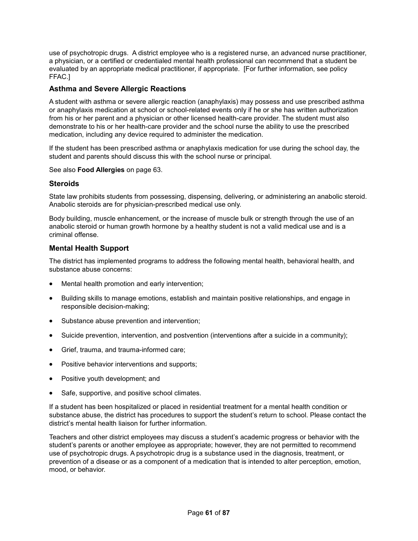use of psychotropic drugs. A district employee who is a registered nurse, an advanced nurse practitioner, a physician, or a certified or credentialed mental health professional can recommend that a student be evaluated by an appropriate medical practitioner, if appropriate. [For further information, see policy FFAC.]

## **Asthma and Severe Allergic Reactions**

A student with asthma or severe allergic reaction (anaphylaxis) may possess and use prescribed asthma or anaphylaxis medication at school or school-related events only if he or she has written authorization from his or her parent and a physician or other licensed health-care provider. The student must also demonstrate to his or her health-care provider and the school nurse the ability to use the prescribed medication, including any device required to administer the medication.

If the student has been prescribed asthma or anaphylaxis medication for use during the school day, the student and parents should discuss this with the school nurse or principal.

See also **Food Allergies** on page 63.

### **Steroids**

State law prohibits students from possessing, dispensing, delivering, or administering an anabolic steroid. Anabolic steroids are for physician-prescribed medical use only.

Body building, muscle enhancement, or the increase of muscle bulk or strength through the use of an anabolic steroid or human growth hormone by a healthy student is not a valid medical use and is a criminal offense.

## **Mental Health Support**

The district has implemented programs to address the following mental health, behavioral health, and substance abuse concerns:

- Mental health promotion and early intervention;
- Building skills to manage emotions, establish and maintain positive relationships, and engage in responsible decision-making;
- Substance abuse prevention and intervention;
- Suicide prevention, intervention, and postvention (interventions after a suicide in a community);
- Grief, trauma, and trauma-informed care;
- Positive behavior interventions and supports;
- Positive youth development; and
- Safe, supportive, and positive school climates.

If a student has been hospitalized or placed in residential treatment for a mental health condition or substance abuse, the district has procedures to support the student's return to school. Please contact the district's mental health liaison for further information.

Teachers and other district employees may discuss a student's academic progress or behavior with the student's parents or another employee as appropriate; however, they are not permitted to recommend use of psychotropic drugs. A psychotropic drug is a substance used in the diagnosis, treatment, or prevention of a disease or as a component of a medication that is intended to alter perception, emotion, mood, or behavior.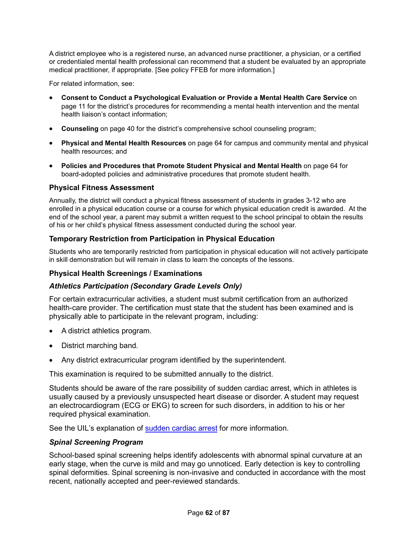A district employee who is a registered nurse, an advanced nurse practitioner, a physician, or a certified or credentialed mental health professional can recommend that a student be evaluated by an appropriate medical practitioner, if appropriate. [See policy FFEB for more information.]

For related information, see:

- **Consent to Conduct a Psychological Evaluation or Provide a Mental Health Care Service** on page 11 for the district's procedures for recommending a mental health intervention and the mental health liaison's contact information;
- **Counseling** on page 40 for the district's comprehensive school counseling program;
- **Physical and Mental Health Resources** on page 64 for campus and community mental and physical health resources; and
- **Policies and Procedures that Promote Student Physical and Mental Health** on page 64 for board-adopted policies and administrative procedures that promote student health.

# **Physical Fitness Assessment**

Annually, the district will conduct a physical fitness assessment of students in grades 3-12 who are enrolled in a physical education course or a course for which physical education credit is awarded. At the end of the school year, a parent may submit a written request to the school principal to obtain the results of his or her child's physical fitness assessment conducted during the school year.

# **Temporary Restriction from Participation in Physical Education**

Students who are temporarily restricted from participation in physical education will not actively participate in skill demonstration but will remain in class to learn the concepts of the lessons.

# **Physical Health Screenings / Examinations**

# *Athletics Participation (Secondary Grade Levels Only)*

For certain extracurricular activities, a student must submit certification from an authorized health-care provider. The certification must state that the student has been examined and is physically able to participate in the relevant program, including:

- A district athletics program.
- District marching band.
- Any district extracurricular program identified by the superintendent.

This examination is required to be submitted annually to the district.

Students should be aware of the rare possibility of sudden cardiac arrest, which in athletes is usually caused by a previously unsuspected heart disease or disorder. A student may request an electrocardiogram (ECG or EKG) to screen for such disorders, in addition to his or her required physical examination.

See the UIL's explanation of sudden cardiac arrest for more information.

# *Spinal Screening Program*

School-based spinal screening helps identify adolescents with abnormal spinal curvature at an early stage, when the curve is mild and may go unnoticed. Early detection is key to controlling spinal deformities. Spinal screening is non-invasive and conducted in accordance with the most recent, nationally accepted and peer-reviewed standards.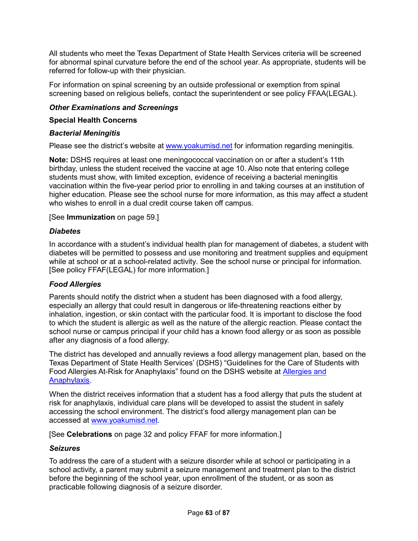All students who meet the Texas Department of State Health Services criteria will be screened for abnormal spinal curvature before the end of the school year. As appropriate, students will be referred for follow-up with their physician.

For information on spinal screening by an outside professional or exemption from spinal screening based on religious beliefs, contact the superintendent or see policy FFAA(LEGAL).

## *Other Examinations and Screenings*

### **Special Health Concerns**

## *Bacterial Meningitis*

Please see the district's website at www.yoakumisd.net for information regarding meningitis.

**Note:** DSHS requires at least one meningococcal vaccination on or after a student's 11th birthday, unless the student received the vaccine at age 10. Also note that entering college students must show, with limited exception, evidence of receiving a bacterial meningitis vaccination within the five-year period prior to enrolling in and taking courses at an institution of higher education. Please see the school nurse for more information, as this may affect a student who wishes to enroll in a dual credit course taken off campus.

## [See **Immunization** on page 59.]

## *Diabetes*

In accordance with a student's individual health plan for management of diabetes, a student with diabetes will be permitted to possess and use monitoring and treatment supplies and equipment while at school or at a school-related activity. See the school nurse or principal for information. [See policy FFAF(LEGAL) for more information.]

# *Food Allergies*

Parents should notify the district when a student has been diagnosed with a food allergy, especially an allergy that could result in dangerous or life-threatening reactions either by inhalation, ingestion, or skin contact with the particular food. It is important to disclose the food to which the student is allergic as well as the nature of the allergic reaction. Please contact the school nurse or campus principal if your child has a known food allergy or as soon as possible after any diagnosis of a food allergy.

The district has developed and annually reviews a food allergy management plan, based on the Texas Department of State Health Services' (DSHS) "Guidelines for the Care of Students with Food Allergies At-Risk for Anaphylaxis" found on the DSHS website at **Allergies and** Anaphylaxis.

When the district receives information that a student has a food allergy that puts the student at risk for anaphylaxis, individual care plans will be developed to assist the student in safely accessing the school environment. The district's food allergy management plan can be accessed at www.yoakumisd.net.

[See **Celebrations** on page 32 and policy FFAF for more information.]

### *Seizures*

To address the care of a student with a seizure disorder while at school or participating in a school activity, a parent may submit a seizure management and treatment plan to the district before the beginning of the school year, upon enrollment of the student, or as soon as practicable following diagnosis of a seizure disorder.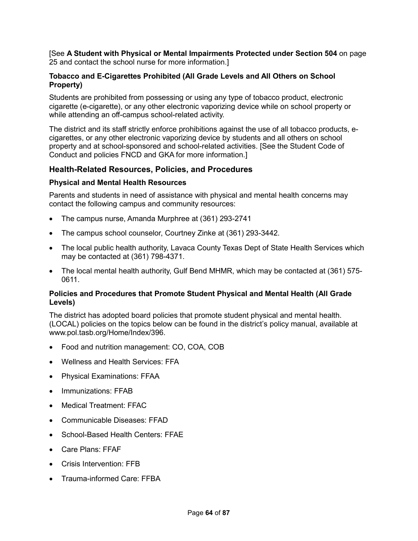[See **A Student with Physical or Mental Impairments Protected under Section 504** on page 25 and contact the school nurse for more information.]

# **Tobacco and E-Cigarettes Prohibited (All Grade Levels and All Others on School Property)**

Students are prohibited from possessing or using any type of tobacco product, electronic cigarette (e-cigarette), or any other electronic vaporizing device while on school property or while attending an off-campus school-related activity.

The district and its staff strictly enforce prohibitions against the use of all tobacco products, ecigarettes, or any other electronic vaporizing device by students and all others on school property and at school-sponsored and school-related activities. [See the Student Code of Conduct and policies FNCD and GKA for more information.]

# **Health-Related Resources, Policies, and Procedures**

# **Physical and Mental Health Resources**

Parents and students in need of assistance with physical and mental health concerns may contact the following campus and community resources:

- The campus nurse, Amanda Murphree at (361) 293-2741
- The campus school counselor, Courtney Zinke at (361) 293-3442.
- The local public health authority, Lavaca County Texas Dept of State Health Services which may be contacted at (361) 798-4371.
- The local mental health authority, Gulf Bend MHMR, which may be contacted at (361) 575- 0611.

## **Policies and Procedures that Promote Student Physical and Mental Health (All Grade Levels)**

The district has adopted board policies that promote student physical and mental health. (LOCAL) policies on the topics below can be found in the district's policy manual, available at www.pol.tasb.org/Home/Index/396.

- Food and nutrition management: CO, COA, COB
- Wellness and Health Services: FFA
- Physical Examinations: FFAA
- Immunizations: FFAB
- Medical Treatment: FFAC
- Communicable Diseases: FFAD
- School-Based Health Centers: FFAE
- Care Plans: FFAF
- Crisis Intervention: FFB
- Trauma-informed Care: FFBA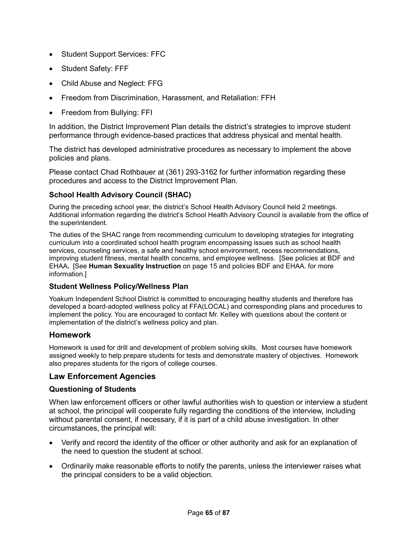- Student Support Services: FFC
- Student Safety: FFF
- Child Abuse and Neglect: FFG
- Freedom from Discrimination, Harassment, and Retaliation: FFH
- Freedom from Bullying: FFI

In addition, the District Improvement Plan details the district's strategies to improve student performance through evidence-based practices that address physical and mental health.

The district has developed administrative procedures as necessary to implement the above policies and plans.

Please contact Chad Rothbauer at (361) 293-3162 for further information regarding these procedures and access to the District Improvement Plan.

# **School Health Advisory Council (SHAC)**

During the preceding school year, the district's School Health Advisory Council held 2 meetings. Additional information regarding the district's School Health Advisory Council is available from the office of the superintendent.

The duties of the SHAC range from recommending curriculum to developing strategies for integrating curriculum into a coordinated school health program encompassing issues such as school health services, counseling services, a safe and healthy school environment, recess recommendations, improving student fitness, mental health concerns, and employee wellness. [See policies at BDF and EHAA**.** [See **Human Sexuality Instruction** on page 15 and policies BDF and EHAA. for more information.]

# **Student Wellness Policy/Wellness Plan**

Yoakum Independent School District is committed to encouraging healthy students and therefore has developed a board-adopted wellness policy at FFA(LOCAL) and corresponding plans and procedures to implement the policy. You are encouraged to contact Mr. Kelley with questions about the content or implementation of the district's wellness policy and plan.

# **Homework**

Homework is used for drill and development of problem solving skills. Most courses have homework assigned weekly to help prepare students for tests and demonstrate mastery of objectives. Homework also prepares students for the rigors of college courses.

# **Law Enforcement Agencies**

# **Questioning of Students**

When law enforcement officers or other lawful authorities wish to question or interview a student at school, the principal will cooperate fully regarding the conditions of the interview, including without parental consent, if necessary, if it is part of a child abuse investigation. In other circumstances, the principal will:

- Verify and record the identity of the officer or other authority and ask for an explanation of the need to question the student at school.
- Ordinarily make reasonable efforts to notify the parents, unless the interviewer raises what the principal considers to be a valid objection.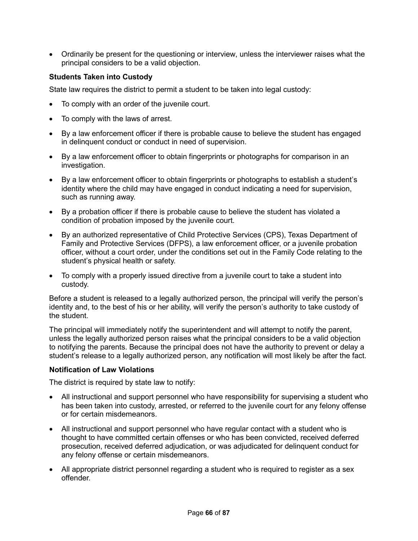• Ordinarily be present for the questioning or interview, unless the interviewer raises what the principal considers to be a valid objection.

# **Students Taken into Custody**

State law requires the district to permit a student to be taken into legal custody:

- To comply with an order of the juvenile court.
- To comply with the laws of arrest.
- By a law enforcement officer if there is probable cause to believe the student has engaged in delinquent conduct or conduct in need of supervision.
- By a law enforcement officer to obtain fingerprints or photographs for comparison in an investigation.
- By a law enforcement officer to obtain fingerprints or photographs to establish a student's identity where the child may have engaged in conduct indicating a need for supervision, such as running away.
- By a probation officer if there is probable cause to believe the student has violated a condition of probation imposed by the juvenile court.
- By an authorized representative of Child Protective Services (CPS), Texas Department of Family and Protective Services (DFPS), a law enforcement officer, or a juvenile probation officer, without a court order, under the conditions set out in the Family Code relating to the student's physical health or safety.
- To comply with a properly issued directive from a juvenile court to take a student into custody.

Before a student is released to a legally authorized person, the principal will verify the person's identity and, to the best of his or her ability, will verify the person's authority to take custody of the student.

The principal will immediately notify the superintendent and will attempt to notify the parent, unless the legally authorized person raises what the principal considers to be a valid objection to notifying the parents. Because the principal does not have the authority to prevent or delay a student's release to a legally authorized person, any notification will most likely be after the fact.

### **Notification of Law Violations**

The district is required by state law to notify:

- All instructional and support personnel who have responsibility for supervising a student who has been taken into custody, arrested, or referred to the juvenile court for any felony offense or for certain misdemeanors.
- All instructional and support personnel who have regular contact with a student who is thought to have committed certain offenses or who has been convicted, received deferred prosecution, received deferred adjudication, or was adjudicated for delinquent conduct for any felony offense or certain misdemeanors.
- All appropriate district personnel regarding a student who is required to register as a sex offender.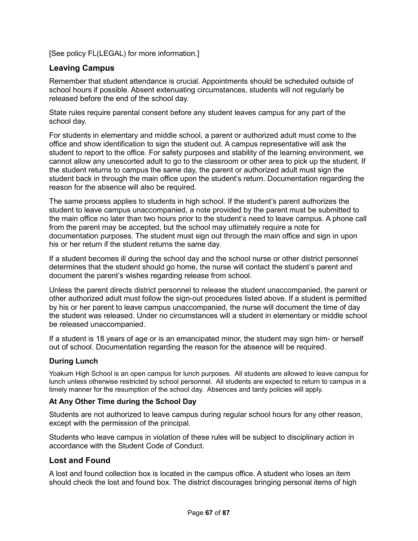[See policy FL(LEGAL) for more information.]

# **Leaving Campus**

Remember that student attendance is crucial. Appointments should be scheduled outside of school hours if possible. Absent extenuating circumstances, students will not regularly be released before the end of the school day.

State rules require parental consent before any student leaves campus for any part of the school day.

For students in elementary and middle school, a parent or authorized adult must come to the office and show identification to sign the student out. A campus representative will ask the student to report to the office. For safety purposes and stability of the learning environment, we cannot allow any unescorted adult to go to the classroom or other area to pick up the student. If the student returns to campus the same day, the parent or authorized adult must sign the student back in through the main office upon the student's return. Documentation regarding the reason for the absence will also be required.

The same process applies to students in high school. If the student's parent authorizes the student to leave campus unaccompanied, a note provided by the parent must be submitted to the main office no later than two hours prior to the student's need to leave campus. A phone call from the parent may be accepted, but the school may ultimately require a note for documentation purposes. The student must sign out through the main office and sign in upon his or her return if the student returns the same day.

If a student becomes ill during the school day and the school nurse or other district personnel determines that the student should go home, the nurse will contact the student's parent and document the parent's wishes regarding release from school.

Unless the parent directs district personnel to release the student unaccompanied, the parent or other authorized adult must follow the sign-out procedures listed above. If a student is permitted by his or her parent to leave campus unaccompanied, the nurse will document the time of day the student was released. Under no circumstances will a student in elementary or middle school be released unaccompanied.

If a student is 18 years of age or is an emancipated minor, the student may sign him- or herself out of school. Documentation regarding the reason for the absence will be required.

### **During Lunch**

Yoakum High School is an open campus for lunch purposes. All students are allowed to leave campus for lunch unless otherwise restricted by school personnel. All students are expected to return to campus in a timely manner for the resumption of the school day. Absences and tardy policies will apply.

# **At Any Other Time during the School Day**

Students are not authorized to leave campus during regular school hours for any other reason, except with the permission of the principal.

Students who leave campus in violation of these rules will be subject to disciplinary action in accordance with the Student Code of Conduct.

# **Lost and Found**

A lost and found collection box is located in the campus office. A student who loses an item should check the lost and found box. The district discourages bringing personal items of high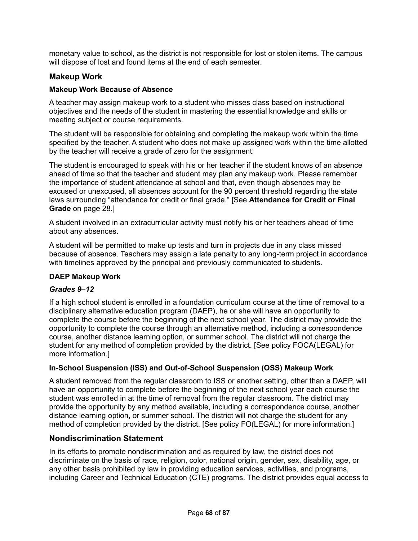monetary value to school, as the district is not responsible for lost or stolen items. The campus will dispose of lost and found items at the end of each semester.

# **Makeup Work**

# **Makeup Work Because of Absence**

A teacher may assign makeup work to a student who misses class based on instructional objectives and the needs of the student in mastering the essential knowledge and skills or meeting subject or course requirements.

The student will be responsible for obtaining and completing the makeup work within the time specified by the teacher. A student who does not make up assigned work within the time allotted by the teacher will receive a grade of zero for the assignment.

The student is encouraged to speak with his or her teacher if the student knows of an absence ahead of time so that the teacher and student may plan any makeup work. Please remember the importance of student attendance at school and that, even though absences may be excused or unexcused, all absences account for the 90 percent threshold regarding the state laws surrounding "attendance for credit or final grade." [See **Attendance for Credit or Final Grade** on page 28.]

A student involved in an extracurricular activity must notify his or her teachers ahead of time about any absences.

A student will be permitted to make up tests and turn in projects due in any class missed because of absence. Teachers may assign a late penalty to any long-term project in accordance with timelines approved by the principal and previously communicated to students.

# **DAEP Makeup Work**

# *Grades 9–12*

If a high school student is enrolled in a foundation curriculum course at the time of removal to a disciplinary alternative education program (DAEP), he or she will have an opportunity to complete the course before the beginning of the next school year. The district may provide the opportunity to complete the course through an alternative method, including a correspondence course, another distance learning option, or summer school. The district will not charge the student for any method of completion provided by the district. [See policy FOCA(LEGAL) for more information.]

# **In-School Suspension (ISS) and Out-of-School Suspension (OSS) Makeup Work**

A student removed from the regular classroom to ISS or another setting, other than a DAEP, will have an opportunity to complete before the beginning of the next school year each course the student was enrolled in at the time of removal from the regular classroom. The district may provide the opportunity by any method available, including a correspondence course, another distance learning option, or summer school. The district will not charge the student for any method of completion provided by the district. [See policy FO(LEGAL) for more information.]

# **Nondiscrimination Statement**

In its efforts to promote nondiscrimination and as required by law, the district does not discriminate on the basis of race, religion, color, national origin, gender, sex, disability, age, or any other basis prohibited by law in providing education services, activities, and programs, including Career and Technical Education (CTE) programs. The district provides equal access to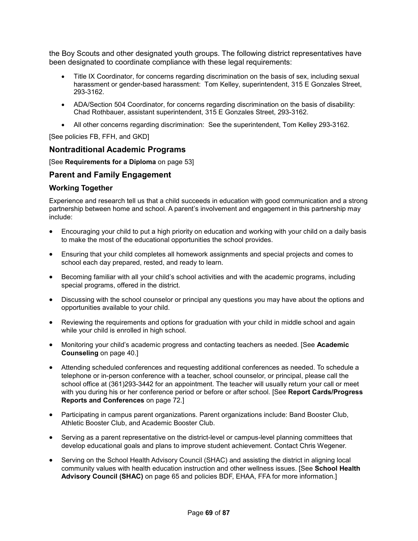the Boy Scouts and other designated youth groups. The following district representatives have been designated to coordinate compliance with these legal requirements:

- Title IX Coordinator, for concerns regarding discrimination on the basis of sex, including sexual harassment or gender-based harassment: Tom Kelley, superintendent, 315 E Gonzales Street, 293-3162.
- ADA/Section 504 Coordinator, for concerns regarding discrimination on the basis of disability: Chad Rothbauer, assistant superintendent, 315 E Gonzales Street, 293-3162.
- All other concerns regarding discrimination: See the superintendent, Tom Kelley 293-3162.

[See policies FB, FFH, and GKD]

# **Nontraditional Academic Programs**

[See **Requirements for a Diploma** on page 53]

## **Parent and Family Engagement**

### **Working Together**

Experience and research tell us that a child succeeds in education with good communication and a strong partnership between home and school. A parent's involvement and engagement in this partnership may include:

- Encouraging your child to put a high priority on education and working with your child on a daily basis to make the most of the educational opportunities the school provides.
- Ensuring that your child completes all homework assignments and special projects and comes to school each day prepared, rested, and ready to learn.
- Becoming familiar with all your child's school activities and with the academic programs, including special programs, offered in the district.
- Discussing with the school counselor or principal any questions you may have about the options and opportunities available to your child.
- Reviewing the requirements and options for graduation with your child in middle school and again while your child is enrolled in high school.
- Monitoring your child's academic progress and contacting teachers as needed. [See **Academic Counseling** on page 40.]
- Attending scheduled conferences and requesting additional conferences as needed. To schedule a telephone or in-person conference with a teacher, school counselor, or principal, please call the school office at (361)293-3442 for an appointment. The teacher will usually return your call or meet with you during his or her conference period or before or after school. [See **Report Cards/Progress Reports and Conferences** on page 72.]
- Participating in campus parent organizations. Parent organizations include: Band Booster Club, Athletic Booster Club, and Academic Booster Club.
- Serving as a parent representative on the district-level or campus-level planning committees that develop educational goals and plans to improve student achievement. Contact Chris Wegener.
- Serving on the School Health Advisory Council (SHAC) and assisting the district in aligning local community values with health education instruction and other wellness issues. [See **School Health Advisory Council (SHAC)** on page 65 and policies BDF, EHAA, FFA for more information.]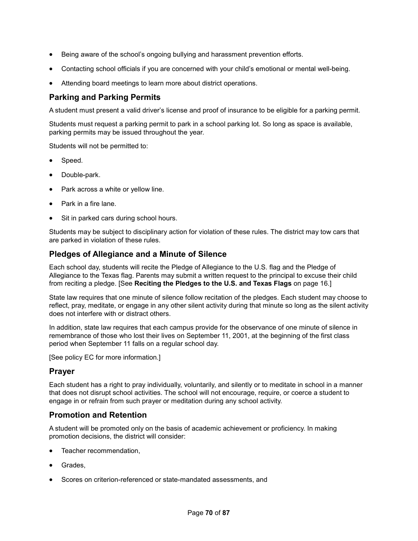- Being aware of the school's ongoing bullying and harassment prevention efforts.
- Contacting school officials if you are concerned with your child's emotional or mental well-being.
- Attending board meetings to learn more about district operations.

# **Parking and Parking Permits**

A student must present a valid driver's license and proof of insurance to be eligible for a parking permit.

Students must request a parking permit to park in a school parking lot. So long as space is available, parking permits may be issued throughout the year.

Students will not be permitted to:

- Speed.
- Double-park.
- Park across a white or yellow line.
- Park in a fire lane.
- Sit in parked cars during school hours.

Students may be subject to disciplinary action for violation of these rules. The district may tow cars that are parked in violation of these rules.

# **Pledges of Allegiance and a Minute of Silence**

Each school day, students will recite the Pledge of Allegiance to the U.S. flag and the Pledge of Allegiance to the Texas flag. Parents may submit a written request to the principal to excuse their child from reciting a pledge. [See **Reciting the Pledges to the U.S. and Texas Flags** on page 16.]

State law requires that one minute of silence follow recitation of the pledges. Each student may choose to reflect, pray, meditate, or engage in any other silent activity during that minute so long as the silent activity does not interfere with or distract others.

In addition, state law requires that each campus provide for the observance of one minute of silence in remembrance of those who lost their lives on September 11, 2001, at the beginning of the first class period when September 11 falls on a regular school day.

[See policy EC for more information.]

# **Prayer**

Each student has a right to pray individually, voluntarily, and silently or to meditate in school in a manner that does not disrupt school activities. The school will not encourage, require, or coerce a student to engage in or refrain from such prayer or meditation during any school activity.

# **Promotion and Retention**

A student will be promoted only on the basis of academic achievement or proficiency. In making promotion decisions, the district will consider:

- Teacher recommendation.
- Grades.
- Scores on criterion-referenced or state-mandated assessments, and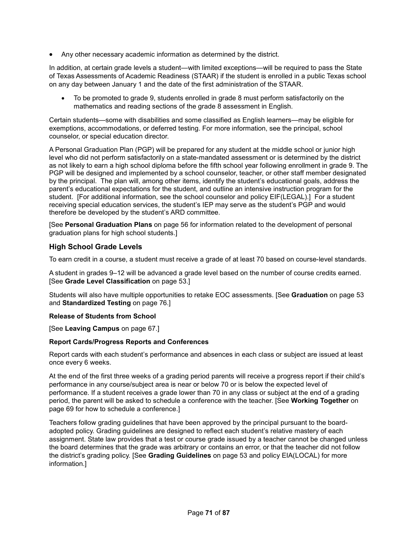• Any other necessary academic information as determined by the district.

In addition, at certain grade levels a student—with limited exceptions—will be required to pass the State of Texas Assessments of Academic Readiness (STAAR) if the student is enrolled in a public Texas school on any day between January 1 and the date of the first administration of the STAAR.

• To be promoted to grade 9, students enrolled in grade 8 must perform satisfactorily on the mathematics and reading sections of the grade 8 assessment in English.

Certain students—some with disabilities and some classified as English learners—may be eligible for exemptions, accommodations, or deferred testing. For more information, see the principal, school counselor, or special education director.

A Personal Graduation Plan (PGP) will be prepared for any student at the middle school or junior high level who did not perform satisfactorily on a state-mandated assessment or is determined by the district as not likely to earn a high school diploma before the fifth school year following enrollment in grade 9. The PGP will be designed and implemented by a school counselor, teacher, or other staff member designated by the principal. The plan will, among other items, identify the student's educational goals, address the parent's educational expectations for the student, and outline an intensive instruction program for the student. [For additional information, see the school counselor and policy EIF(LEGAL).] For a student receiving special education services, the student's IEP may serve as the student's PGP and would therefore be developed by the student's ARD committee.

[See **Personal Graduation Plans** on page 56 for information related to the development of personal graduation plans for high school students.]

### **High School Grade Levels**

To earn credit in a course, a student must receive a grade of at least 70 based on course-level standards.

A student in grades 9–12 will be advanced a grade level based on the number of course credits earned. [See **Grade Level Classification** on page 53.]

Students will also have multiple opportunities to retake EOC assessments. [See **Graduation** on page 53 and **Standardized Testing** on page 76.]

#### **Release of Students from School**

[See **Leaving Campus** on page 67.]

#### **Report Cards/Progress Reports and Conferences**

Report cards with each student's performance and absences in each class or subject are issued at least once every 6 weeks.

At the end of the first three weeks of a grading period parents will receive a progress report if their child's performance in any course/subject area is near or below 70 or is below the expected level of performance. If a student receives a grade lower than 70 in any class or subject at the end of a grading period, the parent will be asked to schedule a conference with the teacher. [See **Working Together** on page 69 for how to schedule a conference.]

Teachers follow grading guidelines that have been approved by the principal pursuant to the boardadopted policy. Grading guidelines are designed to reflect each student's relative mastery of each assignment. State law provides that a test or course grade issued by a teacher cannot be changed unless the board determines that the grade was arbitrary or contains an error, or that the teacher did not follow the district's grading policy. [See **Grading Guidelines** on page 53 and policy EIA(LOCAL) for more information.]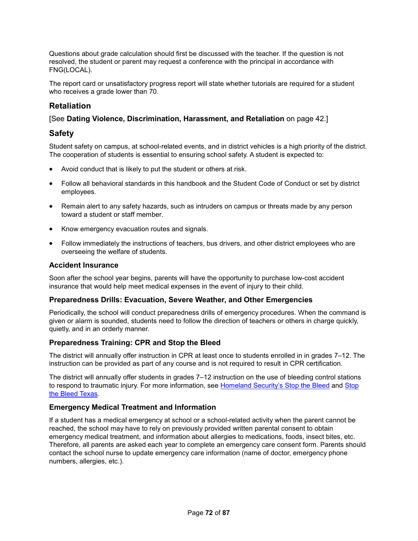Questions about grade calculation should first be discussed with the teacher. If the question is not resolved, the student or parent may request a conference with the principal in accordance with FNG(LOCAL).

The report card or unsatisfactory progress report will state whether tutorials are required for a student who receives a grade lower than 70.

# **Retaliation**

## [See **Dating Violence, Discrimination, Harassment, and Retaliation** on page 42.]

# **Safety**

Student safety on campus, at school-related events, and in district vehicles is a high priority of the district. The cooperation of students is essential to ensuring school safety. A student is expected to:

- Avoid conduct that is likely to put the student or others at risk.
- Follow all behavioral standards in this handbook and the Student Code of Conduct or set by district employees.
- Remain alert to any safety hazards, such as intruders on campus or threats made by any person toward a student or staff member.
- Know emergency evacuation routes and signals.
- Follow immediately the instructions of teachers, bus drivers, and other district employees who are overseeing the welfare of students.

### **Accident Insurance**

Soon after the school year begins, parents will have the opportunity to purchase low-cost accident insurance that would help meet medical expenses in the event of injury to their child.

### **Preparedness Drills: Evacuation, Severe Weather, and Other Emergencies**

Periodically, the school will conduct preparedness drills of emergency procedures. When the command is given or alarm is sounded, students need to follow the direction of teachers or others in charge quickly, quietly, and in an orderly manner.

### **Preparedness Training: CPR and Stop the Bleed**

The district will annually offer instruction in CPR at least once to students enrolled in in grades 7–12. The instruction can be provided as part of any course and is not required to result in CPR certification.

The district will annually offer students in grades 7–12 instruction on the use of bleeding control stations to respond to traumatic injury. For more information, see Homeland Security's Stop the Bleed and Stop the Bleed Texas.

### **Emergency Medical Treatment and Information**

If a student has a medical emergency at school or a school-related activity when the parent cannot be reached, the school may have to rely on previously provided written parental consent to obtain emergency medical treatment, and information about allergies to medications, foods, insect bites, etc. Therefore, all parents are asked each year to complete an emergency care consent form. Parents should contact the school nurse to update emergency care information (name of doctor, emergency phone numbers, allergies, etc.).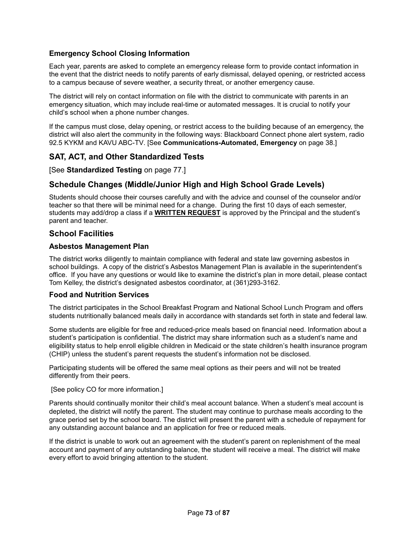#### **Emergency School Closing Information**

Each year, parents are asked to complete an emergency release form to provide contact information in the event that the district needs to notify parents of early dismissal, delayed opening, or restricted access to a campus because of severe weather, a security threat, or another emergency cause.

The district will rely on contact information on file with the district to communicate with parents in an emergency situation, which may include real-time or automated messages. It is crucial to notify your child's school when a phone number changes.

If the campus must close, delay opening, or restrict access to the building because of an emergency, the district will also alert the community in the following ways: Blackboard Connect phone alert system, radio 92.5 KYKM and KAVU ABC-TV. [See **Communications-Automated, Emergency** on page 38.]

#### **SAT, ACT, and Other Standardized Tests**

[See **Standardized Testing** on page 77.]

#### **Schedule Changes (Middle/Junior High and High School Grade Levels)**

Students should choose their courses carefully and with the advice and counsel of the counselor and/or teacher so that there will be minimal need for a change. During the first 10 days of each semester, students may add/drop a class if a **WRITTEN REQUEST** is approved by the Principal and the student's parent and teacher.

#### **School Facilities**

#### **Asbestos Management Plan**

The district works diligently to maintain compliance with federal and state law governing asbestos in school buildings. A copy of the district's Asbestos Management Plan is available in the superintendent's office. If you have any questions or would like to examine the district's plan in more detail, please contact Tom Kelley, the district's designated asbestos coordinator, at (361)293-3162.

#### **Food and Nutrition Services**

The district participates in the School Breakfast Program and National School Lunch Program and offers students nutritionally balanced meals daily in accordance with standards set forth in state and federal law.

Some students are eligible for free and reduced-price meals based on financial need. Information about a student's participation is confidential. The district may share information such as a student's name and eligibility status to help enroll eligible children in Medicaid or the state children's health insurance program (CHIP) unless the student's parent requests the student's information not be disclosed.

Participating students will be offered the same meal options as their peers and will not be treated differently from their peers.

#### [See policy CO for more information.]

Parents should continually monitor their child's meal account balance. When a student's meal account is depleted, the district will notify the parent. The student may continue to purchase meals according to the grace period set by the school board. The district will present the parent with a schedule of repayment for any outstanding account balance and an application for free or reduced meals.

If the district is unable to work out an agreement with the student's parent on replenishment of the meal account and payment of any outstanding balance, the student will receive a meal. The district will make every effort to avoid bringing attention to the student.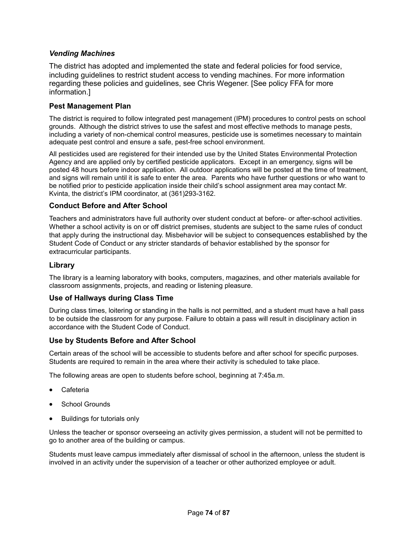#### *Vending Machines*

The district has adopted and implemented the state and federal policies for food service, including guidelines to restrict student access to vending machines. For more information regarding these policies and guidelines, see Chris Wegener. [See policy FFA for more information.]

#### **Pest Management Plan**

The district is required to follow integrated pest management (IPM) procedures to control pests on school grounds. Although the district strives to use the safest and most effective methods to manage pests, including a variety of non-chemical control measures, pesticide use is sometimes necessary to maintain adequate pest control and ensure a safe, pest-free school environment.

All pesticides used are registered for their intended use by the United States Environmental Protection Agency and are applied only by certified pesticide applicators. Except in an emergency, signs will be posted 48 hours before indoor application. All outdoor applications will be posted at the time of treatment, and signs will remain until it is safe to enter the area. Parents who have further questions or who want to be notified prior to pesticide application inside their child's school assignment area may contact Mr. Kvinta, the district's IPM coordinator, at (361)293-3162.

#### **Conduct Before and After School**

Teachers and administrators have full authority over student conduct at before- or after-school activities. Whether a school activity is on or off district premises, students are subject to the same rules of conduct that apply during the instructional day. Misbehavior will be subject to consequences established by the Student Code of Conduct or any stricter standards of behavior established by the sponsor for extracurricular participants.

#### **Library**

The library is a learning laboratory with books, computers, magazines, and other materials available for classroom assignments, projects, and reading or listening pleasure.

#### **Use of Hallways during Class Time**

During class times, loitering or standing in the halls is not permitted, and a student must have a hall pass to be outside the classroom for any purpose. Failure to obtain a pass will result in disciplinary action in accordance with the Student Code of Conduct.

#### **Use by Students Before and After School**

Certain areas of the school will be accessible to students before and after school for specific purposes. Students are required to remain in the area where their activity is scheduled to take place.

The following areas are open to students before school, beginning at 7:45a.m.

- **Cafeteria**
- School Grounds
- Buildings for tutorials only

Unless the teacher or sponsor overseeing an activity gives permission, a student will not be permitted to go to another area of the building or campus.

Students must leave campus immediately after dismissal of school in the afternoon, unless the student is involved in an activity under the supervision of a teacher or other authorized employee or adult.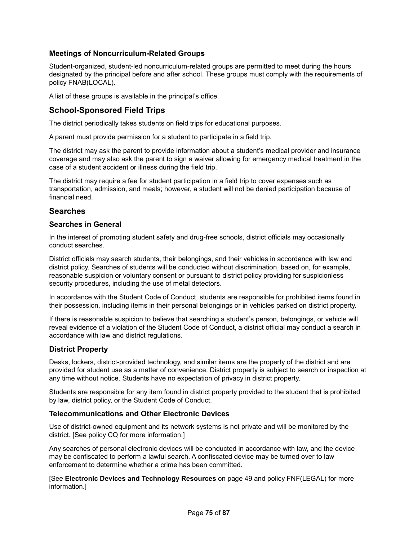#### **Meetings of Noncurriculum-Related Groups**

Student-organized, student-led noncurriculum-related groups are permitted to meet during the hours designated by the principal before and after school. These groups must comply with the requirements of policy FNAB(LOCAL).

A list of these groups is available in the principal's office.

#### **School-Sponsored Field Trips**

The district periodically takes students on field trips for educational purposes.

A parent must provide permission for a student to participate in a field trip.

The district may ask the parent to provide information about a student's medical provider and insurance coverage and may also ask the parent to sign a waiver allowing for emergency medical treatment in the case of a student accident or illness during the field trip.

The district may require a fee for student participation in a field trip to cover expenses such as transportation, admission, and meals; however, a student will not be denied participation because of financial need.

#### **Searches**

#### **Searches in General**

In the interest of promoting student safety and drug-free schools, district officials may occasionally conduct searches.

District officials may search students, their belongings, and their vehicles in accordance with law and district policy. Searches of students will be conducted without discrimination, based on, for example, reasonable suspicion or voluntary consent or pursuant to district policy providing for suspicionless security procedures, including the use of metal detectors.

In accordance with the Student Code of Conduct, students are responsible for prohibited items found in their possession, including items in their personal belongings or in vehicles parked on district property.

If there is reasonable suspicion to believe that searching a student's person, belongings, or vehicle will reveal evidence of a violation of the Student Code of Conduct, a district official may conduct a search in accordance with law and district regulations.

#### **District Property**

Desks, lockers, district-provided technology, and similar items are the property of the district and are provided for student use as a matter of convenience. District property is subject to search or inspection at any time without notice. Students have no expectation of privacy in district property.

Students are responsible for any item found in district property provided to the student that is prohibited by law, district policy, or the Student Code of Conduct.

#### **Telecommunications and Other Electronic Devices**

Use of district-owned equipment and its network systems is not private and will be monitored by the district. [See policy CQ for more information.]

Any searches of personal electronic devices will be conducted in accordance with law, and the device may be confiscated to perform a lawful search. A confiscated device may be turned over to law enforcement to determine whether a crime has been committed.

[See **Electronic Devices and Technology Resources** on page 49 and policy FNF(LEGAL) for more information.]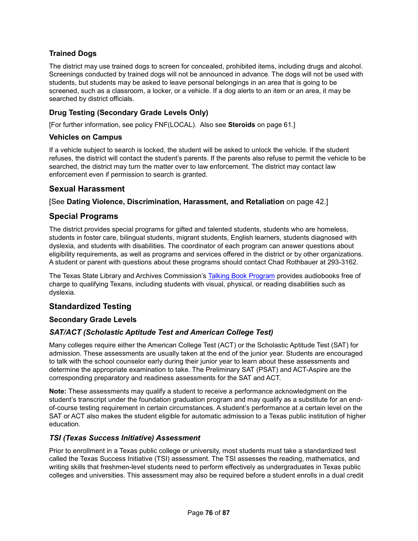### **Trained Dogs**

The district may use trained dogs to screen for concealed, prohibited items, including drugs and alcohol. Screenings conducted by trained dogs will not be announced in advance. The dogs will not be used with students, but students may be asked to leave personal belongings in an area that is going to be screened, such as a classroom, a locker, or a vehicle. If a dog alerts to an item or an area, it may be searched by district officials.

#### **Drug Testing (Secondary Grade Levels Only)**

[For further information, see policy FNF(LOCAL). Also see **Steroids** on page 61.]

#### **Vehicles on Campus**

If a vehicle subject to search is locked, the student will be asked to unlock the vehicle. If the student refuses, the district will contact the student's parents. If the parents also refuse to permit the vehicle to be searched, the district may turn the matter over to law enforcement. The district may contact law enforcement even if permission to search is granted.

#### **Sexual Harassment**

#### [See **Dating Violence, Discrimination, Harassment, and Retaliation** on page 42.]

#### **Special Programs**

The district provides special programs for gifted and talented students, students who are homeless, students in foster care, bilingual students, migrant students, English learners, students diagnosed with dyslexia, and students with disabilities. The coordinator of each program can answer questions about eligibility requirements, as well as programs and services offered in the district or by other organizations. A student or parent with questions about these programs should contact Chad Rothbauer at 293-3162.

The Texas State Library and Archives Commission's Talking Book Program provides audiobooks free of charge to qualifying Texans, including students with visual, physical, or reading disabilities such as dyslexia.

#### **Standardized Testing**

#### **Secondary Grade Levels**

#### *SAT/ACT (Scholastic Aptitude Test and American College Test)*

Many colleges require either the American College Test (ACT) or the Scholastic Aptitude Test (SAT) for admission. These assessments are usually taken at the end of the junior year. Students are encouraged to talk with the school counselor early during their junior year to learn about these assessments and determine the appropriate examination to take. The Preliminary SAT (PSAT) and ACT-Aspire are the corresponding preparatory and readiness assessments for the SAT and ACT.

**Note:** These assessments may qualify a student to receive a performance acknowledgment on the student's transcript under the foundation graduation program and may qualify as a substitute for an endof-course testing requirement in certain circumstances. A student's performance at a certain level on the SAT or ACT also makes the student eligible for automatic admission to a Texas public institution of higher education.

#### *TSI (Texas Success Initiative) Assessment*

Prior to enrollment in a Texas public college or university, most students must take a standardized test called the Texas Success Initiative (TSI) assessment. The TSI assesses the reading, mathematics, and writing skills that freshmen-level students need to perform effectively as undergraduates in Texas public colleges and universities. This assessment may also be required before a student enrolls in a dual credit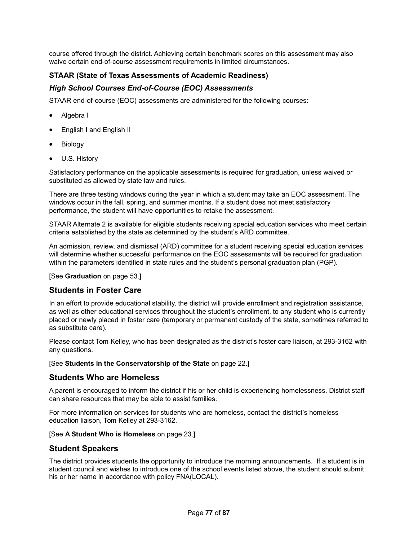course offered through the district. Achieving certain benchmark scores on this assessment may also waive certain end-of-course assessment requirements in limited circumstances.

#### **STAAR (State of Texas Assessments of Academic Readiness)**

#### *High School Courses End-of-Course (EOC) Assessments*

STAAR end-of-course (EOC) assessments are administered for the following courses:

- Algebra I
- English I and English II
- Biology
- U.S. History

Satisfactory performance on the applicable assessments is required for graduation, unless waived or substituted as allowed by state law and rules.

There are three testing windows during the year in which a student may take an EOC assessment. The windows occur in the fall, spring, and summer months. If a student does not meet satisfactory performance, the student will have opportunities to retake the assessment.

STAAR Alternate 2 is available for eligible students receiving special education services who meet certain criteria established by the state as determined by the student's ARD committee.

An admission, review, and dismissal (ARD) committee for a student receiving special education services will determine whether successful performance on the EOC assessments will be required for graduation within the parameters identified in state rules and the student's personal graduation plan (PGP).

[See **Graduation** on page 53.]

#### **Students in Foster Care**

In an effort to provide educational stability, the district will provide enrollment and registration assistance, as well as other educational services throughout the student's enrollment, to any student who is currently placed or newly placed in foster care (temporary or permanent custody of the state, sometimes referred to as substitute care).

Please contact Tom Kelley, who has been designated as the district's foster care liaison, at 293-3162 with any questions.

[See **Students in the Conservatorship of the State** on page 22.]

#### **Students Who are Homeless**

A parent is encouraged to inform the district if his or her child is experiencing homelessness. District staff can share resources that may be able to assist families.

For more information on services for students who are homeless, contact the district's homeless education liaison, Tom Kelley at 293-3162.

#### [See **A Student Who is Homeless** on page 23.]

#### **Student Speakers**

The district provides students the opportunity to introduce the morning announcements. If a student is in student council and wishes to introduce one of the school events listed above, the student should submit his or her name in accordance with policy FNA(LOCAL).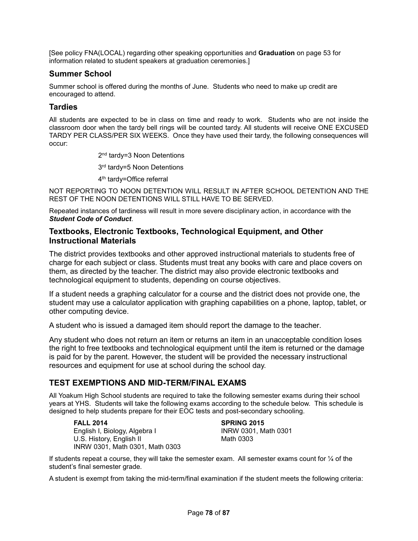[See policy FNA(LOCAL) regarding other speaking opportunities and **Graduation** on page 53 for information related to student speakers at graduation ceremonies.]

#### **Summer School**

Summer school is offered during the months of June. Students who need to make up credit are encouraged to attend.

#### **Tardies**

All students are expected to be in class on time and ready to work. Students who are not inside the classroom door when the tardy bell rings will be counted tardy. All students will receive ONE EXCUSED TARDY PER CLASS/PER SIX WEEKS. Once they have used their tardy, the following consequences will occur:

2<sup>nd</sup> tardy=3 Noon Detentions

3<sup>rd</sup> tardy=5 Noon Detentions

4th tardy=Office referral

NOT REPORTING TO NOON DETENTION WILL RESULT IN AFTER SCHOOL DETENTION AND THE REST OF THE NOON DETENTIONS WILL STILL HAVE TO BE SERVED.

Repeated instances of tardiness will result in more severe disciplinary action, in accordance with the *Student Code of Conduct*.

#### **Textbooks, Electronic Textbooks, Technological Equipment, and Other Instructional Materials**

The district provides textbooks and other approved instructional materials to students free of charge for each subject or class. Students must treat any books with care and place covers on them, as directed by the teacher. The district may also provide electronic textbooks and technological equipment to students, depending on course objectives.

If a student needs a graphing calculator for a course and the district does not provide one, the student may use a calculator application with graphing capabilities on a phone, laptop, tablet, or other computing device.

A student who is issued a damaged item should report the damage to the teacher.

Any student who does not return an item or returns an item in an unacceptable condition loses the right to free textbooks and technological equipment until the item is returned or the damage is paid for by the parent. However, the student will be provided the necessary instructional resources and equipment for use at school during the school day.

#### **TEST EXEMPTIONS AND MID-TERM/FINAL EXAMS**

All Yoakum High School students are required to take the following semester exams during their school years at YHS. Students will take the following exams according to the schedule below. This schedule is designed to help students prepare for their EOC tests and post-secondary schooling.

English I, Biology, Algebra I I INRW 0301, Math 0301<br>
U.S. History Fnglish II I Math 0303 U.S. History, English II INRW 0301, Math 0301, Math 0303

**FALL 2014 SPRING 2015** 

If students repeat a course, they will take the semester exam. All semester exams count for ¼ of the student's final semester grade.

A student is exempt from taking the mid-term/final examination if the student meets the following criteria: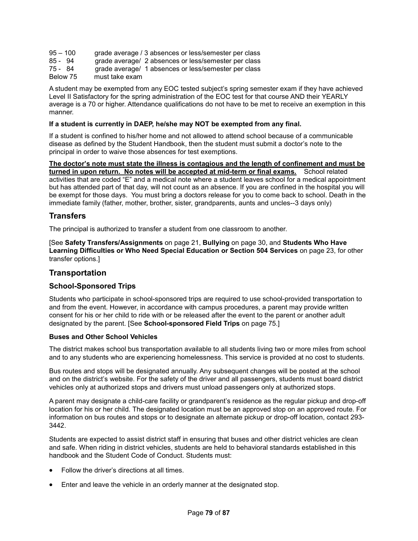| 95 – 100 | grade average / 3 absences or less/semester per class |  |
|----------|-------------------------------------------------------|--|
|----------|-------------------------------------------------------|--|

- 85 94 grade average/ 2 absences or less/semester per class<br>75 84 grade average/ 1 absences or less/semester per class
- 75 84 grade average/ 1 absences or less/semester per class<br>Below 75 must take exam
- must take exam

A student may be exempted from any EOC tested subject's spring semester exam if they have achieved Level II Satisfactory for the spring administration of the EOC test for that course AND their YEARLY average is a 70 or higher. Attendance qualifications do not have to be met to receive an exemption in this manner.

#### **If a student is currently in DAEP, he/she may NOT be exempted from any final.**

If a student is confined to his/her home and not allowed to attend school because of a communicable disease as defined by the Student Handbook, then the student must submit a doctor's note to the principal in order to waive those absences for test exemptions.

**The doctor's note must state the illness is contagious and the length of confinement and must be turned in upon return. No notes will be accepted at mid-term or final exams.** School related activities that are coded "E" and a medical note where a student leaves school for a medical appointment but has attended part of that day, will not count as an absence. If you are confined in the hospital you will be exempt for those days. You must bring a doctors release for you to come back to school. Death in the immediate family (father, mother, brother, sister, grandparents, aunts and uncles--3 days only)

#### **Transfers**

The principal is authorized to transfer a student from one classroom to another.

[See **Safety Transfers/Assignments** on page 21, **Bullying** on page 30, and **Students Who Have Learning Difficulties or Who Need Special Education or Section 504 Services** on page 23, for other transfer options.]

#### **Transportation**

#### **School-Sponsored Trips**

Students who participate in school-sponsored trips are required to use school-provided transportation to and from the event. However, in accordance with campus procedures, a parent may provide written consent for his or her child to ride with or be released after the event to the parent or another adult designated by the parent. [See **School-sponsored Field Trips** on page 75.]

#### **Buses and Other School Vehicles**

The district makes school bus transportation available to all students living two or more miles from school and to any students who are experiencing homelessness. This service is provided at no cost to students.

Bus routes and stops will be designated annually. Any subsequent changes will be posted at the school and on the district's website. For the safety of the driver and all passengers, students must board district vehicles only at authorized stops and drivers must unload passengers only at authorized stops.

A parent may designate a child-care facility or grandparent's residence as the regular pickup and drop-off location for his or her child. The designated location must be an approved stop on an approved route. For information on bus routes and stops or to designate an alternate pickup or drop-off location, contact 293- 3442.

Students are expected to assist district staff in ensuring that buses and other district vehicles are clean and safe. When riding in district vehicles, students are held to behavioral standards established in this handbook and the Student Code of Conduct. Students must:

- Follow the driver's directions at all times.
- Enter and leave the vehicle in an orderly manner at the designated stop.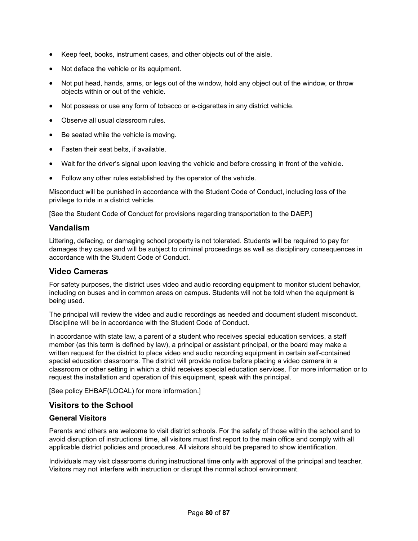- Keep feet, books, instrument cases, and other objects out of the aisle.
- Not deface the vehicle or its equipment.
- Not put head, hands, arms, or legs out of the window, hold any object out of the window, or throw objects within or out of the vehicle.
- Not possess or use any form of tobacco or e-cigarettes in any district vehicle.
- Observe all usual classroom rules.
- Be seated while the vehicle is moving.
- Fasten their seat belts, if available.
- Wait for the driver's signal upon leaving the vehicle and before crossing in front of the vehicle.
- Follow any other rules established by the operator of the vehicle.

Misconduct will be punished in accordance with the Student Code of Conduct, including loss of the privilege to ride in a district vehicle.

[See the Student Code of Conduct for provisions regarding transportation to the DAEP.]

#### **Vandalism**

Littering, defacing, or damaging school property is not tolerated. Students will be required to pay for damages they cause and will be subject to criminal proceedings as well as disciplinary consequences in accordance with the Student Code of Conduct.

#### **Video Cameras**

For safety purposes, the district uses video and audio recording equipment to monitor student behavior, including on buses and in common areas on campus. Students will not be told when the equipment is being used.

The principal will review the video and audio recordings as needed and document student misconduct. Discipline will be in accordance with the Student Code of Conduct.

In accordance with state law, a parent of a student who receives special education services, a staff member (as this term is defined by law), a principal or assistant principal, or the board may make a written request for the district to place video and audio recording equipment in certain self-contained special education classrooms. The district will provide notice before placing a video camera in a classroom or other setting in which a child receives special education services. For more information or to request the installation and operation of this equipment, speak with the principal.

[See policy EHBAF(LOCAL) for more information.]

#### **Visitors to the School**

#### **General Visitors**

Parents and others are welcome to visit district schools. For the safety of those within the school and to avoid disruption of instructional time, all visitors must first report to the main office and comply with all applicable district policies and procedures. All visitors should be prepared to show identification.

Individuals may visit classrooms during instructional time only with approval of the principal and teacher. Visitors may not interfere with instruction or disrupt the normal school environment.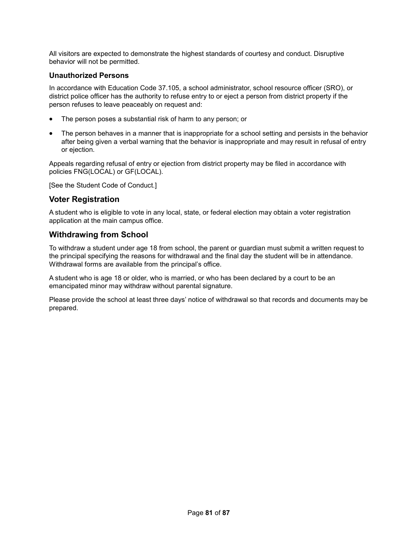All visitors are expected to demonstrate the highest standards of courtesy and conduct. Disruptive behavior will not be permitted.

#### **Unauthorized Persons**

In accordance with Education Code 37.105, a school administrator, school resource officer (SRO), or district police officer has the authority to refuse entry to or eject a person from district property if the person refuses to leave peaceably on request and:

- The person poses a substantial risk of harm to any person; or
- The person behaves in a manner that is inappropriate for a school setting and persists in the behavior after being given a verbal warning that the behavior is inappropriate and may result in refusal of entry or ejection.

Appeals regarding refusal of entry or ejection from district property may be filed in accordance with policies FNG(LOCAL) or GF(LOCAL).

[See the Student Code of Conduct.]

#### **Voter Registration**

A student who is eligible to vote in any local, state, or federal election may obtain a voter registration application at the main campus office.

#### **Withdrawing from School**

To withdraw a student under age 18 from school, the parent or guardian must submit a written request to the principal specifying the reasons for withdrawal and the final day the student will be in attendance. Withdrawal forms are available from the principal's office.

A student who is age 18 or older, who is married, or who has been declared by a court to be an emancipated minor may withdraw without parental signature.

Please provide the school at least three days' notice of withdrawal so that records and documents may be prepared.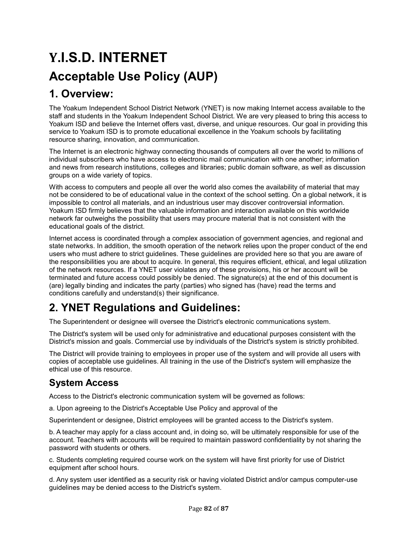# **Y.I.S.D. INTERNET Acceptable Use Policy (AUP)**

# **1. Overview:**

The Yoakum Independent School District Network (YNET) is now making Internet access available to the staff and students in the Yoakum Independent School District. We are very pleased to bring this access to Yoakum ISD and believe the Internet offers vast, diverse, and unique resources. Our goal in providing this service to Yoakum ISD is to promote educational excellence in the Yoakum schools by facilitating resource sharing, innovation, and communication.

The Internet is an electronic highway connecting thousands of computers all over the world to millions of individual subscribers who have access to electronic mail communication with one another; information and news from research institutions, colleges and libraries; public domain software, as well as discussion groups on a wide variety of topics.

With access to computers and people all over the world also comes the availability of material that may not be considered to be of educational value in the context of the school setting. On a global network, it is impossible to control all materials, and an industrious user may discover controversial information. Yoakum ISD firmly believes that the valuable information and interaction available on this worldwide network far outweighs the possibility that users may procure material that is not consistent with the educational goals of the district.

Internet access is coordinated through a complex association of government agencies, and regional and state networks. In addition, the smooth operation of the network relies upon the proper conduct of the end users who must adhere to strict guidelines. These guidelines are provided here so that you are aware of the responsibilities you are about to acquire. In general, this requires efficient, ethical, and legal utilization of the network resources. If a YNET user violates any of these provisions, his or her account will be terminated and future access could possibly be denied. The signature(s) at the end of this document is (are) legally binding and indicates the party (parties) who signed has (have) read the terms and conditions carefully and understand(s) their significance.

# **2. YNET Regulations and Guidelines:**

The Superintendent or designee will oversee the District's electronic communications system.

The District's system will be used only for administrative and educational purposes consistent with the District's mission and goals. Commercial use by individuals of the District's system is strictly prohibited.

The District will provide training to employees in proper use of the system and will provide all users with copies of acceptable use guidelines. All training in the use of the District's system will emphasize the ethical use of this resource.

# **System Access**

Access to the District's electronic communication system will be governed as follows:

a. Upon agreeing to the District's Acceptable Use Policy and approval of the

Superintendent or designee, District employees will be granted access to the District's system.

b. A teacher may apply for a class account and, in doing so, will be ultimately responsible for use of the account. Teachers with accounts will be required to maintain password confidentiality by not sharing the password with students or others.

c. Students completing required course work on the system will have first priority for use of District equipment after school hours.

d. Any system user identified as a security risk or having violated District and/or campus computer-use guidelines may be denied access to the District's system.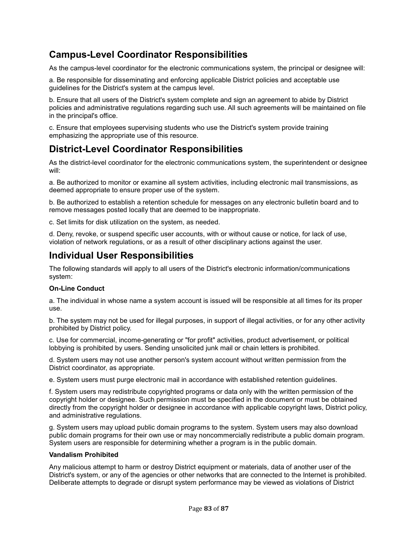# **Campus-Level Coordinator Responsibilities**

As the campus-level coordinator for the electronic communications system, the principal or designee will:

a. Be responsible for disseminating and enforcing applicable District policies and acceptable use guidelines for the District's system at the campus level.

b. Ensure that all users of the District's system complete and sign an agreement to abide by District policies and administrative regulations regarding such use. All such agreements will be maintained on file in the principal's office.

c. Ensure that employees supervising students who use the District's system provide training emphasizing the appropriate use of this resource.

# **District-Level Coordinator Responsibilities**

As the district-level coordinator for the electronic communications system, the superintendent or designee will:

a. Be authorized to monitor or examine all system activities, including electronic mail transmissions, as deemed appropriate to ensure proper use of the system.

b. Be authorized to establish a retention schedule for messages on any electronic bulletin board and to remove messages posted locally that are deemed to be inappropriate.

c. Set limits for disk utilization on the system, as needed.

d. Deny, revoke, or suspend specific user accounts, with or without cause or notice, for lack of use, violation of network regulations, or as a result of other disciplinary actions against the user.

# **Individual User Responsibilities**

The following standards will apply to all users of the District's electronic information/communications system:

#### **On-Line Conduct**

a. The individual in whose name a system account is issued will be responsible at all times for its proper use.

b. The system may not be used for illegal purposes, in support of illegal activities, or for any other activity prohibited by District policy.

c. Use for commercial, income-generating or "for profit" activities, product advertisement, or political lobbying is prohibited by users. Sending unsolicited junk mail or chain letters is prohibited.

d. System users may not use another person's system account without written permission from the District coordinator, as appropriate.

e. System users must purge electronic mail in accordance with established retention guidelines.

f. System users may redistribute copyrighted programs or data only with the written permission of the copyright holder or designee. Such permission must be specified in the document or must be obtained directly from the copyright holder or designee in accordance with applicable copyright laws, District policy, and administrative regulations.

g. System users may upload public domain programs to the system. System users may also download public domain programs for their own use or may noncommercially redistribute a public domain program. System users are responsible for determining whether a program is in the public domain.

#### **Vandalism Prohibited**

Any malicious attempt to harm or destroy District equipment or materials, data of another user of the District's system, or any of the agencies or other networks that are connected to the Internet is prohibited. Deliberate attempts to degrade or disrupt system performance may be viewed as violations of District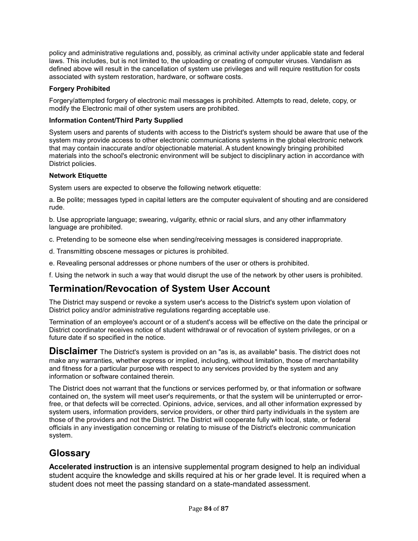policy and administrative regulations and, possibly, as criminal activity under applicable state and federal laws. This includes, but is not limited to, the uploading or creating of computer viruses. Vandalism as defined above will result in the cancellation of system use privileges and will require restitution for costs associated with system restoration, hardware, or software costs.

#### **Forgery Prohibited**

Forgery/attempted forgery of electronic mail messages is prohibited. Attempts to read, delete, copy, or modify the Electronic mail of other system users are prohibited.

#### **Information Content/Third Party Supplied**

System users and parents of students with access to the District's system should be aware that use of the system may provide access to other electronic communications systems in the global electronic network that may contain inaccurate and/or objectionable material. A student knowingly bringing prohibited materials into the school's electronic environment will be subject to disciplinary action in accordance with District policies.

#### **Network Etiquette**

System users are expected to observe the following network etiquette:

a. Be polite; messages typed in capital letters are the computer equivalent of shouting and are considered rude.

b. Use appropriate language; swearing, vulgarity, ethnic or racial slurs, and any other inflammatory language are prohibited.

c. Pretending to be someone else when sending/receiving messages is considered inappropriate.

- d. Transmitting obscene messages or pictures is prohibited.
- e. Revealing personal addresses or phone numbers of the user or others is prohibited.

f. Using the network in such a way that would disrupt the use of the network by other users is prohibited.

### **Termination/Revocation of System User Account**

The District may suspend or revoke a system user's access to the District's system upon violation of District policy and/or administrative regulations regarding acceptable use.

Termination of an employee's account or of a student's access will be effective on the date the principal or District coordinator receives notice of student withdrawal or of revocation of system privileges, or on a future date if so specified in the notice.

**Disclaimer** The District's system is provided on an "as is, as available" basis. The district does not make any warranties, whether express or implied, including, without limitation, those of merchantability and fitness for a particular purpose with respect to any services provided by the system and any information or software contained therein.

The District does not warrant that the functions or services performed by, or that information or software contained on, the system will meet user's requirements, or that the system will be uninterrupted or errorfree, or that defects will be corrected. Opinions, advice, services, and all other information expressed by system users, information providers, service providers, or other third party individuals in the system are those of the providers and not the District. The District will cooperate fully with local, state, or federal officials in any investigation concerning or relating to misuse of the District's electronic communication system.

### **Glossary**

**Accelerated instruction** is an intensive supplemental program designed to help an individual student acquire the knowledge and skills required at his or her grade level. It is required when a student does not meet the passing standard on a state-mandated assessment.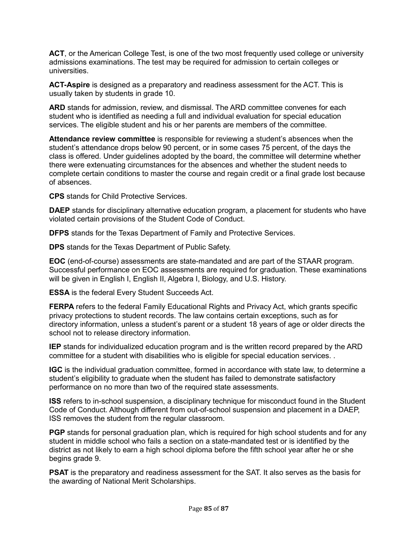**ACT**, or the American College Test, is one of the two most frequently used college or university admissions examinations. The test may be required for admission to certain colleges or universities.

**ACT-Aspire** is designed as a preparatory and readiness assessment for the ACT. This is usually taken by students in grade 10.

**ARD** stands for admission, review, and dismissal. The ARD committee convenes for each student who is identified as needing a full and individual evaluation for special education services. The eligible student and his or her parents are members of the committee.

**Attendance review committee** is responsible for reviewing a student's absences when the student's attendance drops below 90 percent, or in some cases 75 percent, of the days the class is offered. Under guidelines adopted by the board, the committee will determine whether there were extenuating circumstances for the absences and whether the student needs to complete certain conditions to master the course and regain credit or a final grade lost because of absences.

**CPS** stands for Child Protective Services.

**DAEP** stands for disciplinary alternative education program, a placement for students who have violated certain provisions of the Student Code of Conduct.

**DFPS** stands for the Texas Department of Family and Protective Services.

**DPS** stands for the Texas Department of Public Safety.

**EOC** (end-of-course) assessments are state-mandated and are part of the STAAR program. Successful performance on EOC assessments are required for graduation. These examinations will be given in English I, English II, Algebra I, Biology, and U.S. History.

**ESSA** is the federal Every Student Succeeds Act.

**FERPA** refers to the federal Family Educational Rights and Privacy Act, which grants specific privacy protections to student records. The law contains certain exceptions, such as for directory information, unless a student's parent or a student 18 years of age or older directs the school not to release directory information.

**IEP** stands for individualized education program and is the written record prepared by the ARD committee for a student with disabilities who is eligible for special education services. .

**IGC** is the individual graduation committee, formed in accordance with state law, to determine a student's eligibility to graduate when the student has failed to demonstrate satisfactory performance on no more than two of the required state assessments.

**ISS** refers to in-school suspension, a disciplinary technique for misconduct found in the Student Code of Conduct. Although different from out-of-school suspension and placement in a DAEP, ISS removes the student from the regular classroom.

**PGP** stands for personal graduation plan, which is required for high school students and for any student in middle school who fails a section on a state-mandated test or is identified by the district as not likely to earn a high school diploma before the fifth school year after he or she begins grade 9.

**PSAT** is the preparatory and readiness assessment for the SAT. It also serves as the basis for the awarding of National Merit Scholarships.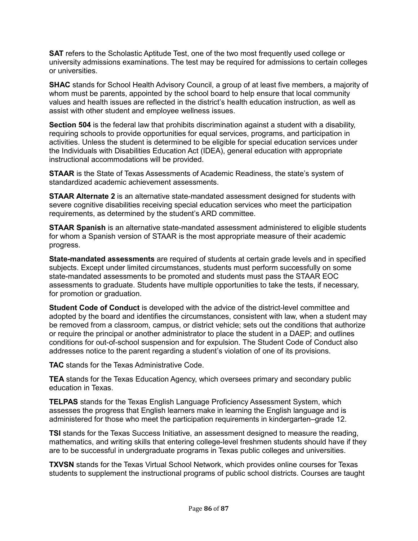**SAT** refers to the Scholastic Aptitude Test, one of the two most frequently used college or university admissions examinations. The test may be required for admissions to certain colleges or universities.

**SHAC** stands for School Health Advisory Council, a group of at least five members, a majority of whom must be parents, appointed by the school board to help ensure that local community values and health issues are reflected in the district's health education instruction, as well as assist with other student and employee wellness issues.

**Section 504** is the federal law that prohibits discrimination against a student with a disability, requiring schools to provide opportunities for equal services, programs, and participation in activities. Unless the student is determined to be eligible for special education services under the Individuals with Disabilities Education Act (IDEA), general education with appropriate instructional accommodations will be provided.

**STAAR** is the State of Texas Assessments of Academic Readiness, the state's system of standardized academic achievement assessments.

**STAAR Alternate 2** is an alternative state-mandated assessment designed for students with severe cognitive disabilities receiving special education services who meet the participation requirements, as determined by the student's ARD committee.

**STAAR Spanish** is an alternative state-mandated assessment administered to eligible students for whom a Spanish version of STAAR is the most appropriate measure of their academic progress.

**State-mandated assessments** are required of students at certain grade levels and in specified subjects. Except under limited circumstances, students must perform successfully on some state-mandated assessments to be promoted and students must pass the STAAR EOC assessments to graduate. Students have multiple opportunities to take the tests, if necessary, for promotion or graduation.

**Student Code of Conduct** is developed with the advice of the district-level committee and adopted by the board and identifies the circumstances, consistent with law, when a student may be removed from a classroom, campus, or district vehicle; sets out the conditions that authorize or require the principal or another administrator to place the student in a DAEP; and outlines conditions for out-of-school suspension and for expulsion. The Student Code of Conduct also addresses notice to the parent regarding a student's violation of one of its provisions.

**TAC** stands for the Texas Administrative Code.

**TEA** stands for the Texas Education Agency, which oversees primary and secondary public education in Texas.

**TELPAS** stands for the Texas English Language Proficiency Assessment System, which assesses the progress that English learners make in learning the English language and is administered for those who meet the participation requirements in kindergarten–grade 12.

**TSI** stands for the Texas Success Initiative, an assessment designed to measure the reading, mathematics, and writing skills that entering college-level freshmen students should have if they are to be successful in undergraduate programs in Texas public colleges and universities.

**TXVSN** stands for the Texas Virtual School Network, which provides online courses for Texas students to supplement the instructional programs of public school districts. Courses are taught